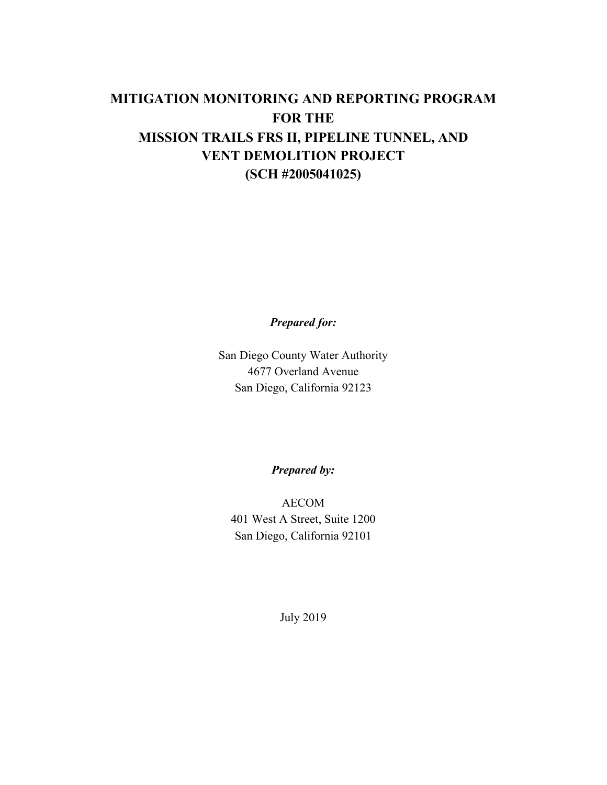## **MITIGATION MONITORING AND REPORTING PROGRAM FOR THE MISSION TRAILS FRS II, PIPELINE TUNNEL, AND VENT DEMOLITION PROJECT (SCH #2005041025)**

*Prepared for:*

San Diego County Water Authority 4677 Overland Avenue San Diego, California 92123

*Prepared by:*

AECOM 401 West A Street, Suite 1200 San Diego, California 92101

July 2019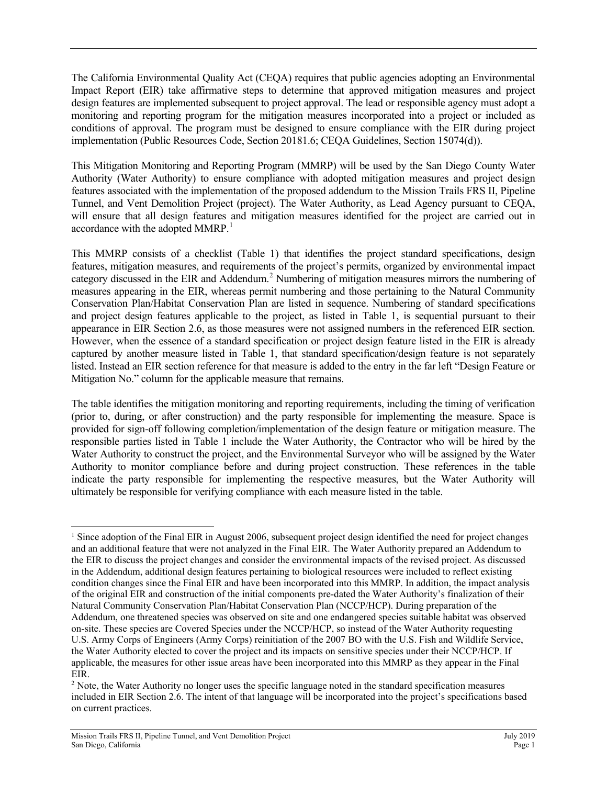The California Environmental Quality Act (CEQA) requires that public agencies adopting an Environmental Impact Report (EIR) take affirmative steps to determine that approved mitigation measures and project design features are implemented subsequent to project approval. The lead or responsible agency must adopt a monitoring and reporting program for the mitigation measures incorporated into a project or included as conditions of approval. The program must be designed to ensure compliance with the EIR during project implementation (Public Resources Code, Section 20181.6; CEQA Guidelines, Section 15074(d)).

This Mitigation Monitoring and Reporting Program (MMRP) will be used by the San Diego County Water Authority (Water Authority) to ensure compliance with adopted mitigation measures and project design features associated with the implementation of the proposed addendum to the Mission Trails FRS II, Pipeline Tunnel, and Vent Demolition Project (project). The Water Authority, as Lead Agency pursuant to CEQA, will ensure that all design features and mitigation measures identified for the project are carried out in accordance with the adopted MMRP. $<sup>1</sup>$  $<sup>1</sup>$  $<sup>1</sup>$ </sup>

This MMRP consists of a checklist (Table 1) that identifies the project standard specifications, design features, mitigation measures, and requirements of the project's permits, organized by environmental impact category discussed in the EIR and Addendum.<sup>[2](#page-2-1)</sup> Numbering of mitigation measures mirrors the numbering of measures appearing in the EIR, whereas permit numbering and those pertaining to the Natural Community Conservation Plan/Habitat Conservation Plan are listed in sequence. Numbering of standard specifications and project design features applicable to the project, as listed in Table 1, is sequential pursuant to their appearance in EIR Section 2.6, as those measures were not assigned numbers in the referenced EIR section. However, when the essence of a standard specification or project design feature listed in the EIR is already captured by another measure listed in Table 1, that standard specification/design feature is not separately listed. Instead an EIR section reference for that measure is added to the entry in the far left "Design Feature or Mitigation No." column for the applicable measure that remains.

The table identifies the mitigation monitoring and reporting requirements, including the timing of verification (prior to, during, or after construction) and the party responsible for implementing the measure. Space is provided for sign-off following completion/implementation of the design feature or mitigation measure. The responsible parties listed in Table 1 include the Water Authority, the Contractor who will be hired by the Water Authority to construct the project, and the Environmental Surveyor who will be assigned by the Water Authority to monitor compliance before and during project construction. These references in the table indicate the party responsible for implementing the respective measures, but the Water Authority will ultimately be responsible for verifying compliance with each measure listed in the table.

 $\overline{a}$ 

<span id="page-2-0"></span><sup>&</sup>lt;sup>1</sup> Since adoption of the Final EIR in August 2006, subsequent project design identified the need for project changes and an additional feature that were not analyzed in the Final EIR. The Water Authority prepared an Addendum to the EIR to discuss the project changes and consider the environmental impacts of the revised project. As discussed in the Addendum, additional design features pertaining to biological resources were included to reflect existing condition changes since the Final EIR and have been incorporated into this MMRP. In addition, the impact analysis of the original EIR and construction of the initial components pre-dated the Water Authority's finalization of their Natural Community Conservation Plan/Habitat Conservation Plan (NCCP/HCP). During preparation of the Addendum, one threatened species was observed on site and one endangered species suitable habitat was observed on-site. These species are Covered Species under the NCCP/HCP, so instead of the Water Authority requesting U.S. Army Corps of Engineers (Army Corps) reinitiation of the 2007 BO with the U.S. Fish and Wildlife Service, the Water Authority elected to cover the project and its impacts on sensitive species under their NCCP/HCP. If applicable, the measures for other issue areas have been incorporated into this MMRP as they appear in the Final EIR.

<span id="page-2-1"></span><sup>&</sup>lt;sup>2</sup> Note, the Water Authority no longer uses the specific language noted in the standard specification measures included in EIR Section 2.6. The intent of that language will be incorporated into the project's specifications based on current practices.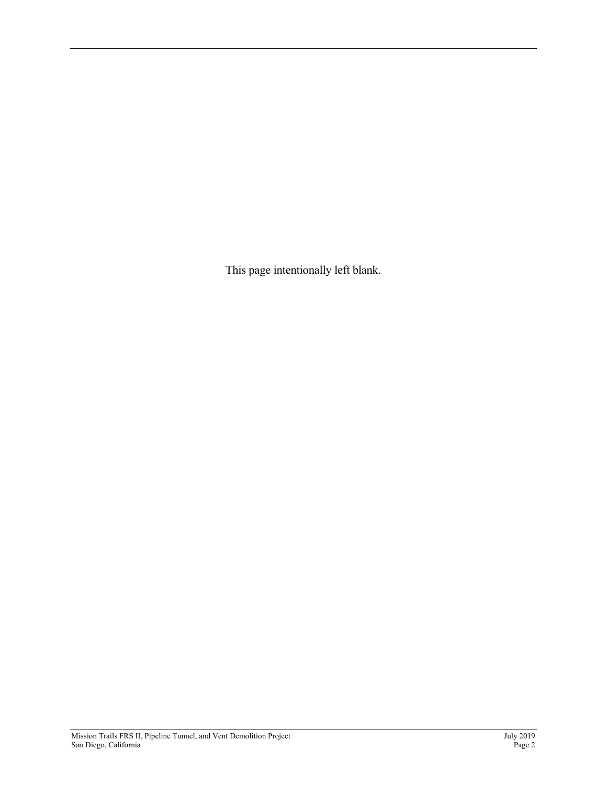This page intentionally left blank.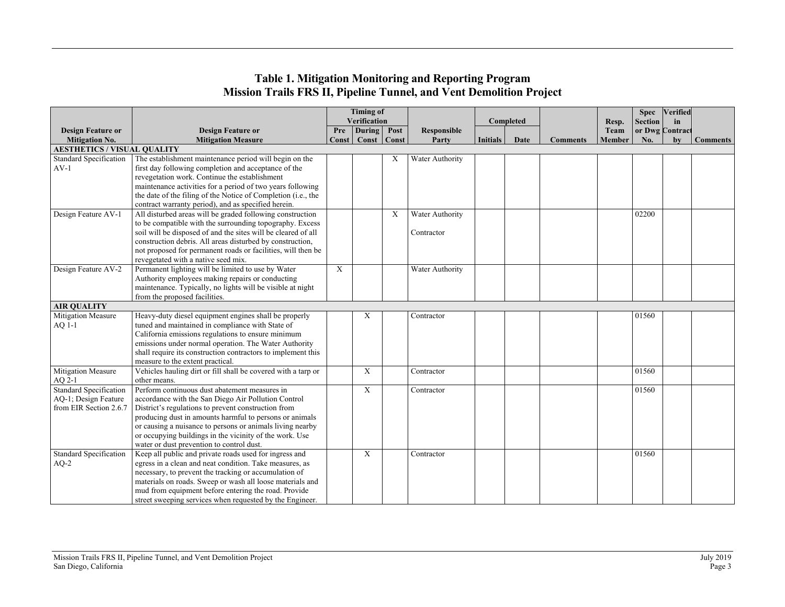## **Table 1. Mitigation Monitoring and Reporting Program Mission Trails FRS II, Pipeline Tunnel, and Vent Demolition Project**

|                                    |                                                                                                        |              | <b>Timing of</b> |       |                    |                 |           |                 |        | <b>Spec</b>    | Verified        |                 |
|------------------------------------|--------------------------------------------------------------------------------------------------------|--------------|------------------|-------|--------------------|-----------------|-----------|-----------------|--------|----------------|-----------------|-----------------|
|                                    |                                                                                                        |              | Verification     |       |                    |                 | Completed |                 | Resp.  | <b>Section</b> | in              |                 |
| <b>Design Feature or</b>           | <b>Design Feature or</b>                                                                               | Pre          | <b>During</b>    | Post  | <b>Responsible</b> |                 |           |                 | Team   | or Dwg         | <b>Contract</b> |                 |
| <b>Mitigation No.</b>              | <b>Mitigation Measure</b>                                                                              | Const        | Const            | Const | Party              | <b>Initials</b> | Date      | <b>Comments</b> | Member | No.            | by              | <b>Comments</b> |
| <b>AESTHETICS / VISUAL QUALITY</b> |                                                                                                        |              |                  |       |                    |                 |           |                 |        |                |                 |                 |
| <b>Standard Specification</b>      | The establishment maintenance period will begin on the                                                 |              |                  | X     | Water Authority    |                 |           |                 |        |                |                 |                 |
| $AV-1$                             | first day following completion and acceptance of the                                                   |              |                  |       |                    |                 |           |                 |        |                |                 |                 |
|                                    | revegetation work. Continue the establishment                                                          |              |                  |       |                    |                 |           |                 |        |                |                 |                 |
|                                    | maintenance activities for a period of two years following                                             |              |                  |       |                    |                 |           |                 |        |                |                 |                 |
|                                    | the date of the filing of the Notice of Completion (i.e., the                                          |              |                  |       |                    |                 |           |                 |        |                |                 |                 |
|                                    | contract warranty period), and as specified herein.                                                    |              |                  |       |                    |                 |           |                 |        |                |                 |                 |
| Design Feature AV-1                | All disturbed areas will be graded following construction                                              |              |                  | X     | Water Authority    |                 |           |                 |        | 02200          |                 |                 |
|                                    | to be compatible with the surrounding topography. Excess                                               |              |                  |       |                    |                 |           |                 |        |                |                 |                 |
|                                    | soil will be disposed of and the sites will be cleared of all                                          |              |                  |       | Contractor         |                 |           |                 |        |                |                 |                 |
|                                    | construction debris. All areas disturbed by construction,                                              |              |                  |       |                    |                 |           |                 |        |                |                 |                 |
|                                    | not proposed for permanent roads or facilities, will then be                                           |              |                  |       |                    |                 |           |                 |        |                |                 |                 |
|                                    | revegetated with a native seed mix.                                                                    |              |                  |       |                    |                 |           |                 |        |                |                 |                 |
| Design Feature AV-2                | Permanent lighting will be limited to use by Water                                                     | $\mathbf{X}$ |                  |       | Water Authority    |                 |           |                 |        |                |                 |                 |
|                                    | Authority employees making repairs or conducting                                                       |              |                  |       |                    |                 |           |                 |        |                |                 |                 |
|                                    | maintenance. Typically, no lights will be visible at night                                             |              |                  |       |                    |                 |           |                 |        |                |                 |                 |
|                                    | from the proposed facilities.                                                                          |              |                  |       |                    |                 |           |                 |        |                |                 |                 |
| <b>AIR QUALITY</b>                 |                                                                                                        |              |                  |       |                    |                 |           |                 |        |                |                 |                 |
| Mitigation Measure                 | Heavy-duty diesel equipment engines shall be properly                                                  |              | Χ                |       | Contractor         |                 |           |                 |        | 01560          |                 |                 |
| AQ 1-1                             | tuned and maintained in compliance with State of<br>California emissions regulations to ensure minimum |              |                  |       |                    |                 |           |                 |        |                |                 |                 |
|                                    | emissions under normal operation. The Water Authority                                                  |              |                  |       |                    |                 |           |                 |        |                |                 |                 |
|                                    | shall require its construction contractors to implement this                                           |              |                  |       |                    |                 |           |                 |        |                |                 |                 |
|                                    | measure to the extent practical.                                                                       |              |                  |       |                    |                 |           |                 |        |                |                 |                 |
| Mitigation Measure                 | Vehicles hauling dirt or fill shall be covered with a tarp or                                          |              | X                |       | Contractor         |                 |           |                 |        | 01560          |                 |                 |
| $AQ$ 2-1                           | other means.                                                                                           |              |                  |       |                    |                 |           |                 |        |                |                 |                 |
| <b>Standard Specification</b>      | Perform continuous dust abatement measures in                                                          |              | X                |       | Contractor         |                 |           |                 |        | 01560          |                 |                 |
| AQ-1; Design Feature               | accordance with the San Diego Air Pollution Control                                                    |              |                  |       |                    |                 |           |                 |        |                |                 |                 |
| from EIR Section 2.6.7             | District's regulations to prevent construction from                                                    |              |                  |       |                    |                 |           |                 |        |                |                 |                 |
|                                    | producing dust in amounts harmful to persons or animals                                                |              |                  |       |                    |                 |           |                 |        |                |                 |                 |
|                                    | or causing a nuisance to persons or animals living nearby                                              |              |                  |       |                    |                 |           |                 |        |                |                 |                 |
|                                    | or occupying buildings in the vicinity of the work. Use                                                |              |                  |       |                    |                 |           |                 |        |                |                 |                 |
|                                    | water or dust prevention to control dust.                                                              |              |                  |       |                    |                 |           |                 |        |                |                 |                 |
| <b>Standard Specification</b>      | Keep all public and private roads used for ingress and                                                 |              | $\mathbf X$      |       | Contractor         |                 |           |                 |        | 01560          |                 |                 |
| $AQ-2$                             | egress in a clean and neat condition. Take measures, as                                                |              |                  |       |                    |                 |           |                 |        |                |                 |                 |
|                                    | necessary, to prevent the tracking or accumulation of                                                  |              |                  |       |                    |                 |           |                 |        |                |                 |                 |
|                                    | materials on roads. Sweep or wash all loose materials and                                              |              |                  |       |                    |                 |           |                 |        |                |                 |                 |
|                                    | mud from equipment before entering the road. Provide                                                   |              |                  |       |                    |                 |           |                 |        |                |                 |                 |
|                                    | street sweeping services when requested by the Engineer.                                               |              |                  |       |                    |                 |           |                 |        |                |                 |                 |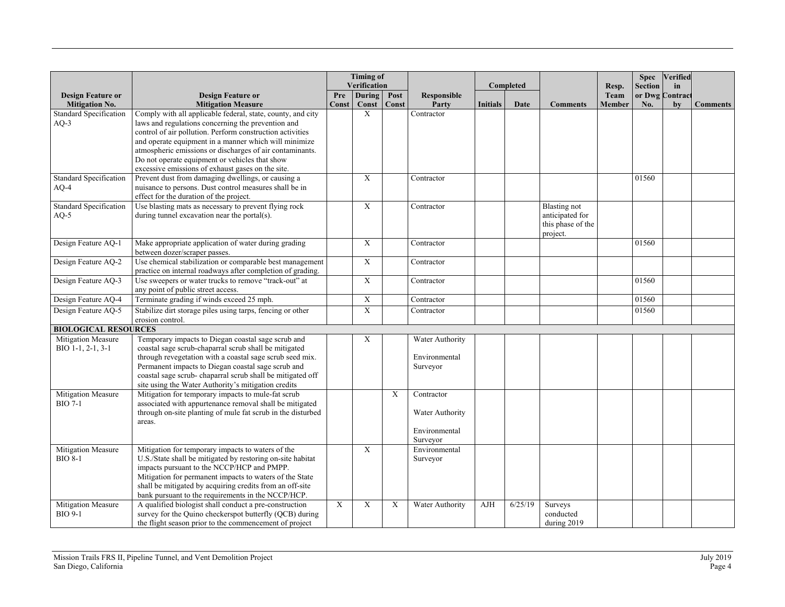|                                         |                                                                                                                                                                                                                                                                                                                                                       |       | <b>Timing of</b><br>Verification |       |                                                            |                 | <b>Completed</b> |                                                                  | Resp.  | <b>Spec</b><br><b>Section</b> | <b>Verified</b><br>in |                 |
|-----------------------------------------|-------------------------------------------------------------------------------------------------------------------------------------------------------------------------------------------------------------------------------------------------------------------------------------------------------------------------------------------------------|-------|----------------------------------|-------|------------------------------------------------------------|-----------------|------------------|------------------------------------------------------------------|--------|-------------------------------|-----------------------|-----------------|
| <b>Design Feature or</b>                | <b>Design Feature or</b>                                                                                                                                                                                                                                                                                                                              | Pre   | During                           | Post  | <b>Responsible</b>                                         |                 |                  |                                                                  | Team   | or Dwg Contract               |                       |                 |
| <b>Mitigation No.</b>                   | <b>Mitigation Measure</b>                                                                                                                                                                                                                                                                                                                             | Const | Const                            | Const | Party                                                      | <b>Initials</b> | Date             | <b>Comments</b>                                                  | Member | No.                           | $bv$                  | <b>Comments</b> |
| <b>Standard Specification</b><br>$AQ-3$ | Comply with all applicable federal, state, county, and city<br>laws and regulations concerning the prevention and<br>control of air pollution. Perform construction activities<br>and operate equipment in a manner which will minimize<br>atmospheric emissions or discharges of air contaminants.<br>Do not operate equipment or vehicles that show |       | X                                |       | Contractor                                                 |                 |                  |                                                                  |        |                               |                       |                 |
|                                         | excessive emissions of exhaust gases on the site.                                                                                                                                                                                                                                                                                                     |       |                                  |       |                                                            |                 |                  |                                                                  |        |                               |                       |                 |
| <b>Standard Specification</b><br>$AQ-4$ | Prevent dust from damaging dwellings, or causing a<br>nuisance to persons. Dust control measures shall be in<br>effect for the duration of the project.                                                                                                                                                                                               |       | X                                |       | Contractor                                                 |                 |                  |                                                                  |        | 01560                         |                       |                 |
| <b>Standard Specification</b><br>AQ-5   | Use blasting mats as necessary to prevent flying rock<br>during tunnel excavation near the portal(s).                                                                                                                                                                                                                                                 |       | X                                |       | Contractor                                                 |                 |                  | Blasting not<br>anticipated for<br>this phase of the<br>project. |        |                               |                       |                 |
| Design Feature AO-1                     | Make appropriate application of water during grading<br>between dozer/scraper passes.                                                                                                                                                                                                                                                                 |       | X                                |       | Contractor                                                 |                 |                  |                                                                  |        | 01560                         |                       |                 |
| Design Feature AQ-2                     | Use chemical stabilization or comparable best management<br>practice on internal roadways after completion of grading.                                                                                                                                                                                                                                |       | $\mathbf X$                      |       | Contractor                                                 |                 |                  |                                                                  |        |                               |                       |                 |
| Design Feature AQ-3                     | Use sweepers or water trucks to remove "track-out" at<br>any point of public street access.                                                                                                                                                                                                                                                           |       | $\mathbf X$                      |       | Contractor                                                 |                 |                  |                                                                  |        | 01560                         |                       |                 |
| Design Feature AO-4                     | Terminate grading if winds exceed 25 mph.                                                                                                                                                                                                                                                                                                             |       | X                                |       | Contractor                                                 |                 |                  |                                                                  |        | 01560                         |                       |                 |
| Design Feature AO-5                     | Stabilize dirt storage piles using tarps, fencing or other<br>erosion control.                                                                                                                                                                                                                                                                        |       | X                                |       | Contractor                                                 |                 |                  |                                                                  |        | 01560                         |                       |                 |
| <b>BIOLOGICAL RESOURCES</b>             |                                                                                                                                                                                                                                                                                                                                                       |       |                                  |       |                                                            |                 |                  |                                                                  |        |                               |                       |                 |
| Mitigation Measure<br>BIO 1-1, 2-1, 3-1 | Temporary impacts to Diegan coastal sage scrub and<br>coastal sage scrub-chaparral scrub shall be mitigated<br>through revegetation with a coastal sage scrub seed mix.<br>Permanent impacts to Diegan coastal sage scrub and<br>coastal sage scrub- chaparral scrub shall be mitigated off<br>site using the Water Authority's mitigation credits    |       | X                                |       | Water Authority<br>Environmental<br>Surveyor               |                 |                  |                                                                  |        |                               |                       |                 |
| Mitigation Measure<br><b>BIO</b> 7-1    | Mitigation for temporary impacts to mule-fat scrub<br>associated with appurtenance removal shall be mitigated<br>through on-site planting of mule fat scrub in the disturbed<br>areas.                                                                                                                                                                |       |                                  | X     | Contractor<br>Water Authority<br>Environmental<br>Surveyor |                 |                  |                                                                  |        |                               |                       |                 |
| Mitigation Measure<br><b>BIO 8-1</b>    | Mitigation for temporary impacts to waters of the<br>U.S./State shall be mitigated by restoring on-site habitat<br>impacts pursuant to the NCCP/HCP and PMPP.<br>Mitigation for permanent impacts to waters of the State<br>shall be mitigated by acquiring credits from an off-site<br>bank pursuant to the requirements in the NCCP/HCP.            |       | X                                |       | Environmental<br>Surveyor                                  |                 |                  |                                                                  |        |                               |                       |                 |
| Mitigation Measure<br><b>BIO</b> 9-1    | A qualified biologist shall conduct a pre-construction<br>survey for the Quino checkerspot butterfly (QCB) during<br>the flight season prior to the commencement of project                                                                                                                                                                           | X     | X                                | X     | Water Authority                                            | AJH             | 6/25/19          | Surveys<br>conducted<br>during 2019                              |        |                               |                       |                 |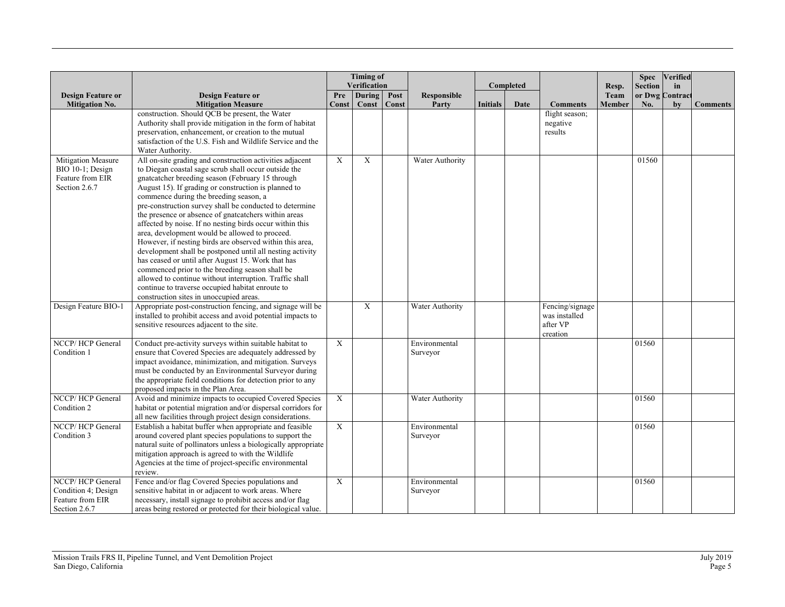|                                                                              |                                                                                                                                                                                                                                                                                                                                                                                                                                                                                                                                                                                                                                                                                                                                                                                                                                                                                                     |             | <b>Timing of</b><br>Verification |       |                           |                 | Completed |                                                          | Resp.         | <b>Spec</b><br>Section | <b>Verified</b><br>in |                 |
|------------------------------------------------------------------------------|-----------------------------------------------------------------------------------------------------------------------------------------------------------------------------------------------------------------------------------------------------------------------------------------------------------------------------------------------------------------------------------------------------------------------------------------------------------------------------------------------------------------------------------------------------------------------------------------------------------------------------------------------------------------------------------------------------------------------------------------------------------------------------------------------------------------------------------------------------------------------------------------------------|-------------|----------------------------------|-------|---------------------------|-----------------|-----------|----------------------------------------------------------|---------------|------------------------|-----------------------|-----------------|
| <b>Design Feature or</b>                                                     | <b>Design Feature or</b>                                                                                                                                                                                                                                                                                                                                                                                                                                                                                                                                                                                                                                                                                                                                                                                                                                                                            | Pre         | During                           | Post  | <b>Responsible</b>        |                 |           |                                                          | Team          | or Dwg Contract        |                       |                 |
| <b>Mitigation No.</b>                                                        | <b>Mitigation Measure</b><br>construction. Should QCB be present, the Water<br>Authority shall provide mitigation in the form of habitat<br>preservation, enhancement, or creation to the mutual<br>satisfaction of the U.S. Fish and Wildlife Service and the<br>Water Authority                                                                                                                                                                                                                                                                                                                                                                                                                                                                                                                                                                                                                   | Const       | Const                            | Const | Party                     | <b>Initials</b> | Date      | <b>Comments</b><br>flight season;<br>negative<br>results | <b>Member</b> | No.                    | bv                    | <b>Comments</b> |
| Mitigation Measure<br>BIO 10-1; Design<br>Feature from EIR<br>Section 2.6.7  | All on-site grading and construction activities adjacent<br>to Diegan coastal sage scrub shall occur outside the<br>gnateatcher breeding season (February 15 through<br>August 15). If grading or construction is planned to<br>commence during the breeding season, a<br>pre-construction survey shall be conducted to determine<br>the presence or absence of gnatcatchers within areas<br>affected by noise. If no nesting birds occur within this<br>area, development would be allowed to proceed.<br>However, if nesting birds are observed within this area,<br>development shall be postponed until all nesting activity<br>has ceased or until after August 15. Work that has<br>commenced prior to the breeding season shall be<br>allowed to continue without interruption. Traffic shall<br>continue to traverse occupied habitat enroute to<br>construction sites in unoccupied areas. | X           | $\mathbf X$                      |       | Water Authority           |                 |           |                                                          |               | 01560                  |                       |                 |
| Design Feature BIO-1                                                         | Appropriate post-construction fencing, and signage will be<br>installed to prohibit access and avoid potential impacts to<br>sensitive resources adjacent to the site.                                                                                                                                                                                                                                                                                                                                                                                                                                                                                                                                                                                                                                                                                                                              |             | X                                |       | Water Authority           |                 |           | Fencing/signage<br>was installed<br>after VP<br>creation |               |                        |                       |                 |
| NCCP/HCP General<br>Condition 1                                              | Conduct pre-activity surveys within suitable habitat to<br>ensure that Covered Species are adequately addressed by<br>impact avoidance, minimization, and mitigation. Surveys<br>must be conducted by an Environmental Surveyor during<br>the appropriate field conditions for detection prior to any<br>proposed impacts in the Plan Area.                                                                                                                                                                                                                                                                                                                                                                                                                                                                                                                                                         | X           |                                  |       | Environmental<br>Surveyor |                 |           |                                                          |               | 01560                  |                       |                 |
| NCCP/HCP General<br>Condition 2                                              | Avoid and minimize impacts to occupied Covered Species<br>habitat or potential migration and/or dispersal corridors for<br>all new facilities through project design considerations.                                                                                                                                                                                                                                                                                                                                                                                                                                                                                                                                                                                                                                                                                                                | $\mathbf X$ |                                  |       | Water Authority           |                 |           |                                                          |               | $\overline{0}1560$     |                       |                 |
| NCCP/HCP General<br>Condition 3                                              | Establish a habitat buffer when appropriate and feasible<br>around covered plant species populations to support the<br>natural suite of pollinators unless a biologically appropriate<br>mitigation approach is agreed to with the Wildlife<br>Agencies at the time of project-specific environmental<br>review.                                                                                                                                                                                                                                                                                                                                                                                                                                                                                                                                                                                    | X           |                                  |       | Environmental<br>Surveyor |                 |           |                                                          |               | 01560                  |                       |                 |
| NCCP/HCP General<br>Condition 4; Design<br>Feature from EIR<br>Section 2.6.7 | Fence and/or flag Covered Species populations and<br>sensitive habitat in or adjacent to work areas. Where<br>necessary, install signage to prohibit access and/or flag<br>areas being restored or protected for their biological value.                                                                                                                                                                                                                                                                                                                                                                                                                                                                                                                                                                                                                                                            | X           |                                  |       | Environmental<br>Surveyor |                 |           |                                                          |               | 01560                  |                       |                 |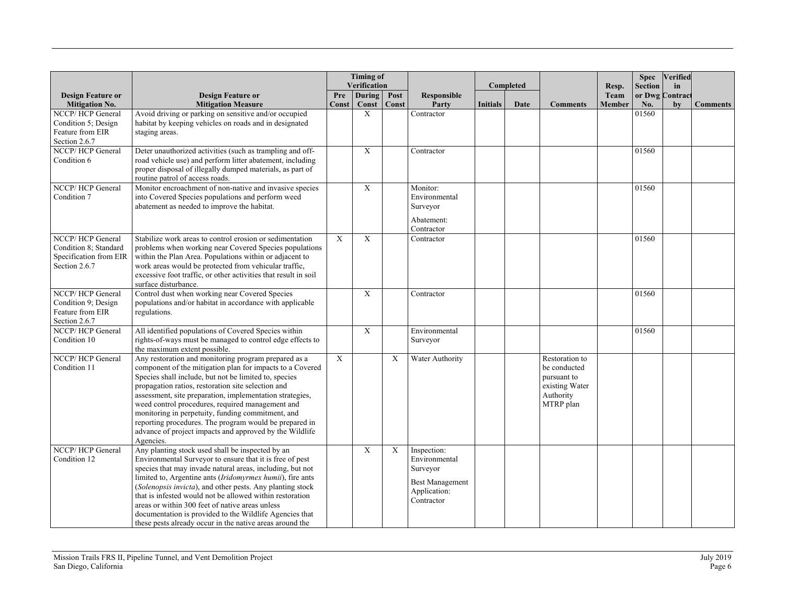|                                                                                      |                                                                                                                                                                                                                                                                                                                                                                                                                                                                                                                                                    |              | <b>Timing of</b>              |                           |                                                                                                  |                 |                  |                                                                                           |               | <b>Spec</b>                | Verified              |                 |
|--------------------------------------------------------------------------------------|----------------------------------------------------------------------------------------------------------------------------------------------------------------------------------------------------------------------------------------------------------------------------------------------------------------------------------------------------------------------------------------------------------------------------------------------------------------------------------------------------------------------------------------------------|--------------|-------------------------------|---------------------------|--------------------------------------------------------------------------------------------------|-----------------|------------------|-------------------------------------------------------------------------------------------|---------------|----------------------------|-----------------------|-----------------|
| <b>Design Feature or</b>                                                             | <b>Design Feature or</b>                                                                                                                                                                                                                                                                                                                                                                                                                                                                                                                           | Pre          | Verification<br><b>During</b> | Post                      | <b>Responsible</b>                                                                               |                 | <b>Completed</b> |                                                                                           | Resp.<br>Team | <b>Section</b><br>or Dwg C | in<br><b>Contract</b> |                 |
| <b>Mitigation No.</b>                                                                | <b>Mitigation Measure</b>                                                                                                                                                                                                                                                                                                                                                                                                                                                                                                                          | <b>Const</b> | Const                         | Const                     | Party                                                                                            | <b>Initials</b> | Date             | <b>Comments</b>                                                                           | <b>Member</b> | No.                        | by                    | <b>Comments</b> |
| NCCP/HCP General<br>Condition 5; Design<br>Feature from EIR<br>Section 2.6.7         | Avoid driving or parking on sensitive and/or occupied<br>habitat by keeping vehicles on roads and in designated<br>staging areas.                                                                                                                                                                                                                                                                                                                                                                                                                  |              | X                             |                           | Contractor                                                                                       |                 |                  |                                                                                           |               | 01560                      |                       |                 |
| NCCP/HCP General<br>Condition 6                                                      | Deter unauthorized activities (such as trampling and off-<br>road vehicle use) and perform litter abatement, including<br>proper disposal of illegally dumped materials, as part of<br>routine patrol of access roads.                                                                                                                                                                                                                                                                                                                             |              | X                             |                           | Contractor                                                                                       |                 |                  |                                                                                           |               | 01560                      |                       |                 |
| NCCP/HCP General<br>Condition 7                                                      | Monitor encroachment of non-native and invasive species<br>into Covered Species populations and perform weed<br>abatement as needed to improve the habitat.                                                                                                                                                                                                                                                                                                                                                                                        |              | X                             |                           | Monitor:<br>Environmental<br>Surveyor<br>Abatement:<br>Contractor                                |                 |                  |                                                                                           |               | 01560                      |                       |                 |
| NCCP/HCP General<br>Condition 8; Standard<br>Specification from EIR<br>Section 2.6.7 | Stabilize work areas to control erosion or sedimentation<br>problems when working near Covered Species populations<br>within the Plan Area. Populations within or adjacent to<br>work areas would be protected from vehicular traffic,<br>excessive foot traffic, or other activities that result in soil<br>surface disturbance.                                                                                                                                                                                                                  | X            | X                             |                           | Contractor                                                                                       |                 |                  |                                                                                           |               | 01560                      |                       |                 |
| NCCP/HCP General<br>Condition 9; Design<br>Feature from EIR<br>Section 2.6.7         | Control dust when working near Covered Species<br>populations and/or habitat in accordance with applicable<br>regulations.                                                                                                                                                                                                                                                                                                                                                                                                                         |              | $\boldsymbol{\mathrm{X}}$     |                           | Contractor                                                                                       |                 |                  |                                                                                           |               | 01560                      |                       |                 |
| NCCP/HCP General<br>Condition 10                                                     | All identified populations of Covered Species within<br>rights-of-ways must be managed to control edge effects to<br>the maximum extent possible.                                                                                                                                                                                                                                                                                                                                                                                                  |              | X                             |                           | Environmental<br>Surveyor                                                                        |                 |                  |                                                                                           |               | 01560                      |                       |                 |
| NCCP/HCP General<br>Condition 11                                                     | Any restoration and monitoring program prepared as a<br>component of the mitigation plan for impacts to a Covered<br>Species shall include, but not be limited to, species<br>propagation ratios, restoration site selection and<br>assessment, site preparation, implementation strategies,<br>weed control procedures, required management and<br>monitoring in perpetuity, funding commitment, and<br>reporting procedures. The program would be prepared in<br>advance of project impacts and approved by the Wildlife<br>Agencies.            | X            |                               | $\boldsymbol{\mathrm{X}}$ | Water Authority                                                                                  |                 |                  | Restoration to<br>be conducted<br>pursuant to<br>existing Water<br>Authority<br>MTRP plan |               |                            |                       |                 |
| NCCP/HCP General<br>Condition 12                                                     | Any planting stock used shall be inspected by an<br>Environmental Surveyor to ensure that it is free of pest<br>species that may invade natural areas, including, but not<br>limited to, Argentine ants ( <i>Iridomyrmex humii</i> ), fire ants<br>(Solenopsis invicta), and other pests. Any planting stock<br>that is infested would not be allowed within restoration<br>areas or within 300 feet of native areas unless<br>documentation is provided to the Wildlife Agencies that<br>these pests already occur in the native areas around the |              | X                             | X                         | Inspection:<br>Environmental<br>Surveyor<br><b>Best Management</b><br>Application:<br>Contractor |                 |                  |                                                                                           |               |                            |                       |                 |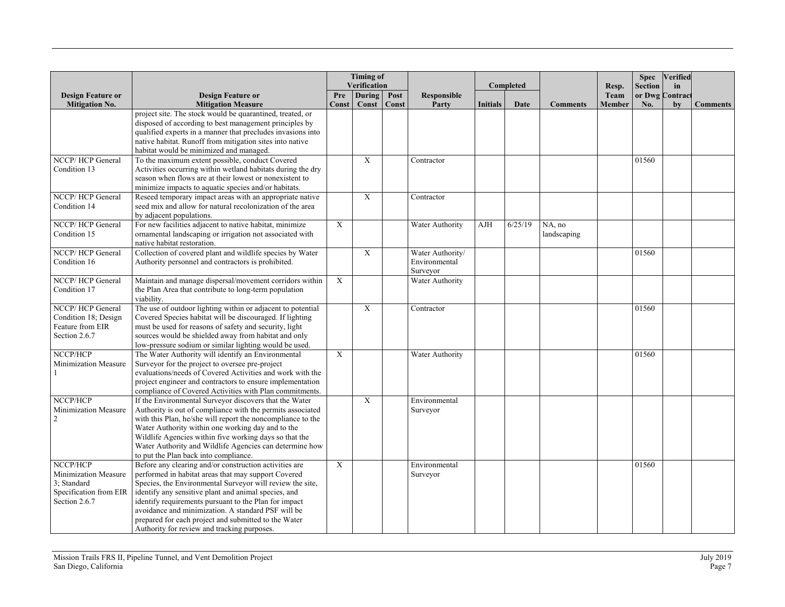|                          |                                                                                                                     |       | <b>Timing of</b><br><b>Verification</b> |       |                    |                 | Completed |                 | Resp.         | <b>Spec</b><br><b>Section</b> | <b>Verified</b><br>in |                 |
|--------------------------|---------------------------------------------------------------------------------------------------------------------|-------|-----------------------------------------|-------|--------------------|-----------------|-----------|-----------------|---------------|-------------------------------|-----------------------|-----------------|
| <b>Design Feature or</b> | <b>Design Feature or</b>                                                                                            | Pre   | During                                  | Post  | <b>Responsible</b> |                 |           |                 | Team          | or Dwg                        | <b>Contract</b>       |                 |
| <b>Mitigation No.</b>    | <b>Mitigation Measure</b>                                                                                           | Const | Const                                   | Const | Party              | <b>Initials</b> | Date      | <b>Comments</b> | <b>Member</b> | No.                           | bv                    | <b>Comments</b> |
|                          | project site. The stock would be quarantined, treated, or<br>disposed of according to best management principles by |       |                                         |       |                    |                 |           |                 |               |                               |                       |                 |
|                          | qualified experts in a manner that precludes invasions into                                                         |       |                                         |       |                    |                 |           |                 |               |                               |                       |                 |
|                          | native habitat. Runoff from mitigation sites into native                                                            |       |                                         |       |                    |                 |           |                 |               |                               |                       |                 |
|                          | habitat would be minimized and managed.                                                                             |       |                                         |       |                    |                 |           |                 |               |                               |                       |                 |
| NCCP/HCP General         | To the maximum extent possible, conduct Covered                                                                     |       | X                                       |       | Contractor         |                 |           |                 |               | 01560                         |                       |                 |
| Condition 13             | Activities occurring within wetland habitats during the dry                                                         |       |                                         |       |                    |                 |           |                 |               |                               |                       |                 |
|                          | season when flows are at their lowest or nonexistent to                                                             |       |                                         |       |                    |                 |           |                 |               |                               |                       |                 |
|                          | minimize impacts to aquatic species and/or habitats.                                                                |       |                                         |       |                    |                 |           |                 |               |                               |                       |                 |
| NCCP/HCP General         | Reseed temporary impact areas with an appropriate native                                                            |       | X                                       |       | Contractor         |                 |           |                 |               |                               |                       |                 |
| Condition 14             | seed mix and allow for natural recolonization of the area                                                           |       |                                         |       |                    |                 |           |                 |               |                               |                       |                 |
|                          | by adjacent populations.                                                                                            |       |                                         |       |                    |                 |           |                 |               |                               |                       |                 |
| NCCP/HCP General         | For new facilities adjacent to native habitat, minimize                                                             | X     |                                         |       | Water Authority    | AJH             | 6/25/19   | NA, no          |               |                               |                       |                 |
| Condition 15             | ornamental landscaping or irrigation not associated with                                                            |       |                                         |       |                    |                 |           | landscaping     |               |                               |                       |                 |
|                          | native habitat restoration.                                                                                         |       |                                         |       |                    |                 |           |                 |               |                               |                       |                 |
| NCCP/HCP General         | Collection of covered plant and wildlife species by Water                                                           |       | X                                       |       | Water Authority/   |                 |           |                 |               | 01560                         |                       |                 |
| Condition 16             | Authority personnel and contractors is prohibited.                                                                  |       |                                         |       | Environmental      |                 |           |                 |               |                               |                       |                 |
|                          |                                                                                                                     |       |                                         |       | Surveyor           |                 |           |                 |               |                               |                       |                 |
| NCCP/HCP General         | Maintain and manage dispersal/movement corridors within                                                             | X     |                                         |       | Water Authority    |                 |           |                 |               |                               |                       |                 |
| Condition 17             | the Plan Area that contribute to long-term population<br>viability.                                                 |       |                                         |       |                    |                 |           |                 |               |                               |                       |                 |
| NCCP/HCP General         | The use of outdoor lighting within or adjacent to potential                                                         |       | X                                       |       | Contractor         |                 |           |                 |               | 01560                         |                       |                 |
| Condition 18; Design     | Covered Species habitat will be discouraged. If lighting                                                            |       |                                         |       |                    |                 |           |                 |               |                               |                       |                 |
| Feature from EIR         | must be used for reasons of safety and security, light                                                              |       |                                         |       |                    |                 |           |                 |               |                               |                       |                 |
| Section 2.6.7            | sources would be shielded away from habitat and only                                                                |       |                                         |       |                    |                 |           |                 |               |                               |                       |                 |
|                          | low-pressure sodium or similar lighting would be used.                                                              |       |                                         |       |                    |                 |           |                 |               |                               |                       |                 |
| NCCP/HCP                 | The Water Authority will identify an Environmental                                                                  | X     |                                         |       | Water Authority    |                 |           |                 |               | 01560                         |                       |                 |
| Minimization Measure     | Surveyor for the project to oversee pre-project                                                                     |       |                                         |       |                    |                 |           |                 |               |                               |                       |                 |
|                          | evaluations/needs of Covered Activities and work with the                                                           |       |                                         |       |                    |                 |           |                 |               |                               |                       |                 |
|                          | project engineer and contractors to ensure implementation                                                           |       |                                         |       |                    |                 |           |                 |               |                               |                       |                 |
|                          | compliance of Covered Activities with Plan commitments.                                                             |       |                                         |       |                    |                 |           |                 |               |                               |                       |                 |
| NCCP/HCP                 | If the Environmental Surveyor discovers that the Water                                                              |       | $\mathbf X$                             |       | Environmental      |                 |           |                 |               |                               |                       |                 |
| Minimization Measure     | Authority is out of compliance with the permits associated                                                          |       |                                         |       | Surveyor           |                 |           |                 |               |                               |                       |                 |
| $\overline{2}$           | with this Plan, he/she will report the noncompliance to the                                                         |       |                                         |       |                    |                 |           |                 |               |                               |                       |                 |
|                          | Water Authority within one working day and to the                                                                   |       |                                         |       |                    |                 |           |                 |               |                               |                       |                 |
|                          | Wildlife Agencies within five working days so that the<br>Water Authority and Wildlife Agencies can determine how   |       |                                         |       |                    |                 |           |                 |               |                               |                       |                 |
|                          | to put the Plan back into compliance.                                                                               |       |                                         |       |                    |                 |           |                 |               |                               |                       |                 |
| NCCP/HCP                 | Before any clearing and/or construction activities are                                                              | X     |                                         |       | Environmental      |                 |           |                 |               | 01560                         |                       |                 |
| Minimization Measure     | performed in habitat areas that may support Covered                                                                 |       |                                         |       | Surveyor           |                 |           |                 |               |                               |                       |                 |
| 3: Standard              | Species, the Environmental Surveyor will review the site,                                                           |       |                                         |       |                    |                 |           |                 |               |                               |                       |                 |
| Specification from EIR   | identify any sensitive plant and animal species, and                                                                |       |                                         |       |                    |                 |           |                 |               |                               |                       |                 |
| Section 2.6.7            | identify requirements pursuant to the Plan for impact                                                               |       |                                         |       |                    |                 |           |                 |               |                               |                       |                 |
|                          | avoidance and minimization. A standard PSF will be                                                                  |       |                                         |       |                    |                 |           |                 |               |                               |                       |                 |
|                          | prepared for each project and submitted to the Water                                                                |       |                                         |       |                    |                 |           |                 |               |                               |                       |                 |
|                          | Authority for review and tracking purposes.                                                                         |       |                                         |       |                    |                 |           |                 |               |                               |                       |                 |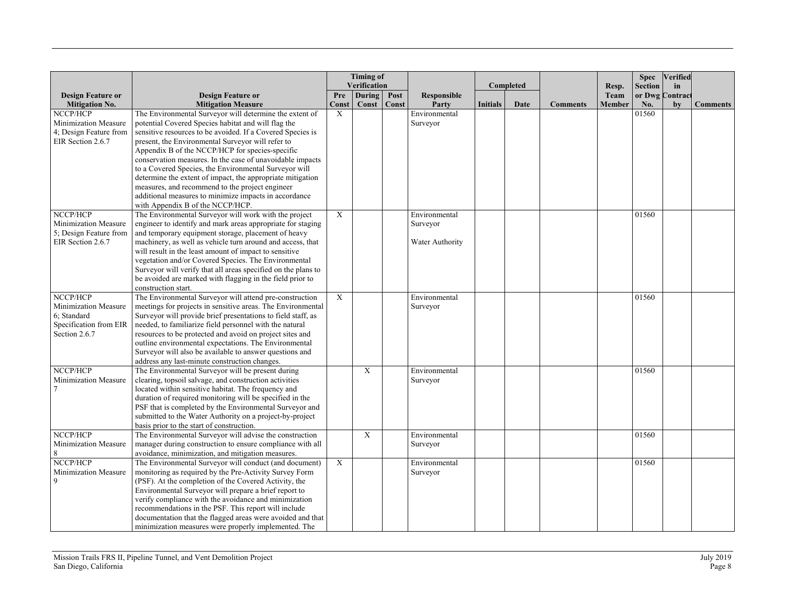|                                                                                            |                                                                                                                                                                                                                                                                                                                                                                                                                                                                                                                                                                                      |              | <b>Timing of</b><br>Verification |       |                                              |                 | Completed |                 | Resp.  | <b>Spec</b><br><b>Section</b> | Verified<br>in |                 |
|--------------------------------------------------------------------------------------------|--------------------------------------------------------------------------------------------------------------------------------------------------------------------------------------------------------------------------------------------------------------------------------------------------------------------------------------------------------------------------------------------------------------------------------------------------------------------------------------------------------------------------------------------------------------------------------------|--------------|----------------------------------|-------|----------------------------------------------|-----------------|-----------|-----------------|--------|-------------------------------|----------------|-----------------|
| <b>Design Feature or</b>                                                                   | <b>Design Feature or</b>                                                                                                                                                                                                                                                                                                                                                                                                                                                                                                                                                             | Pre          | <b>During</b>                    | Post  | <b>Responsible</b>                           |                 |           |                 | Team   | or Dwg                        | 'ontract       |                 |
| <b>Mitigation No.</b>                                                                      | <b>Mitigation Measure</b>                                                                                                                                                                                                                                                                                                                                                                                                                                                                                                                                                            | Const        | Const                            | Const | Party                                        | <b>Initials</b> | Date      | <b>Comments</b> | Member | No.                           | by             | <b>Comments</b> |
| NCCP/HCP<br>Minimization Measure<br>4; Design Feature from<br>EIR Section 2.6.7            | The Environmental Surveyor will determine the extent of<br>potential Covered Species habitat and will flag the<br>sensitive resources to be avoided. If a Covered Species is<br>present, the Environmental Surveyor will refer to<br>Appendix B of the NCCP/HCP for species-specific<br>conservation measures. In the case of unavoidable impacts<br>to a Covered Species, the Environmental Surveyor will<br>determine the extent of impact, the appropriate mitigation<br>measures, and recommend to the project engineer<br>additional measures to minimize impacts in accordance | $\mathbf{x}$ |                                  |       | Environmental<br>Surveyor                    |                 |           |                 |        | 01560                         |                |                 |
| NCCP/HCP<br>Minimization Measure<br>5; Design Feature from<br>EIR Section 2.6.7            | with Appendix B of the NCCP/HCP.<br>The Environmental Surveyor will work with the project<br>engineer to identify and mark areas appropriate for staging<br>and temporary equipment storage, placement of heavy<br>machinery, as well as vehicle turn around and access, that<br>will result in the least amount of impact to sensitive<br>vegetation and/or Covered Species. The Environmental<br>Surveyor will verify that all areas specified on the plans to<br>be avoided are marked with flagging in the field prior to<br>construction start.                                 | $\mathbf X$  |                                  |       | Environmental<br>Surveyor<br>Water Authority |                 |           |                 |        | 01560                         |                |                 |
| NCCP/HCP<br>Minimization Measure<br>6; Standard<br>Specification from EIR<br>Section 2.6.7 | The Environmental Surveyor will attend pre-construction<br>meetings for projects in sensitive areas. The Environmental<br>Surveyor will provide brief presentations to field staff, as<br>needed, to familiarize field personnel with the natural<br>resources to be protected and avoid on project sites and<br>outline environmental expectations. The Environmental<br>Surveyor will also be available to answer questions and<br>address any last-minute construction changes.                                                                                                   | X            |                                  |       | Environmental<br>Surveyor                    |                 |           |                 |        | 01560                         |                |                 |
| NCCP/HCP<br><b>Minimization Measure</b>                                                    | The Environmental Surveyor will be present during<br>clearing, topsoil salvage, and construction activities<br>located within sensitive habitat. The frequency and<br>duration of required monitoring will be specified in the<br>PSF that is completed by the Environmental Surveyor and<br>submitted to the Water Authority on a project-by-project<br>basis prior to the start of construction.                                                                                                                                                                                   |              | X                                |       | Environmental<br>Surveyor                    |                 |           |                 |        | 01560                         |                |                 |
| NCCP/HCP<br>Minimization Measure<br>$\mathbf{8}$                                           | The Environmental Surveyor will advise the construction<br>manager during construction to ensure compliance with all<br>avoidance, minimization, and mitigation measures.                                                                                                                                                                                                                                                                                                                                                                                                            |              | $\mathbf X$                      |       | Environmental<br>Surveyor                    |                 |           |                 |        | 01560                         |                |                 |
| NCCP/HCP<br>Minimization Measure<br>$\mathbf Q$                                            | The Environmental Surveyor will conduct (and document)<br>monitoring as required by the Pre-Activity Survey Form<br>(PSF). At the completion of the Covered Activity, the<br>Environmental Surveyor will prepare a brief report to<br>verify compliance with the avoidance and minimization<br>recommendations in the PSF. This report will include<br>documentation that the flagged areas were avoided and that<br>minimization measures were properly implemented. The                                                                                                            | X            |                                  |       | Environmental<br>Surveyor                    |                 |           |                 |        | 01560                         |                |                 |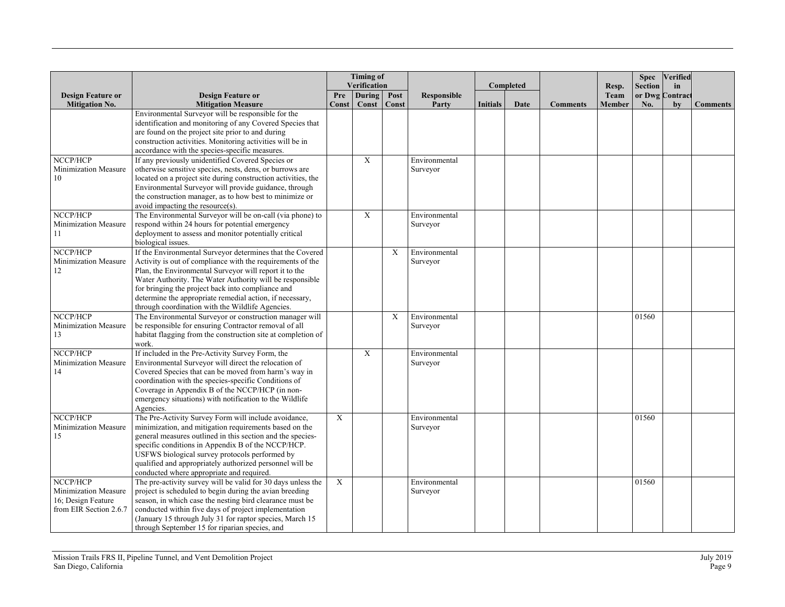|                                                                                  |                                                                                                                                                                                                                                                                                                                                                                                                                    |       | <b>Timing of</b><br><b>Verification</b> |              |                           |                 | Completed |                 | Resp.         | <b>Spec</b><br>Section | <b>Verified</b><br>in |                 |
|----------------------------------------------------------------------------------|--------------------------------------------------------------------------------------------------------------------------------------------------------------------------------------------------------------------------------------------------------------------------------------------------------------------------------------------------------------------------------------------------------------------|-------|-----------------------------------------|--------------|---------------------------|-----------------|-----------|-----------------|---------------|------------------------|-----------------------|-----------------|
| <b>Design Feature or</b>                                                         | <b>Design Feature or</b>                                                                                                                                                                                                                                                                                                                                                                                           | Pre   | During                                  | Post         | <b>Responsible</b>        |                 |           |                 | Team          | or Dwg C               | <b>ontract</b>        |                 |
| <b>Mitigation No.</b>                                                            | <b>Mitigation Measure</b><br>Environmental Surveyor will be responsible for the<br>identification and monitoring of any Covered Species that<br>are found on the project site prior to and during<br>construction activities. Monitoring activities will be in                                                                                                                                                     | Const | Const                                   | Const        | Party                     | <b>Initials</b> | Date      | <b>Comments</b> | <b>Member</b> | No.                    | bv                    | <b>Comments</b> |
| NCCP/HCP<br><b>Minimization Measure</b><br>10                                    | accordance with the species-specific measures.<br>If any previously unidentified Covered Species or<br>otherwise sensitive species, nests, dens, or burrows are<br>located on a project site during construction activities, the<br>Environmental Surveyor will provide guidance, through<br>the construction manager, as to how best to minimize or<br>avoid impacting the resource(s).                           |       | X                                       |              | Environmental<br>Surveyor |                 |           |                 |               |                        |                       |                 |
| NCCP/HCP<br>Minimization Measure<br>11                                           | The Environmental Surveyor will be on-call (via phone) to<br>respond within 24 hours for potential emergency<br>deployment to assess and monitor potentially critical<br>biological issues.                                                                                                                                                                                                                        |       | X                                       |              | Environmental<br>Surveyor |                 |           |                 |               |                        |                       |                 |
| NCCP/HCP<br>Minimization Measure<br>12                                           | If the Environmental Surveyor determines that the Covered<br>Activity is out of compliance with the requirements of the<br>Plan, the Environmental Surveyor will report it to the<br>Water Authority. The Water Authority will be responsible<br>for bringing the project back into compliance and<br>determine the appropriate remedial action, if necessary,<br>through coordination with the Wildlife Agencies. |       |                                         | $\mathbf{x}$ | Environmental<br>Surveyor |                 |           |                 |               |                        |                       |                 |
| NCCP/HCP<br>Minimization Measure<br>13                                           | The Environmental Surveyor or construction manager will<br>be responsible for ensuring Contractor removal of all<br>habitat flagging from the construction site at completion of<br>work.                                                                                                                                                                                                                          |       |                                         | X            | Environmental<br>Surveyor |                 |           |                 |               | 01560                  |                       |                 |
| NCCP/HCP<br>Minimization Measure<br>14                                           | If included in the Pre-Activity Survey Form, the<br>Environmental Surveyor will direct the relocation of<br>Covered Species that can be moved from harm's way in<br>coordination with the species-specific Conditions of<br>Coverage in Appendix B of the NCCP/HCP (in non-<br>emergency situations) with notification to the Wildlife<br>Agencies.                                                                |       | X                                       |              | Environmental<br>Surveyor |                 |           |                 |               |                        |                       |                 |
| NCCP/HCP<br>Minimization Measure<br>15                                           | The Pre-Activity Survey Form will include avoidance,<br>minimization, and mitigation requirements based on the<br>general measures outlined in this section and the species-<br>specific conditions in Appendix B of the NCCP/HCP.<br>USFWS biological survey protocols performed by<br>qualified and appropriately authorized personnel will be<br>conducted where appropriate and required.                      | X     |                                         |              | Environmental<br>Surveyor |                 |           |                 |               | 01560                  |                       |                 |
| NCCP/HCP<br>Minimization Measure<br>16; Design Feature<br>from EIR Section 2.6.7 | The pre-activity survey will be valid for 30 days unless the<br>project is scheduled to begin during the avian breeding<br>season, in which case the nesting bird clearance must be<br>conducted within five days of project implementation<br>(January 15 through July 31 for raptor species, March 15<br>through September 15 for riparian species, and                                                          | X     |                                         |              | Environmental<br>Surveyor |                 |           |                 |               | 01560                  |                       |                 |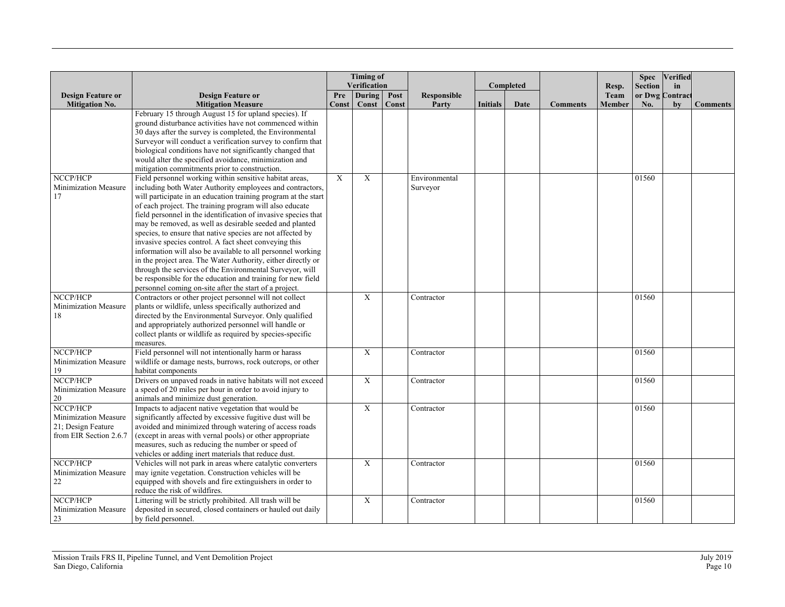|                                                                                  |                                                                                                                                                                                                                                                                                                                                                                                                                                                                                                                                                                                                                                                                         |       | <b>Timing of</b><br>Verification |      |                           |                 | Completed |                 | Resp.         | <b>Spec</b><br><b>Section</b> | Verified<br>in |                 |
|----------------------------------------------------------------------------------|-------------------------------------------------------------------------------------------------------------------------------------------------------------------------------------------------------------------------------------------------------------------------------------------------------------------------------------------------------------------------------------------------------------------------------------------------------------------------------------------------------------------------------------------------------------------------------------------------------------------------------------------------------------------------|-------|----------------------------------|------|---------------------------|-----------------|-----------|-----------------|---------------|-------------------------------|----------------|-----------------|
| <b>Design Feature or</b>                                                         | <b>Design Feature or</b>                                                                                                                                                                                                                                                                                                                                                                                                                                                                                                                                                                                                                                                | Pre   | During                           | Post | <b>Responsible</b>        |                 |           |                 | Team          | or Dwg                        | Contract       |                 |
| <b>Mitigation No.</b>                                                            | <b>Mitigation Measure</b>                                                                                                                                                                                                                                                                                                                                                                                                                                                                                                                                                                                                                                               | Const | Const Const                      |      | Party                     | <b>Initials</b> | Date      | <b>Comments</b> | <b>Member</b> | No.                           | bv             | <b>Comments</b> |
| NCCP/HCP<br>Minimization Measure<br>17                                           | February 15 through August 15 for upland species). If<br>ground disturbance activities have not commenced within<br>30 days after the survey is completed, the Environmental<br>Surveyor will conduct a verification survey to confirm that<br>biological conditions have not significantly changed that<br>would alter the specified avoidance, minimization and<br>mitigation commitments prior to construction.<br>Field personnel working within sensitive habitat areas,<br>including both Water Authority employees and contractors,<br>will participate in an education training program at the start<br>of each project. The training program will also educate | X     | X                                |      | Environmental<br>Surveyor |                 |           |                 |               | 01560                         |                |                 |
|                                                                                  | field personnel in the identification of invasive species that<br>may be removed, as well as desirable seeded and planted<br>species, to ensure that native species are not affected by<br>invasive species control. A fact sheet conveying this<br>information will also be available to all personnel working<br>in the project area. The Water Authority, either directly or<br>through the services of the Environmental Surveyor, will<br>be responsible for the education and training for new field<br>personnel coming on-site after the start of a project.                                                                                                    |       |                                  |      |                           |                 |           |                 |               |                               |                |                 |
| NCCP/HCP<br>Minimization Measure<br>18                                           | Contractors or other project personnel will not collect<br>plants or wildlife, unless specifically authorized and<br>directed by the Environmental Surveyor. Only qualified<br>and appropriately authorized personnel will handle or<br>collect plants or wildlife as required by species-specific<br>measures.                                                                                                                                                                                                                                                                                                                                                         |       | X                                |      | Contractor                |                 |           |                 |               | 01560                         |                |                 |
| NCCP/HCP<br><b>Minimization Measure</b><br>19                                    | Field personnel will not intentionally harm or harass<br>wildlife or damage nests, burrows, rock outcrops, or other<br>habitat components                                                                                                                                                                                                                                                                                                                                                                                                                                                                                                                               |       | X                                |      | Contractor                |                 |           |                 |               | 01560                         |                |                 |
| NCCP/HCP<br>Minimization Measure<br>20                                           | Drivers on unpaved roads in native habitats will not exceed<br>a speed of 20 miles per hour in order to avoid injury to<br>animals and minimize dust generation.                                                                                                                                                                                                                                                                                                                                                                                                                                                                                                        |       | $\mathbf X$                      |      | Contractor                |                 |           |                 |               | 01560                         |                |                 |
| NCCP/HCP<br>Minimization Measure<br>21; Design Feature<br>from EIR Section 2.6.7 | Impacts to adjacent native vegetation that would be<br>significantly affected by excessive fugitive dust will be<br>avoided and minimized through watering of access roads<br>(except in areas with vernal pools) or other appropriate<br>measures, such as reducing the number or speed of<br>vehicles or adding inert materials that reduce dust.                                                                                                                                                                                                                                                                                                                     |       | X                                |      | Contractor                |                 |           |                 |               | $\overline{0}1560$            |                |                 |
| NCCP/HCP<br>Minimization Measure<br>22                                           | Vehicles will not park in areas where catalytic converters<br>may ignite vegetation. Construction vehicles will be<br>equipped with shovels and fire extinguishers in order to<br>reduce the risk of wildfires.                                                                                                                                                                                                                                                                                                                                                                                                                                                         |       | X                                |      | Contractor                |                 |           |                 |               | 01560                         |                |                 |
| NCCP/HCP<br><b>Minimization Measure</b><br>23                                    | Littering will be strictly prohibited. All trash will be<br>deposited in secured, closed containers or hauled out daily<br>by field personnel.                                                                                                                                                                                                                                                                                                                                                                                                                                                                                                                          |       | X                                |      | Contractor                |                 |           |                 |               | 01560                         |                |                 |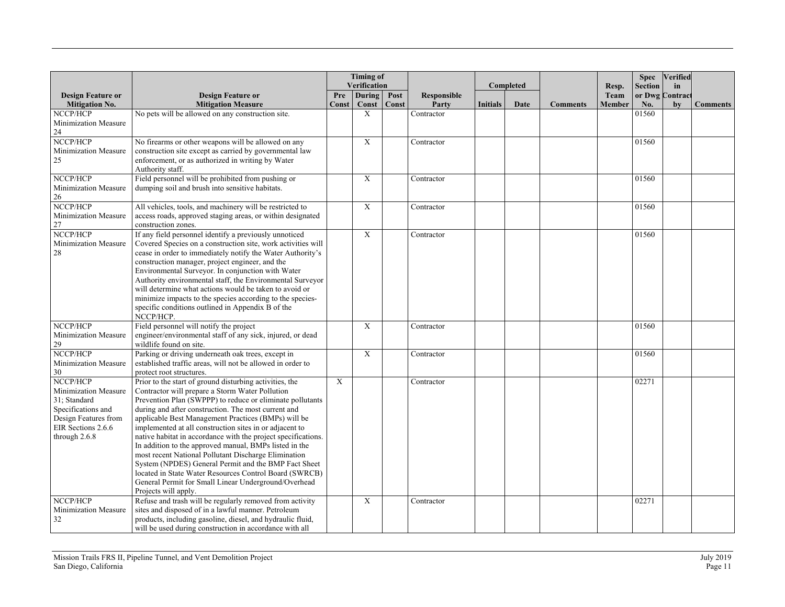|                                                                                                                                       |                                                                                                                                                                                                                                                                                                                                                                                                                                                                                                                                                                                                                                                                                                                                       |       | <b>Timing of</b>              |       |                    |                 |           |                 |               | <b>Spec</b>       | Verified      |                 |
|---------------------------------------------------------------------------------------------------------------------------------------|---------------------------------------------------------------------------------------------------------------------------------------------------------------------------------------------------------------------------------------------------------------------------------------------------------------------------------------------------------------------------------------------------------------------------------------------------------------------------------------------------------------------------------------------------------------------------------------------------------------------------------------------------------------------------------------------------------------------------------------|-------|-------------------------------|-------|--------------------|-----------------|-----------|-----------------|---------------|-------------------|---------------|-----------------|
| <b>Design Feature or</b>                                                                                                              | <b>Design Feature or</b>                                                                                                                                                                                                                                                                                                                                                                                                                                                                                                                                                                                                                                                                                                              | Pre   | Verification<br><b>During</b> | Post  | <b>Responsible</b> |                 | Completed |                 | Resp.<br>Team | Section<br>or Dwg | in<br>ontract |                 |
| <b>Mitigation No.</b>                                                                                                                 | <b>Mitigation Measure</b>                                                                                                                                                                                                                                                                                                                                                                                                                                                                                                                                                                                                                                                                                                             | Const | Const                         | Const | Party              | <b>Initials</b> | Date      | <b>Comments</b> | <b>Member</b> | No.               | by            | <b>Comments</b> |
| NCCP/HCP<br>Minimization Measure<br>24                                                                                                | No pets will be allowed on any construction site.                                                                                                                                                                                                                                                                                                                                                                                                                                                                                                                                                                                                                                                                                     |       | X                             |       | Contractor         |                 |           |                 |               | 01560             |               |                 |
| NCCP/HCP<br>Minimization Measure<br>25                                                                                                | No firearms or other weapons will be allowed on any<br>construction site except as carried by governmental law<br>enforcement, or as authorized in writing by Water<br>Authority staff.                                                                                                                                                                                                                                                                                                                                                                                                                                                                                                                                               |       | X                             |       | Contractor         |                 |           |                 |               | 01560             |               |                 |
| NCCP/HCP<br>Minimization Measure<br>26                                                                                                | Field personnel will be prohibited from pushing or<br>dumping soil and brush into sensitive habitats.                                                                                                                                                                                                                                                                                                                                                                                                                                                                                                                                                                                                                                 |       | X                             |       | Contractor         |                 |           |                 |               | 01560             |               |                 |
| NCCP/HCP<br>Minimization Measure                                                                                                      | All vehicles, tools, and machinery will be restricted to<br>access roads, approved staging areas, or within designated<br>construction zones.                                                                                                                                                                                                                                                                                                                                                                                                                                                                                                                                                                                         |       | X                             |       | Contractor         |                 |           |                 |               | 01560             |               |                 |
| $\frac{27}{NCCP/HCP}$<br>Minimization Measure<br>28                                                                                   | If any field personnel identify a previously unnoticed<br>Covered Species on a construction site, work activities will<br>cease in order to immediately notify the Water Authority's<br>construction manager, project engineer, and the<br>Environmental Surveyor. In conjunction with Water<br>Authority environmental staff, the Environmental Surveyor<br>will determine what actions would be taken to avoid or<br>minimize impacts to the species according to the species-<br>specific conditions outlined in Appendix B of the<br>NCCP/HCP.                                                                                                                                                                                    |       | $\mathbf X$                   |       | Contractor         |                 |           |                 |               | 01560             |               |                 |
| NCCP/HCP<br>Minimization Measure<br>29                                                                                                | Field personnel will notify the project<br>engineer/environmental staff of any sick, injured, or dead<br>wildlife found on site.                                                                                                                                                                                                                                                                                                                                                                                                                                                                                                                                                                                                      |       | X                             |       | Contractor         |                 |           |                 |               | 01560             |               |                 |
| NCCP/HCP<br>Minimization Measure<br>30                                                                                                | Parking or driving underneath oak trees, except in<br>established traffic areas, will not be allowed in order to<br>protect root structures.                                                                                                                                                                                                                                                                                                                                                                                                                                                                                                                                                                                          |       | X                             |       | Contractor         |                 |           |                 |               | 01560             |               |                 |
| NCCP/HCP<br>Minimization Measure<br>31; Standard<br>Specifications and<br>Design Features from<br>EIR Sections 2.6.6<br>through 2.6.8 | Prior to the start of ground disturbing activities, the<br>Contractor will prepare a Storm Water Pollution<br>Prevention Plan (SWPPP) to reduce or eliminate pollutants<br>during and after construction. The most current and<br>applicable Best Management Practices (BMPs) will be<br>implemented at all construction sites in or adjacent to<br>native habitat in accordance with the project specifications.<br>In addition to the approved manual, BMPs listed in the<br>most recent National Pollutant Discharge Elimination<br>System (NPDES) General Permit and the BMP Fact Sheet<br>located in State Water Resources Control Board (SWRCB)<br>General Permit for Small Linear Underground/Overhead<br>Projects will apply. | X     |                               |       | Contractor         |                 |           |                 |               | 02271             |               |                 |
| NCCP/HCP<br><b>Minimization Measure</b><br>32                                                                                         | Refuse and trash will be regularly removed from activity<br>sites and disposed of in a lawful manner. Petroleum<br>products, including gasoline, diesel, and hydraulic fluid,<br>will be used during construction in accordance with all                                                                                                                                                                                                                                                                                                                                                                                                                                                                                              |       | X                             |       | Contractor         |                 |           |                 |               | 02271             |               |                 |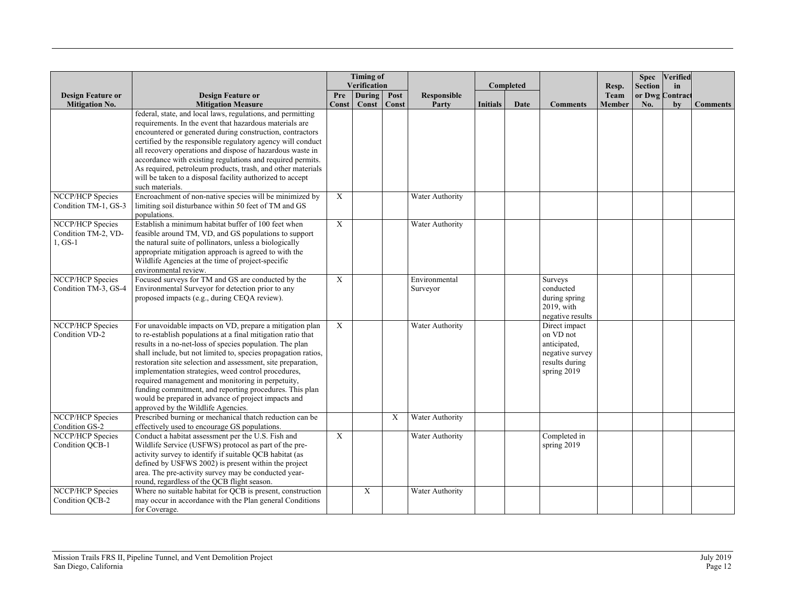|                          |                                                                                                                                |             | <b>Timing of</b><br>Verification |       |                 |                 | Completed |                                   | Resp.  | <b>Spec</b><br>Section | <b>Verified</b><br>in |                 |
|--------------------------|--------------------------------------------------------------------------------------------------------------------------------|-------------|----------------------------------|-------|-----------------|-----------------|-----------|-----------------------------------|--------|------------------------|-----------------------|-----------------|
| <b>Design Feature or</b> | <b>Design Feature or</b>                                                                                                       | Pre         | During                           | Post  | Responsible     |                 |           |                                   | Team   |                        | or Dwg Contract       |                 |
| <b>Mitigation No.</b>    | <b>Mitigation Measure</b><br>federal, state, and local laws, regulations, and permitting                                       | Const       | Const                            | Const | Party           | <b>Initials</b> | Date      | <b>Comments</b>                   | Member | No.                    | by                    | <b>Comments</b> |
|                          | requirements. In the event that hazardous materials are                                                                        |             |                                  |       |                 |                 |           |                                   |        |                        |                       |                 |
|                          | encountered or generated during construction, contractors                                                                      |             |                                  |       |                 |                 |           |                                   |        |                        |                       |                 |
|                          | certified by the responsible regulatory agency will conduct                                                                    |             |                                  |       |                 |                 |           |                                   |        |                        |                       |                 |
|                          | all recovery operations and dispose of hazardous waste in                                                                      |             |                                  |       |                 |                 |           |                                   |        |                        |                       |                 |
|                          | accordance with existing regulations and required permits.                                                                     |             |                                  |       |                 |                 |           |                                   |        |                        |                       |                 |
|                          | As required, petroleum products, trash, and other materials                                                                    |             |                                  |       |                 |                 |           |                                   |        |                        |                       |                 |
|                          | will be taken to a disposal facility authorized to accept                                                                      |             |                                  |       |                 |                 |           |                                   |        |                        |                       |                 |
|                          | such materials.                                                                                                                |             |                                  |       |                 |                 |           |                                   |        |                        |                       |                 |
| NCCP/HCP Species         | Encroachment of non-native species will be minimized by                                                                        | $\mathbf X$ |                                  |       | Water Authority |                 |           |                                   |        |                        |                       |                 |
| Condition TM-1, GS-3     | limiting soil disturbance within 50 feet of TM and GS<br>populations.                                                          |             |                                  |       |                 |                 |           |                                   |        |                        |                       |                 |
| NCCP/HCP Species         | Establish a minimum habitat buffer of 100 feet when                                                                            | X           |                                  |       | Water Authority |                 |           |                                   |        |                        |                       |                 |
| Condition TM-2, VD-      | feasible around TM, VD, and GS populations to support                                                                          |             |                                  |       |                 |                 |           |                                   |        |                        |                       |                 |
| $1, GS-1$                | the natural suite of pollinators, unless a biologically                                                                        |             |                                  |       |                 |                 |           |                                   |        |                        |                       |                 |
|                          | appropriate mitigation approach is agreed to with the                                                                          |             |                                  |       |                 |                 |           |                                   |        |                        |                       |                 |
|                          | Wildlife Agencies at the time of project-specific<br>environmental review.                                                     |             |                                  |       |                 |                 |           |                                   |        |                        |                       |                 |
| NCCP/HCP Species         | Focused surveys for TM and GS are conducted by the                                                                             | X           |                                  |       | Environmental   |                 |           | Surveys                           |        |                        |                       |                 |
| Condition TM-3, GS-4     | Environmental Surveyor for detection prior to any                                                                              |             |                                  |       | Surveyor        |                 |           | conducted                         |        |                        |                       |                 |
|                          | proposed impacts (e.g., during CEQA review).                                                                                   |             |                                  |       |                 |                 |           | during spring                     |        |                        |                       |                 |
|                          |                                                                                                                                |             |                                  |       |                 |                 |           | 2019, with                        |        |                        |                       |                 |
|                          |                                                                                                                                |             |                                  |       |                 |                 |           | negative results                  |        |                        |                       |                 |
| NCCP/HCP Species         | For unavoidable impacts on VD, prepare a mitigation plan                                                                       | X           |                                  |       | Water Authority |                 |           | Direct impact                     |        |                        |                       |                 |
| Condition VD-2           | to re-establish populations at a final mitigation ratio that                                                                   |             |                                  |       |                 |                 |           | on VD not                         |        |                        |                       |                 |
|                          | results in a no-net-loss of species population. The plan                                                                       |             |                                  |       |                 |                 |           | anticipated,                      |        |                        |                       |                 |
|                          | shall include, but not limited to, species propagation ratios,<br>restoration site selection and assessment, site preparation, |             |                                  |       |                 |                 |           | negative survey<br>results during |        |                        |                       |                 |
|                          | implementation strategies, weed control procedures,                                                                            |             |                                  |       |                 |                 |           | spring 2019                       |        |                        |                       |                 |
|                          | required management and monitoring in perpetuity,                                                                              |             |                                  |       |                 |                 |           |                                   |        |                        |                       |                 |
|                          | funding commitment, and reporting procedures. This plan                                                                        |             |                                  |       |                 |                 |           |                                   |        |                        |                       |                 |
|                          | would be prepared in advance of project impacts and                                                                            |             |                                  |       |                 |                 |           |                                   |        |                        |                       |                 |
|                          | approved by the Wildlife Agencies.                                                                                             |             |                                  |       |                 |                 |           |                                   |        |                        |                       |                 |
| <b>NCCP/HCP Species</b>  | Prescribed burning or mechanical thatch reduction can be                                                                       |             |                                  | X     | Water Authority |                 |           |                                   |        |                        |                       |                 |
| Condition GS-2           | effectively used to encourage GS populations.                                                                                  |             |                                  |       |                 |                 |           |                                   |        |                        |                       |                 |
| <b>NCCP/HCP Species</b>  | Conduct a habitat assessment per the U.S. Fish and                                                                             | X           |                                  |       | Water Authority |                 |           | Completed in                      |        |                        |                       |                 |
| Condition OCB-1          | Wildlife Service (USFWS) protocol as part of the pre-                                                                          |             |                                  |       |                 |                 |           | spring 2019                       |        |                        |                       |                 |
|                          | activity survey to identify if suitable QCB habitat (as                                                                        |             |                                  |       |                 |                 |           |                                   |        |                        |                       |                 |
|                          | defined by USFWS 2002) is present within the project<br>area. The pre-activity survey may be conducted year-                   |             |                                  |       |                 |                 |           |                                   |        |                        |                       |                 |
|                          | round, regardless of the QCB flight season.                                                                                    |             |                                  |       |                 |                 |           |                                   |        |                        |                       |                 |
| NCCP/HCP Species         | Where no suitable habitat for QCB is present, construction                                                                     |             | X                                |       | Water Authority |                 |           |                                   |        |                        |                       |                 |
| Condition QCB-2          | may occur in accordance with the Plan general Conditions                                                                       |             |                                  |       |                 |                 |           |                                   |        |                        |                       |                 |
|                          | for Coverage.                                                                                                                  |             |                                  |       |                 |                 |           |                                   |        |                        |                       |                 |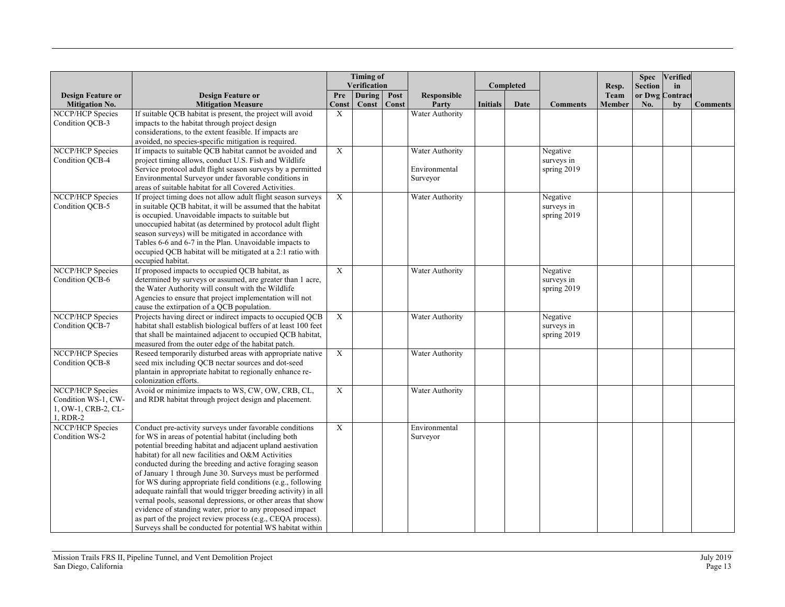|                                                                            |                                                                                                                                                                                                                                                                                                                                                                                                                                                                                                                                                                                                                                                                                                                                                      |                | <b>Timing of</b>       |               |                                              |                 |           |                                       |                       | <b>Spec</b>            | <b>Verified</b> |                 |
|----------------------------------------------------------------------------|------------------------------------------------------------------------------------------------------------------------------------------------------------------------------------------------------------------------------------------------------------------------------------------------------------------------------------------------------------------------------------------------------------------------------------------------------------------------------------------------------------------------------------------------------------------------------------------------------------------------------------------------------------------------------------------------------------------------------------------------------|----------------|------------------------|---------------|----------------------------------------------|-----------------|-----------|---------------------------------------|-----------------------|------------------------|-----------------|-----------------|
|                                                                            |                                                                                                                                                                                                                                                                                                                                                                                                                                                                                                                                                                                                                                                                                                                                                      |                | Verification           |               |                                              |                 | Completed |                                       | Resp.                 | Section                | in              |                 |
| <b>Design Feature or</b><br><b>Mitigation No.</b>                          | <b>Design Feature or</b><br><b>Mitigation Measure</b>                                                                                                                                                                                                                                                                                                                                                                                                                                                                                                                                                                                                                                                                                                | Pre<br>Const   | <b>During</b><br>Const | Post<br>Const | <b>Responsible</b><br>Party                  | <b>Initials</b> | Date      | <b>Comments</b>                       | Team<br><b>Member</b> | or Dwg Contract<br>No. | bv              | <b>Comments</b> |
| <b>NCCP/HCP Species</b><br>Condition QCB-3                                 | If suitable QCB habitat is present, the project will avoid<br>impacts to the habitat through project design                                                                                                                                                                                                                                                                                                                                                                                                                                                                                                                                                                                                                                          | X              |                        |               | Water Authority                              |                 |           |                                       |                       |                        |                 |                 |
|                                                                            | considerations, to the extent feasible. If impacts are<br>avoided, no species-specific mitigation is required.                                                                                                                                                                                                                                                                                                                                                                                                                                                                                                                                                                                                                                       |                |                        |               |                                              |                 |           |                                       |                       |                        |                 |                 |
| <b>NCCP/HCP Species</b><br>Condition QCB-4                                 | If impacts to suitable QCB habitat cannot be avoided and<br>project timing allows, conduct U.S. Fish and Wildlife<br>Service protocol adult flight season surveys by a permitted<br>Environmental Surveyor under favorable conditions in<br>areas of suitable habitat for all Covered Activities.                                                                                                                                                                                                                                                                                                                                                                                                                                                    | $\overline{X}$ |                        |               | Water Authority<br>Environmental<br>Surveyor |                 |           | Negative<br>surveys in<br>spring 2019 |                       |                        |                 |                 |
| <b>NCCP/HCP Species</b><br>Condition QCB-5                                 | If project timing does not allow adult flight season surveys<br>in suitable OCB habitat, it will be assumed that the habitat<br>is occupied. Unavoidable impacts to suitable but<br>unoccupied habitat (as determined by protocol adult flight<br>season surveys) will be mitigated in accordance with<br>Tables 6-6 and 6-7 in the Plan. Unavoidable impacts to<br>occupied QCB habitat will be mitigated at a 2:1 ratio with<br>occupied habitat.                                                                                                                                                                                                                                                                                                  | X              |                        |               | Water Authority                              |                 |           | Negative<br>surveys in<br>spring 2019 |                       |                        |                 |                 |
| <b>NCCP/HCP Species</b><br>Condition QCB-6                                 | If proposed impacts to occupied QCB habitat, as<br>determined by surveys or assumed, are greater than 1 acre,<br>the Water Authority will consult with the Wildlife<br>Agencies to ensure that project implementation will not<br>cause the extirpation of a QCB population.                                                                                                                                                                                                                                                                                                                                                                                                                                                                         | $\mathbf X$    |                        |               | Water Authority                              |                 |           | Negative<br>surveys in<br>spring 2019 |                       |                        |                 |                 |
| <b>NCCP/HCP Species</b><br>Condition OCB-7                                 | Projects having direct or indirect impacts to occupied QCB<br>habitat shall establish biological buffers of at least 100 feet<br>that shall be maintained adjacent to occupied QCB habitat,<br>measured from the outer edge of the habitat patch.                                                                                                                                                                                                                                                                                                                                                                                                                                                                                                    | $\mathbf X$    |                        |               | Water Authority                              |                 |           | Negative<br>surveys in<br>spring 2019 |                       |                        |                 |                 |
| <b>NCCP/HCP Species</b><br>Condition OCB-8                                 | Reseed temporarily disturbed areas with appropriate native<br>seed mix including QCB nectar sources and dot-seed<br>plantain in appropriate habitat to regionally enhance re-<br>colonization efforts.                                                                                                                                                                                                                                                                                                                                                                                                                                                                                                                                               | X              |                        |               | Water Authority                              |                 |           |                                       |                       |                        |                 |                 |
| NCCP/HCP Species<br>Condition WS-1, CW-<br>1, OW-1, CRB-2, CL-<br>1, RDR-2 | Avoid or minimize impacts to WS, CW, OW, CRB, CL,<br>and RDR habitat through project design and placement.                                                                                                                                                                                                                                                                                                                                                                                                                                                                                                                                                                                                                                           | $\mathbf X$    |                        |               | Water Authority                              |                 |           |                                       |                       |                        |                 |                 |
| <b>NCCP/HCP Species</b><br>Condition WS-2                                  | Conduct pre-activity surveys under favorable conditions<br>for WS in areas of potential habitat (including both<br>potential breeding habitat and adjacent upland aestivation<br>habitat) for all new facilities and O&M Activities<br>conducted during the breeding and active foraging season<br>of January 1 through June 30. Surveys must be performed<br>for WS during appropriate field conditions (e.g., following<br>adequate rainfall that would trigger breeding activity) in all<br>vernal pools, seasonal depressions, or other areas that show<br>evidence of standing water, prior to any proposed impact<br>as part of the project review process (e.g., CEQA process).<br>Surveys shall be conducted for potential WS habitat within | X              |                        |               | Environmental<br>Surveyor                    |                 |           |                                       |                       |                        |                 |                 |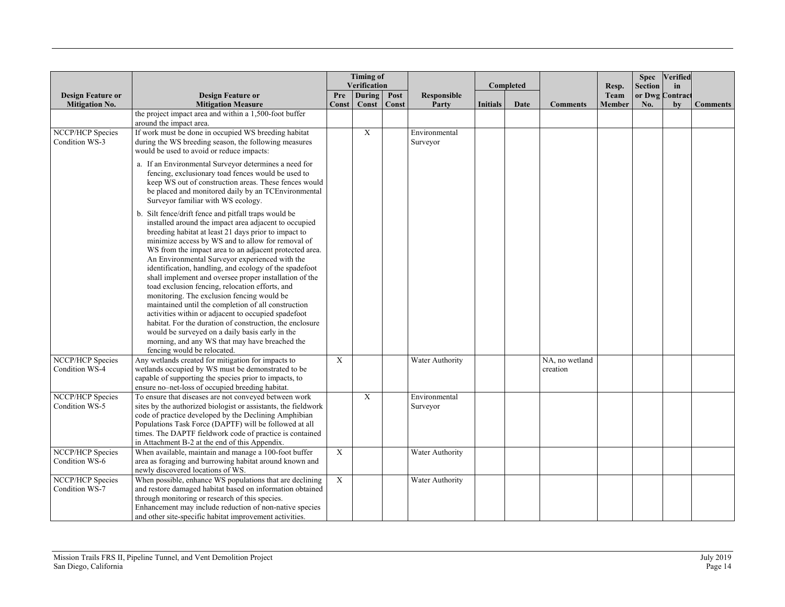|                                                   |                                                                                                                                                                                                                                                                                                                                                                                                                                                                                                                                                                                                                                                                                                                                                                                                                                                                              |                     | <b>Timing of</b>       |               |                             |                 |           |                            |                       | <b>Spec</b>     | Verified              |                 |
|---------------------------------------------------|------------------------------------------------------------------------------------------------------------------------------------------------------------------------------------------------------------------------------------------------------------------------------------------------------------------------------------------------------------------------------------------------------------------------------------------------------------------------------------------------------------------------------------------------------------------------------------------------------------------------------------------------------------------------------------------------------------------------------------------------------------------------------------------------------------------------------------------------------------------------------|---------------------|------------------------|---------------|-----------------------------|-----------------|-----------|----------------------------|-----------------------|-----------------|-----------------------|-----------------|
|                                                   |                                                                                                                                                                                                                                                                                                                                                                                                                                                                                                                                                                                                                                                                                                                                                                                                                                                                              |                     | Verification           |               |                             |                 | Completed |                            | Resp.                 | <b>Section</b>  | in                    |                 |
| <b>Design Feature or</b><br><b>Mitigation No.</b> | <b>Design Feature or</b><br><b>Mitigation Measure</b>                                                                                                                                                                                                                                                                                                                                                                                                                                                                                                                                                                                                                                                                                                                                                                                                                        | Pre<br><b>Const</b> | <b>During</b><br>Const | Post<br>Const | <b>Responsible</b><br>Party | <b>Initials</b> | Date      | <b>Comments</b>            | Team<br><b>Member</b> | or Dwg C<br>No. | <b>Contract</b><br>by | <b>Comments</b> |
|                                                   | the project impact area and within a 1,500-foot buffer<br>around the impact area.                                                                                                                                                                                                                                                                                                                                                                                                                                                                                                                                                                                                                                                                                                                                                                                            |                     |                        |               |                             |                 |           |                            |                       |                 |                       |                 |
| <b>NCCP/HCP Species</b><br>Condition WS-3         | If work must be done in occupied WS breeding habitat<br>during the WS breeding season, the following measures<br>would be used to avoid or reduce impacts:                                                                                                                                                                                                                                                                                                                                                                                                                                                                                                                                                                                                                                                                                                                   |                     | $\overline{X}$         |               | Environmental<br>Surveyor   |                 |           |                            |                       |                 |                       |                 |
|                                                   | a. If an Environmental Surveyor determines a need for<br>fencing, exclusionary toad fences would be used to<br>keep WS out of construction areas. These fences would<br>be placed and monitored daily by an TCEnvironmental<br>Surveyor familiar with WS ecology.                                                                                                                                                                                                                                                                                                                                                                                                                                                                                                                                                                                                            |                     |                        |               |                             |                 |           |                            |                       |                 |                       |                 |
|                                                   | Silt fence/drift fence and pitfall traps would be<br>b.<br>installed around the impact area adjacent to occupied<br>breeding habitat at least 21 days prior to impact to<br>minimize access by WS and to allow for removal of<br>WS from the impact area to an adjacent protected area.<br>An Environmental Surveyor experienced with the<br>identification, handling, and ecology of the spadefoot<br>shall implement and oversee proper installation of the<br>toad exclusion fencing, relocation efforts, and<br>monitoring. The exclusion fencing would be<br>maintained until the completion of all construction<br>activities within or adjacent to occupied spadefoot<br>habitat. For the duration of construction, the enclosure<br>would be surveyed on a daily basis early in the<br>morning, and any WS that may have breached the<br>fencing would be relocated. |                     |                        |               |                             |                 |           |                            |                       |                 |                       |                 |
| NCCP/HCP Species<br>Condition WS-4                | Any wetlands created for mitigation for impacts to<br>wetlands occupied by WS must be demonstrated to be<br>capable of supporting the species prior to impacts, to<br>ensure no-net-loss of occupied breeding habitat.                                                                                                                                                                                                                                                                                                                                                                                                                                                                                                                                                                                                                                                       | X                   |                        |               | Water Authority             |                 |           | NA, no wetland<br>creation |                       |                 |                       |                 |
| NCCP/HCP Species<br>Condition WS-5                | To ensure that diseases are not conveyed between work<br>sites by the authorized biologist or assistants, the fieldwork<br>code of practice developed by the Declining Amphibian<br>Populations Task Force (DAPTF) will be followed at all<br>times. The DAPTF fieldwork code of practice is contained<br>in Attachment B-2 at the end of this Appendix.                                                                                                                                                                                                                                                                                                                                                                                                                                                                                                                     |                     | X                      |               | Environmental<br>Surveyor   |                 |           |                            |                       |                 |                       |                 |
| NCCP/HCP Species<br>Condition WS-6                | When available, maintain and manage a 100-foot buffer<br>area as foraging and burrowing habitat around known and<br>newly discovered locations of WS.                                                                                                                                                                                                                                                                                                                                                                                                                                                                                                                                                                                                                                                                                                                        | $\mathbf X$         |                        |               | Water Authority             |                 |           |                            |                       |                 |                       |                 |
| NCCP/HCP Species<br>Condition WS-7                | When possible, enhance WS populations that are declining<br>and restore damaged habitat based on information obtained<br>through monitoring or research of this species.<br>Enhancement may include reduction of non-native species<br>and other site-specific habitat improvement activities.                                                                                                                                                                                                                                                                                                                                                                                                                                                                                                                                                                               | $\mathbf X$         |                        |               | Water Authority             |                 |           |                            |                       |                 |                       |                 |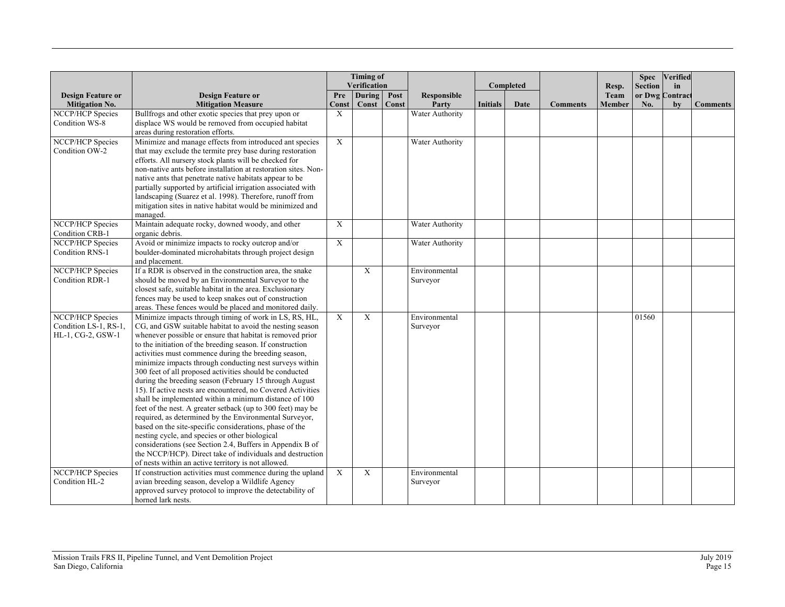|                                                                       |                                                                                                                                                                                                                                                                                                                                                                                                                                                                                                                                                                                                                                                                                                                                                                                                                                                                                                                                                                                                                                     |              | <b>Timing of</b><br>Verification |       |                           |                 | Completed |                 | Resp.  | <b>Spec</b><br>Section | <b>Verified</b><br>in |                 |
|-----------------------------------------------------------------------|-------------------------------------------------------------------------------------------------------------------------------------------------------------------------------------------------------------------------------------------------------------------------------------------------------------------------------------------------------------------------------------------------------------------------------------------------------------------------------------------------------------------------------------------------------------------------------------------------------------------------------------------------------------------------------------------------------------------------------------------------------------------------------------------------------------------------------------------------------------------------------------------------------------------------------------------------------------------------------------------------------------------------------------|--------------|----------------------------------|-------|---------------------------|-----------------|-----------|-----------------|--------|------------------------|-----------------------|-----------------|
| <b>Design Feature or</b>                                              | <b>Design Feature or</b>                                                                                                                                                                                                                                                                                                                                                                                                                                                                                                                                                                                                                                                                                                                                                                                                                                                                                                                                                                                                            | Pre          | <b>During</b>                    | Post  | <b>Responsible</b>        |                 |           |                 | Team   |                        | or Dwg Contract       |                 |
| <b>Mitigation No.</b>                                                 | <b>Mitigation Measure</b>                                                                                                                                                                                                                                                                                                                                                                                                                                                                                                                                                                                                                                                                                                                                                                                                                                                                                                                                                                                                           | Const        | Const                            | Const | Party                     | <b>Initials</b> | Date      | <b>Comments</b> | Member | No.                    | bv                    | <b>Comments</b> |
| <b>NCCP/HCP Species</b><br>Condition WS-8                             | Bullfrogs and other exotic species that prey upon or<br>displace WS would be removed from occupied habitat<br>areas during restoration efforts.                                                                                                                                                                                                                                                                                                                                                                                                                                                                                                                                                                                                                                                                                                                                                                                                                                                                                     | X            |                                  |       | Water Authority           |                 |           |                 |        |                        |                       |                 |
| <b>NCCP/HCP Species</b><br>Condition OW-2                             | Minimize and manage effects from introduced ant species<br>that may exclude the termite prey base during restoration<br>efforts. All nursery stock plants will be checked for<br>non-native ants before installation at restoration sites. Non-<br>native ants that penetrate native habitats appear to be<br>partially supported by artificial irrigation associated with<br>landscaping (Suarez et al. 1998). Therefore, runoff from<br>mitigation sites in native habitat would be minimized and<br>managed.                                                                                                                                                                                                                                                                                                                                                                                                                                                                                                                     | X            |                                  |       | Water Authority           |                 |           |                 |        |                        |                       |                 |
| NCCP/HCP Species<br>Condition CRB-1                                   | Maintain adequate rocky, downed woody, and other<br>organic debris.                                                                                                                                                                                                                                                                                                                                                                                                                                                                                                                                                                                                                                                                                                                                                                                                                                                                                                                                                                 | X            |                                  |       | Water Authority           |                 |           |                 |        |                        |                       |                 |
| NCCP/HCP Species<br><b>Condition RNS-1</b>                            | Avoid or minimize impacts to rocky outcrop and/or<br>boulder-dominated microhabitats through project design<br>and placement.                                                                                                                                                                                                                                                                                                                                                                                                                                                                                                                                                                                                                                                                                                                                                                                                                                                                                                       | $\mathbf X$  |                                  |       | Water Authority           |                 |           |                 |        |                        |                       |                 |
| NCCP/HCP Species<br><b>Condition RDR-1</b>                            | If a RDR is observed in the construction area, the snake<br>should be moved by an Environmental Surveyor to the<br>closest safe, suitable habitat in the area. Exclusionary<br>fences may be used to keep snakes out of construction<br>areas. These fences would be placed and monitored daily.                                                                                                                                                                                                                                                                                                                                                                                                                                                                                                                                                                                                                                                                                                                                    |              | X                                |       | Environmental<br>Surveyor |                 |           |                 |        |                        |                       |                 |
| <b>NCCP/HCP Species</b><br>Condition LS-1, RS-1.<br>HL-1, CG-2, GSW-1 | Minimize impacts through timing of work in LS, RS, HL,<br>CG, and GSW suitable habitat to avoid the nesting season<br>whenever possible or ensure that habitat is removed prior<br>to the initiation of the breeding season. If construction<br>activities must commence during the breeding season,<br>minimize impacts through conducting nest surveys within<br>300 feet of all proposed activities should be conducted<br>during the breeding season (February 15 through August<br>15). If active nests are encountered, no Covered Activities<br>shall be implemented within a minimum distance of 100<br>feet of the nest. A greater setback (up to 300 feet) may be<br>required, as determined by the Environmental Surveyor,<br>based on the site-specific considerations, phase of the<br>nesting cycle, and species or other biological<br>considerations (see Section 2.4, Buffers in Appendix B of<br>the NCCP/HCP). Direct take of individuals and destruction<br>of nests within an active territory is not allowed. | X            | X                                |       | Environmental<br>Surveyor |                 |           |                 |        | 01560                  |                       |                 |
| <b>NCCP/HCP Species</b><br>Condition HL-2                             | If construction activities must commence during the upland<br>avian breeding season, develop a Wildlife Agency<br>approved survey protocol to improve the detectability of<br>horned lark nests.                                                                                                                                                                                                                                                                                                                                                                                                                                                                                                                                                                                                                                                                                                                                                                                                                                    | $\mathbf{X}$ | X                                |       | Environmental<br>Surveyor |                 |           |                 |        |                        |                       |                 |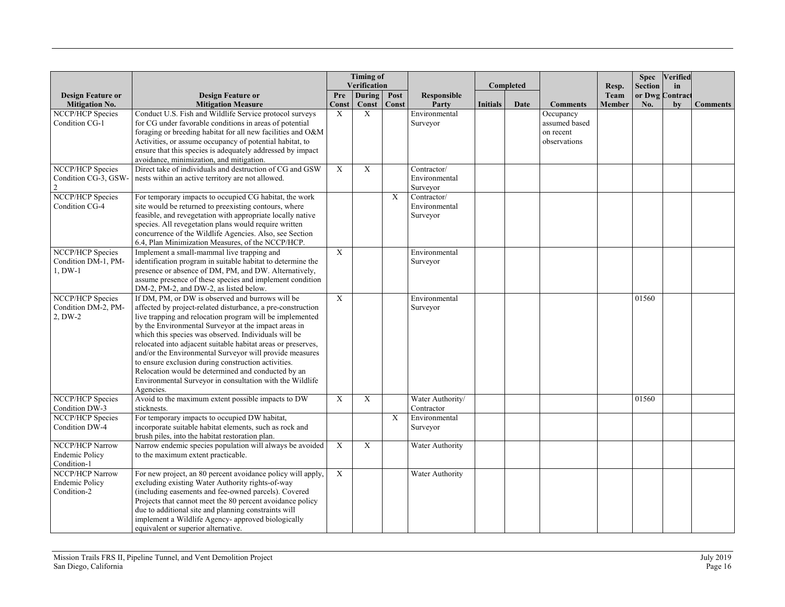|                                                                   |                                                                                                                                                                                                                                                                                                                                                                                                                                                                                                                                                                                                              |       | <b>Timing of</b><br><b>Verification</b> |       |                                          |                 | Completed |                                                         | Resp.         | <b>Spec</b><br><b>Section</b> | <b>Verified</b><br>in |                 |
|-------------------------------------------------------------------|--------------------------------------------------------------------------------------------------------------------------------------------------------------------------------------------------------------------------------------------------------------------------------------------------------------------------------------------------------------------------------------------------------------------------------------------------------------------------------------------------------------------------------------------------------------------------------------------------------------|-------|-----------------------------------------|-------|------------------------------------------|-----------------|-----------|---------------------------------------------------------|---------------|-------------------------------|-----------------------|-----------------|
| <b>Design Feature or</b>                                          | <b>Design Feature or</b>                                                                                                                                                                                                                                                                                                                                                                                                                                                                                                                                                                                     | Pre   | <b>During</b>                           | Post  | <b>Responsible</b>                       |                 |           |                                                         | Team          | or Dwg                        | <b>ontract</b>        |                 |
| <b>Mitigation No.</b>                                             | <b>Mitigation Measure</b>                                                                                                                                                                                                                                                                                                                                                                                                                                                                                                                                                                                    | Const | Const                                   | Const | Party                                    | <b>Initials</b> | Date      | <b>Comments</b>                                         | <b>Member</b> | No.                           | by                    | <b>Comments</b> |
| <b>NCCP/HCP Species</b><br>Condition CG-1                         | Conduct U.S. Fish and Wildlife Service protocol surveys<br>for CG under favorable conditions in areas of potential<br>foraging or breeding habitat for all new facilities and O&M<br>Activities, or assume occupancy of potential habitat, to<br>ensure that this species is adequately addressed by impact<br>avoidance, minimization, and mitigation.                                                                                                                                                                                                                                                      | X     | X                                       |       | Environmental<br>Surveyor                |                 |           | Occupancy<br>assumed based<br>on recent<br>observations |               |                               |                       |                 |
| <b>NCCP/HCP Species</b><br>Condition CG-3, GSW-<br>$\mathfrak{D}$ | Direct take of individuals and destruction of CG and GSW<br>nests within an active territory are not allowed.                                                                                                                                                                                                                                                                                                                                                                                                                                                                                                | X     | $\mathbf X$                             |       | Contractor/<br>Environmental<br>Surveyor |                 |           |                                                         |               |                               |                       |                 |
| NCCP/HCP Species<br>Condition CG-4                                | For temporary impacts to occupied CG habitat, the work<br>site would be returned to preexisting contours, where<br>feasible, and revegetation with appropriate locally native<br>species. All revegetation plans would require written<br>concurrence of the Wildlife Agencies. Also, see Section<br>6.4, Plan Minimization Measures, of the NCCP/HCP.                                                                                                                                                                                                                                                       |       |                                         | X     | Contractor/<br>Environmental<br>Surveyor |                 |           |                                                         |               |                               |                       |                 |
| <b>NCCP/HCP Species</b><br>Condition DM-1, PM-<br>$1, DW-1$       | Implement a small-mammal live trapping and<br>identification program in suitable habitat to determine the<br>presence or absence of DM, PM, and DW. Alternatively,<br>assume presence of these species and implement condition<br>DM-2, PM-2, and DW-2, as listed below.                                                                                                                                                                                                                                                                                                                                     | X     |                                         |       | Environmental<br>Surveyor                |                 |           |                                                         |               |                               |                       |                 |
| <b>NCCP/HCP Species</b><br>Condition DM-2, PM-<br>2, DW-2         | If DM, PM, or DW is observed and burrows will be<br>affected by project-related disturbance, a pre-construction<br>live trapping and relocation program will be implemented<br>by the Environmental Surveyor at the impact areas in<br>which this species was observed. Individuals will be<br>relocated into adjacent suitable habitat areas or preserves,<br>and/or the Environmental Surveyor will provide measures<br>to ensure exclusion during construction activities.<br>Relocation would be determined and conducted by an<br>Environmental Surveyor in consultation with the Wildlife<br>Agencies. | X     |                                         |       | Environmental<br>Surveyor                |                 |           |                                                         |               | 01560                         |                       |                 |
| NCCP/HCP Species<br>Condition DW-3                                | Avoid to the maximum extent possible impacts to DW<br>sticknests.                                                                                                                                                                                                                                                                                                                                                                                                                                                                                                                                            | X     | X                                       |       | Water Authority/<br>Contractor           |                 |           |                                                         |               | 01560                         |                       |                 |
| <b>NCCP/HCP Species</b><br>Condition DW-4                         | For temporary impacts to occupied DW habitat,<br>incorporate suitable habitat elements, such as rock and<br>brush piles, into the habitat restoration plan.                                                                                                                                                                                                                                                                                                                                                                                                                                                  |       |                                         | X     | Environmental<br>Surveyor                |                 |           |                                                         |               |                               |                       |                 |
| NCCP/HCP Narrow<br><b>Endemic Policy</b><br>Condition-1           | Narrow endemic species population will always be avoided<br>to the maximum extent practicable.                                                                                                                                                                                                                                                                                                                                                                                                                                                                                                               | X     | X                                       |       | Water Authority                          |                 |           |                                                         |               |                               |                       |                 |
| NCCP/HCP Narrow<br><b>Endemic Policy</b><br>Condition-2           | For new project, an 80 percent avoidance policy will apply,<br>excluding existing Water Authority rights-of-way<br>(including easements and fee-owned parcels). Covered<br>Projects that cannot meet the 80 percent avoidance policy<br>due to additional site and planning constraints will<br>implement a Wildlife Agency- approved biologically<br>equivalent or superior alternative.                                                                                                                                                                                                                    | X     |                                         |       | Water Authority                          |                 |           |                                                         |               |                               |                       |                 |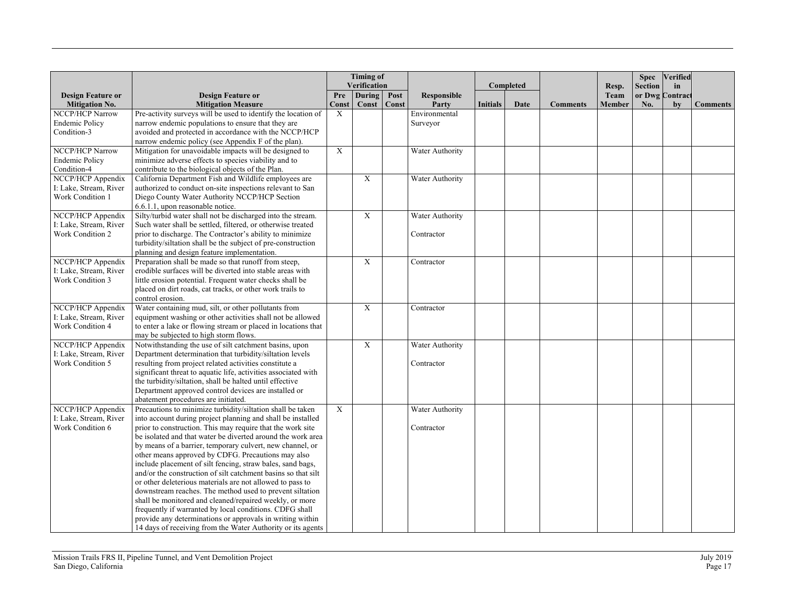|                                      |                                                                                                                            |             | <b>Timing of</b><br>Verification |       |                    |                 | Completed |                 | Resp.         | <b>Spec</b><br>Section | <b>Verified</b><br>in |                 |
|--------------------------------------|----------------------------------------------------------------------------------------------------------------------------|-------------|----------------------------------|-------|--------------------|-----------------|-----------|-----------------|---------------|------------------------|-----------------------|-----------------|
| <b>Design Feature or</b>             | <b>Design Feature or</b>                                                                                                   | Pre         | <b>During</b>                    | Post  | <b>Responsible</b> |                 |           |                 | Team          | or Dwg C               | <b>Contract</b>       |                 |
| <b>Mitigation No.</b>                | <b>Mitigation Measure</b>                                                                                                  | Const       | Const                            | Const | Party              | <b>Initials</b> | Date      | <b>Comments</b> | <b>Member</b> | No.                    | by                    | <b>Comments</b> |
| NCCP/HCP Narrow                      | Pre-activity surveys will be used to identify the location of                                                              | X           |                                  |       | Environmental      |                 |           |                 |               |                        |                       |                 |
| <b>Endemic Policy</b><br>Condition-3 | narrow endemic populations to ensure that they are<br>avoided and protected in accordance with the NCCP/HCP                |             |                                  |       | Surveyor           |                 |           |                 |               |                        |                       |                 |
|                                      | narrow endemic policy (see Appendix F of the plan).                                                                        |             |                                  |       |                    |                 |           |                 |               |                        |                       |                 |
| NCCP/HCP Narrow                      | Mitigation for unavoidable impacts will be designed to                                                                     | $\mathbf X$ |                                  |       | Water Authority    |                 |           |                 |               |                        |                       |                 |
| <b>Endemic Policy</b>                | minimize adverse effects to species viability and to                                                                       |             |                                  |       |                    |                 |           |                 |               |                        |                       |                 |
| Condition-4                          | contribute to the biological objects of the Plan.                                                                          |             |                                  |       |                    |                 |           |                 |               |                        |                       |                 |
| NCCP/HCP Appendix                    | California Department Fish and Wildlife employees are                                                                      |             | $\boldsymbol{\mathrm{X}}$        |       | Water Authority    |                 |           |                 |               |                        |                       |                 |
| I: Lake, Stream, River               | authorized to conduct on-site inspections relevant to San                                                                  |             |                                  |       |                    |                 |           |                 |               |                        |                       |                 |
| Work Condition 1                     | Diego County Water Authority NCCP/HCP Section<br>6.6.1.1, upon reasonable notice.                                          |             |                                  |       |                    |                 |           |                 |               |                        |                       |                 |
| NCCP/HCP Appendix                    | Silty/turbid water shall not be discharged into the stream.                                                                |             | $\boldsymbol{\mathrm{X}}$        |       | Water Authority    |                 |           |                 |               |                        |                       |                 |
| I: Lake, Stream, River               | Such water shall be settled, filtered, or otherwise treated                                                                |             |                                  |       |                    |                 |           |                 |               |                        |                       |                 |
| Work Condition 2                     | prior to discharge. The Contractor's ability to minimize                                                                   |             |                                  |       | Contractor         |                 |           |                 |               |                        |                       |                 |
|                                      | turbidity/siltation shall be the subject of pre-construction                                                               |             |                                  |       |                    |                 |           |                 |               |                        |                       |                 |
|                                      | planning and design feature implementation.                                                                                |             |                                  |       |                    |                 |           |                 |               |                        |                       |                 |
| NCCP/HCP Appendix                    | Preparation shall be made so that runoff from steep,                                                                       |             | $\mathbf X$                      |       | Contractor         |                 |           |                 |               |                        |                       |                 |
| I: Lake, Stream, River               | erodible surfaces will be diverted into stable areas with                                                                  |             |                                  |       |                    |                 |           |                 |               |                        |                       |                 |
| Work Condition 3                     | little erosion potential. Frequent water checks shall be                                                                   |             |                                  |       |                    |                 |           |                 |               |                        |                       |                 |
|                                      | placed on dirt roads, cat tracks, or other work trails to<br>control erosion.                                              |             |                                  |       |                    |                 |           |                 |               |                        |                       |                 |
| NCCP/HCP Appendix                    | Water containing mud, silt, or other pollutants from                                                                       |             | $\mathbf X$                      |       | Contractor         |                 |           |                 |               |                        |                       |                 |
| I: Lake, Stream, River               | equipment washing or other activities shall not be allowed                                                                 |             |                                  |       |                    |                 |           |                 |               |                        |                       |                 |
| Work Condition 4                     | to enter a lake or flowing stream or placed in locations that                                                              |             |                                  |       |                    |                 |           |                 |               |                        |                       |                 |
|                                      | may be subjected to high storm flows.                                                                                      |             |                                  |       |                    |                 |           |                 |               |                        |                       |                 |
| NCCP/HCP Appendix                    | Notwithstanding the use of silt catchment basins, upon                                                                     |             | X                                |       | Water Authority    |                 |           |                 |               |                        |                       |                 |
| I: Lake, Stream, River               | Department determination that turbidity/siltation levels                                                                   |             |                                  |       |                    |                 |           |                 |               |                        |                       |                 |
| Work Condition 5                     | resulting from project related activities constitute a                                                                     |             |                                  |       | Contractor         |                 |           |                 |               |                        |                       |                 |
|                                      | significant threat to aquatic life, activities associated with<br>the turbidity/siltation, shall be halted until effective |             |                                  |       |                    |                 |           |                 |               |                        |                       |                 |
|                                      | Department approved control devices are installed or                                                                       |             |                                  |       |                    |                 |           |                 |               |                        |                       |                 |
|                                      | abatement procedures are initiated.                                                                                        |             |                                  |       |                    |                 |           |                 |               |                        |                       |                 |
| NCCP/HCP Appendix                    | Precautions to minimize turbidity/siltation shall be taken                                                                 | X           |                                  |       | Water Authority    |                 |           |                 |               |                        |                       |                 |
| I: Lake, Stream, River               | into account during project planning and shall be installed                                                                |             |                                  |       |                    |                 |           |                 |               |                        |                       |                 |
| Work Condition 6                     | prior to construction. This may require that the work site                                                                 |             |                                  |       | Contractor         |                 |           |                 |               |                        |                       |                 |
|                                      | be isolated and that water be diverted around the work area                                                                |             |                                  |       |                    |                 |           |                 |               |                        |                       |                 |
|                                      | by means of a barrier, temporary culvert, new channel, or                                                                  |             |                                  |       |                    |                 |           |                 |               |                        |                       |                 |
|                                      | other means approved by CDFG. Precautions may also<br>include placement of silt fencing, straw bales, sand bags,           |             |                                  |       |                    |                 |           |                 |               |                        |                       |                 |
|                                      | and/or the construction of silt catchment basins so that silt                                                              |             |                                  |       |                    |                 |           |                 |               |                        |                       |                 |
|                                      | or other deleterious materials are not allowed to pass to                                                                  |             |                                  |       |                    |                 |           |                 |               |                        |                       |                 |
|                                      | downstream reaches. The method used to prevent siltation                                                                   |             |                                  |       |                    |                 |           |                 |               |                        |                       |                 |
|                                      | shall be monitored and cleaned/repaired weekly, or more                                                                    |             |                                  |       |                    |                 |           |                 |               |                        |                       |                 |
|                                      | frequently if warranted by local conditions. CDFG shall                                                                    |             |                                  |       |                    |                 |           |                 |               |                        |                       |                 |
|                                      | provide any determinations or approvals in writing within<br>14 days of receiving from the Water Authority or its agents   |             |                                  |       |                    |                 |           |                 |               |                        |                       |                 |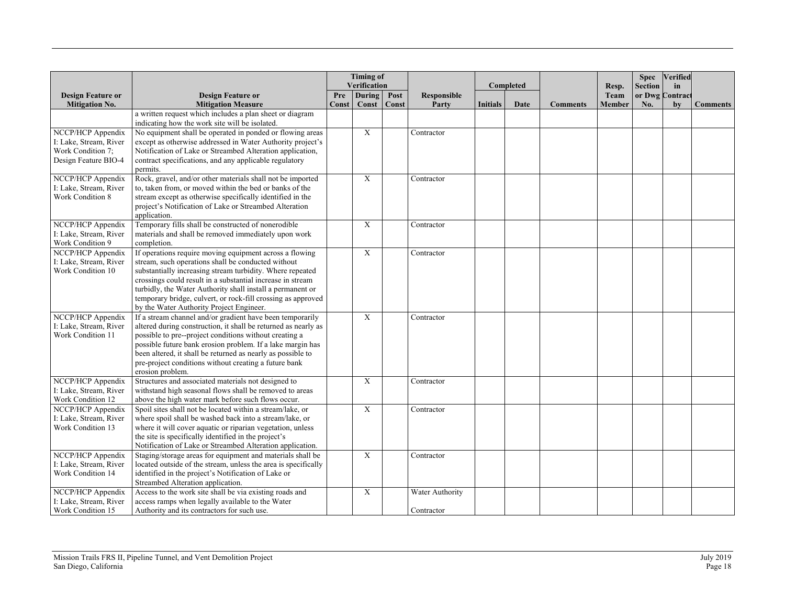|                                                                                          |                                                                                                                                                                                                                                                                                                                                                                                                                    |       | <b>Timing of</b><br>Verification |       |                               |                 | Completed |                 | Resp.         | <b>Spec</b><br>Section | <b>Verified</b><br>in |                 |
|------------------------------------------------------------------------------------------|--------------------------------------------------------------------------------------------------------------------------------------------------------------------------------------------------------------------------------------------------------------------------------------------------------------------------------------------------------------------------------------------------------------------|-------|----------------------------------|-------|-------------------------------|-----------------|-----------|-----------------|---------------|------------------------|-----------------------|-----------------|
| <b>Design Feature or</b>                                                                 | <b>Design Feature or</b>                                                                                                                                                                                                                                                                                                                                                                                           | Pre   | During                           | Post  | Responsible                   |                 |           |                 | Team          | or Dwg Contract        |                       |                 |
| <b>Mitigation No.</b>                                                                    | <b>Mitigation Measure</b>                                                                                                                                                                                                                                                                                                                                                                                          | Const | Const                            | Const | Party                         | <b>Initials</b> | Date      | <b>Comments</b> | <b>Member</b> | No.                    | by                    | <b>Comments</b> |
|                                                                                          | a written request which includes a plan sheet or diagram<br>indicating how the work site will be isolated.                                                                                                                                                                                                                                                                                                         |       |                                  |       |                               |                 |           |                 |               |                        |                       |                 |
| NCCP/HCP Appendix<br>I: Lake, Stream, River<br>Work Condition 7:<br>Design Feature BIO-4 | No equipment shall be operated in ponded or flowing areas<br>except as otherwise addressed in Water Authority project's<br>Notification of Lake or Streambed Alteration application,<br>contract specifications, and any applicable regulatory<br>permits.                                                                                                                                                         |       | $\mathbf{X}$                     |       | Contractor                    |                 |           |                 |               |                        |                       |                 |
| NCCP/HCP Appendix<br>I: Lake, Stream, River<br>Work Condition 8                          | Rock, gravel, and/or other materials shall not be imported<br>to, taken from, or moved within the bed or banks of the<br>stream except as otherwise specifically identified in the<br>project's Notification of Lake or Streambed Alteration<br>application.                                                                                                                                                       |       | $\mathbf X$                      |       | Contractor                    |                 |           |                 |               |                        |                       |                 |
| NCCP/HCP Appendix<br>I: Lake, Stream, River<br>Work Condition 9                          | Temporary fills shall be constructed of nonerodible<br>materials and shall be removed immediately upon work<br>completion.                                                                                                                                                                                                                                                                                         |       | X                                |       | Contractor                    |                 |           |                 |               |                        |                       |                 |
| NCCP/HCP Appendix<br>I: Lake, Stream, River<br>Work Condition 10                         | If operations require moving equipment across a flowing<br>stream, such operations shall be conducted without<br>substantially increasing stream turbidity. Where repeated<br>crossings could result in a substantial increase in stream<br>turbidly, the Water Authority shall install a permanent or<br>temporary bridge, culvert, or rock-fill crossing as approved<br>by the Water Authority Project Engineer. |       | $\boldsymbol{\mathrm{X}}$        |       | Contractor                    |                 |           |                 |               |                        |                       |                 |
| NCCP/HCP Appendix<br>I: Lake, Stream, River<br>Work Condition 11                         | If a stream channel and/or gradient have been temporarily<br>altered during construction, it shall be returned as nearly as<br>possible to pre--project conditions without creating a<br>possible future bank erosion problem. If a lake margin has<br>been altered, it shall be returned as nearly as possible to<br>pre-project conditions without creating a future bank<br>erosion problem.                    |       | $\boldsymbol{\mathrm{X}}$        |       | Contractor                    |                 |           |                 |               |                        |                       |                 |
| NCCP/HCP Appendix<br>I: Lake, Stream, River<br>Work Condition 12                         | Structures and associated materials not designed to<br>withstand high seasonal flows shall be removed to areas<br>above the high water mark before such flows occur.                                                                                                                                                                                                                                               |       | $\boldsymbol{\mathrm{X}}$        |       | Contractor                    |                 |           |                 |               |                        |                       |                 |
| NCCP/HCP Appendix<br>I: Lake, Stream, River<br>Work Condition 13                         | Spoil sites shall not be located within a stream/lake, or<br>where spoil shall be washed back into a stream/lake, or<br>where it will cover aquatic or riparian vegetation, unless<br>the site is specifically identified in the project's<br>Notification of Lake or Streambed Alteration application.                                                                                                            |       | $\mathbf X$                      |       | Contractor                    |                 |           |                 |               |                        |                       |                 |
| NCCP/HCP Appendix<br>I: Lake, Stream, River<br>Work Condition 14                         | Staging/storage areas for equipment and materials shall be<br>located outside of the stream, unless the area is specifically<br>identified in the project's Notification of Lake or<br>Streambed Alteration application.                                                                                                                                                                                           |       | X                                |       | Contractor                    |                 |           |                 |               |                        |                       |                 |
| NCCP/HCP Appendix<br>I: Lake, Stream, River<br>Work Condition 15                         | Access to the work site shall be via existing roads and<br>access ramps when legally available to the Water<br>Authority and its contractors for such use.                                                                                                                                                                                                                                                         |       | X                                |       | Water Authority<br>Contractor |                 |           |                 |               |                        |                       |                 |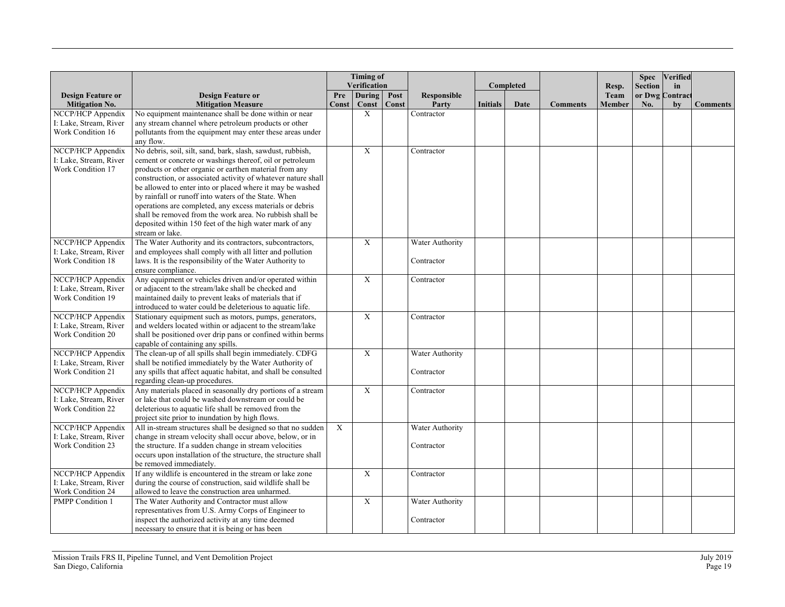|                          |                                                                                                                 |             | <b>Timing of</b><br><b>Verification</b> |       |                    |                 | Completed |                 | Resp.  | <b>Spec</b><br><b>Section</b> | <b>Verified</b><br>in |                 |
|--------------------------|-----------------------------------------------------------------------------------------------------------------|-------------|-----------------------------------------|-------|--------------------|-----------------|-----------|-----------------|--------|-------------------------------|-----------------------|-----------------|
| <b>Design Feature or</b> | <b>Design Feature or</b>                                                                                        | Pre         | <b>During</b>                           | Post  | <b>Responsible</b> |                 |           |                 | Team   | or Dwg                        | 'ontract              |                 |
| <b>Mitigation No.</b>    | <b>Mitigation Measure</b>                                                                                       | Const       | Const                                   | Const | Party              | <b>Initials</b> | Date      | <b>Comments</b> | Member | No.                           | by                    | <b>Comments</b> |
| NCCP/HCP Appendix        | No equipment maintenance shall be done within or near                                                           |             | X                                       |       | Contractor         |                 |           |                 |        |                               |                       |                 |
| I: Lake, Stream, River   | any stream channel where petroleum products or other                                                            |             |                                         |       |                    |                 |           |                 |        |                               |                       |                 |
| Work Condition 16        | pollutants from the equipment may enter these areas under                                                       |             |                                         |       |                    |                 |           |                 |        |                               |                       |                 |
|                          | any flow.                                                                                                       |             |                                         |       |                    |                 |           |                 |        |                               |                       |                 |
| NCCP/HCP Appendix        | No debris, soil, silt, sand, bark, slash, sawdust, rubbish,                                                     |             | X                                       |       | Contractor         |                 |           |                 |        |                               |                       |                 |
| I: Lake, Stream, River   | cement or concrete or washings thereof, oil or petroleum                                                        |             |                                         |       |                    |                 |           |                 |        |                               |                       |                 |
| Work Condition 17        | products or other organic or earthen material from any                                                          |             |                                         |       |                    |                 |           |                 |        |                               |                       |                 |
|                          | construction, or associated activity of whatever nature shall                                                   |             |                                         |       |                    |                 |           |                 |        |                               |                       |                 |
|                          | be allowed to enter into or placed where it may be washed                                                       |             |                                         |       |                    |                 |           |                 |        |                               |                       |                 |
|                          | by rainfall or runoff into waters of the State. When                                                            |             |                                         |       |                    |                 |           |                 |        |                               |                       |                 |
|                          | operations are completed, any excess materials or debris                                                        |             |                                         |       |                    |                 |           |                 |        |                               |                       |                 |
|                          | shall be removed from the work area. No rubbish shall be                                                        |             |                                         |       |                    |                 |           |                 |        |                               |                       |                 |
|                          | deposited within 150 feet of the high water mark of any<br>stream or lake.                                      |             |                                         |       |                    |                 |           |                 |        |                               |                       |                 |
| NCCP/HCP Appendix        | The Water Authority and its contractors, subcontractors,                                                        |             | X                                       |       | Water Authority    |                 |           |                 |        |                               |                       |                 |
| I: Lake, Stream, River   | and employees shall comply with all litter and pollution                                                        |             |                                         |       |                    |                 |           |                 |        |                               |                       |                 |
| Work Condition 18        | laws. It is the responsibility of the Water Authority to                                                        |             |                                         |       | Contractor         |                 |           |                 |        |                               |                       |                 |
|                          | ensure compliance.                                                                                              |             |                                         |       |                    |                 |           |                 |        |                               |                       |                 |
| NCCP/HCP Appendix        | Any equipment or vehicles driven and/or operated within                                                         |             | X                                       |       | Contractor         |                 |           |                 |        |                               |                       |                 |
| I: Lake, Stream, River   | or adjacent to the stream/lake shall be checked and                                                             |             |                                         |       |                    |                 |           |                 |        |                               |                       |                 |
| Work Condition 19        | maintained daily to prevent leaks of materials that if                                                          |             |                                         |       |                    |                 |           |                 |        |                               |                       |                 |
|                          | introduced to water could be deleterious to aquatic life.                                                       |             |                                         |       |                    |                 |           |                 |        |                               |                       |                 |
| NCCP/HCP Appendix        | Stationary equipment such as motors, pumps, generators,                                                         |             | X                                       |       | Contractor         |                 |           |                 |        |                               |                       |                 |
| I: Lake, Stream, River   | and welders located within or adjacent to the stream/lake                                                       |             |                                         |       |                    |                 |           |                 |        |                               |                       |                 |
| Work Condition 20        | shall be positioned over drip pans or confined within berms                                                     |             |                                         |       |                    |                 |           |                 |        |                               |                       |                 |
|                          | capable of containing any spills.                                                                               |             |                                         |       |                    |                 |           |                 |        |                               |                       |                 |
| NCCP/HCP Appendix        | The clean-up of all spills shall begin immediately. CDFG                                                        |             | X                                       |       | Water Authority    |                 |           |                 |        |                               |                       |                 |
| I: Lake, Stream, River   | shall be notified immediately by the Water Authority of                                                         |             |                                         |       |                    |                 |           |                 |        |                               |                       |                 |
| Work Condition 21        | any spills that affect aquatic habitat, and shall be consulted                                                  |             |                                         |       | Contractor         |                 |           |                 |        |                               |                       |                 |
|                          | regarding clean-up procedures.                                                                                  |             |                                         |       |                    |                 |           |                 |        |                               |                       |                 |
| NCCP/HCP Appendix        | Any materials placed in seasonally dry portions of a stream                                                     |             | X                                       |       | Contractor         |                 |           |                 |        |                               |                       |                 |
| I: Lake, Stream, River   | or lake that could be washed downstream or could be                                                             |             |                                         |       |                    |                 |           |                 |        |                               |                       |                 |
| Work Condition 22        | deleterious to aquatic life shall be removed from the                                                           |             |                                         |       |                    |                 |           |                 |        |                               |                       |                 |
| NCCP/HCP Appendix        | project site prior to inundation by high flows.<br>All in-stream structures shall be designed so that no sudden | $\mathbf X$ |                                         |       | Water Authority    |                 |           |                 |        |                               |                       |                 |
| I: Lake, Stream, River   | change in stream velocity shall occur above, below, or in                                                       |             |                                         |       |                    |                 |           |                 |        |                               |                       |                 |
| Work Condition 23        | the structure. If a sudden change in stream velocities                                                          |             |                                         |       | Contractor         |                 |           |                 |        |                               |                       |                 |
|                          | occurs upon installation of the structure, the structure shall                                                  |             |                                         |       |                    |                 |           |                 |        |                               |                       |                 |
|                          | be removed immediately.                                                                                         |             |                                         |       |                    |                 |           |                 |        |                               |                       |                 |
| NCCP/HCP Appendix        | If any wildlife is encountered in the stream or lake zone                                                       |             | X                                       |       | Contractor         |                 |           |                 |        |                               |                       |                 |
| I: Lake, Stream, River   | during the course of construction, said wildlife shall be                                                       |             |                                         |       |                    |                 |           |                 |        |                               |                       |                 |
| Work Condition 24        | allowed to leave the construction area unharmed.                                                                |             |                                         |       |                    |                 |           |                 |        |                               |                       |                 |
| <b>PMPP</b> Condition 1  | The Water Authority and Contractor must allow                                                                   |             | X                                       |       | Water Authority    |                 |           |                 |        |                               |                       |                 |
|                          | representatives from U.S. Army Corps of Engineer to                                                             |             |                                         |       |                    |                 |           |                 |        |                               |                       |                 |
|                          | inspect the authorized activity at any time deemed                                                              |             |                                         |       | Contractor         |                 |           |                 |        |                               |                       |                 |
|                          | necessary to ensure that it is being or has been                                                                |             |                                         |       |                    |                 |           |                 |        |                               |                       |                 |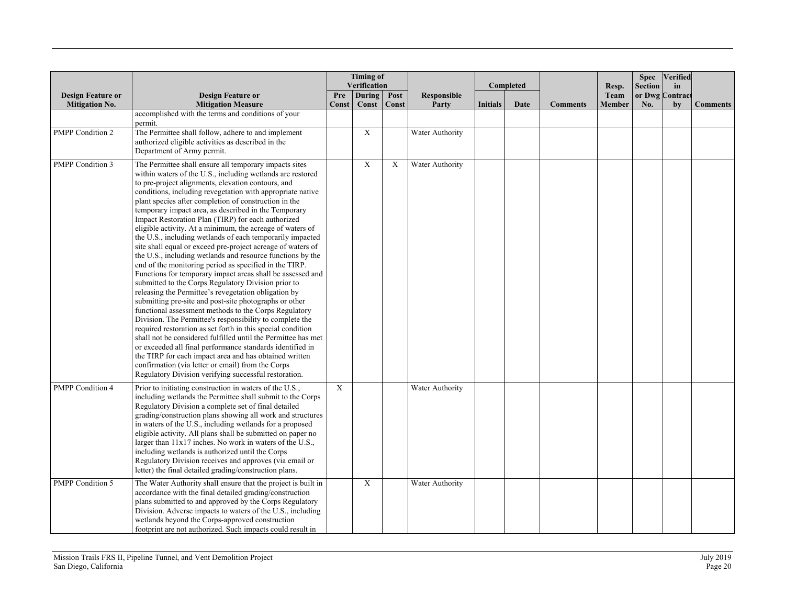|                          |                                                                                                                                                                                                                                                                                                                                                                                                                                                                                                                                                                                                                                                                                                                                                                                                                                                                                                                                                                                                                                                                                                                                                                                                                                                                                                                                                                                                                                                                   |       | <b>Timing of</b>              |       |                 |                 |           |                 |               | <b>Spec</b>              | Verified              |                 |
|--------------------------|-------------------------------------------------------------------------------------------------------------------------------------------------------------------------------------------------------------------------------------------------------------------------------------------------------------------------------------------------------------------------------------------------------------------------------------------------------------------------------------------------------------------------------------------------------------------------------------------------------------------------------------------------------------------------------------------------------------------------------------------------------------------------------------------------------------------------------------------------------------------------------------------------------------------------------------------------------------------------------------------------------------------------------------------------------------------------------------------------------------------------------------------------------------------------------------------------------------------------------------------------------------------------------------------------------------------------------------------------------------------------------------------------------------------------------------------------------------------|-------|-------------------------------|-------|-----------------|-----------------|-----------|-----------------|---------------|--------------------------|-----------------------|-----------------|
| <b>Design Feature or</b> | <b>Design Feature or</b>                                                                                                                                                                                                                                                                                                                                                                                                                                                                                                                                                                                                                                                                                                                                                                                                                                                                                                                                                                                                                                                                                                                                                                                                                                                                                                                                                                                                                                          | Pre   | Verification<br><b>During</b> | Post  | Responsible     |                 | Completed |                 | Resp.<br>Team | <b>Section</b><br>or Dwg | in<br><b>Contract</b> |                 |
| <b>Mitigation No.</b>    | <b>Mitigation Measure</b>                                                                                                                                                                                                                                                                                                                                                                                                                                                                                                                                                                                                                                                                                                                                                                                                                                                                                                                                                                                                                                                                                                                                                                                                                                                                                                                                                                                                                                         | Const | Const                         | Const | Party           | <b>Initials</b> | Date      | <b>Comments</b> | Member        | No.                      | by                    | <b>Comments</b> |
|                          | accomplished with the terms and conditions of your<br>permit.                                                                                                                                                                                                                                                                                                                                                                                                                                                                                                                                                                                                                                                                                                                                                                                                                                                                                                                                                                                                                                                                                                                                                                                                                                                                                                                                                                                                     |       |                               |       |                 |                 |           |                 |               |                          |                       |                 |
| <b>PMPP</b> Condition 2  | The Permittee shall follow, adhere to and implement<br>authorized eligible activities as described in the<br>Department of Army permit.                                                                                                                                                                                                                                                                                                                                                                                                                                                                                                                                                                                                                                                                                                                                                                                                                                                                                                                                                                                                                                                                                                                                                                                                                                                                                                                           |       | $\boldsymbol{\mathrm{X}}$     |       | Water Authority |                 |           |                 |               |                          |                       |                 |
| <b>PMPP</b> Condition 3  | The Permittee shall ensure all temporary impacts sites<br>within waters of the U.S., including wetlands are restored<br>to pre-project alignments, elevation contours, and<br>conditions, including revegetation with appropriate native<br>plant species after completion of construction in the<br>temporary impact area, as described in the Temporary<br>Impact Restoration Plan (TIRP) for each authorized<br>eligible activity. At a minimum, the acreage of waters of<br>the U.S., including wetlands of each temporarily impacted<br>site shall equal or exceed pre-project acreage of waters of<br>the U.S., including wetlands and resource functions by the<br>end of the monitoring period as specified in the TIRP.<br>Functions for temporary impact areas shall be assessed and<br>submitted to the Corps Regulatory Division prior to<br>releasing the Permittee's revegetation obligation by<br>submitting pre-site and post-site photographs or other<br>functional assessment methods to the Corps Regulatory<br>Division. The Permittee's responsibility to complete the<br>required restoration as set forth in this special condition<br>shall not be considered fulfilled until the Permittee has met<br>or exceeded all final performance standards identified in<br>the TIRP for each impact area and has obtained written<br>confirmation (via letter or email) from the Corps<br>Regulatory Division verifying successful restoration. |       | $\mathbf X$                   | X     | Water Authority |                 |           |                 |               |                          |                       |                 |
| PMPP Condition 4         | Prior to initiating construction in waters of the U.S.,<br>including wetlands the Permittee shall submit to the Corps<br>Regulatory Division a complete set of final detailed<br>grading/construction plans showing all work and structures<br>in waters of the U.S., including wetlands for a proposed<br>eligible activity. All plans shall be submitted on paper no<br>larger than 11x17 inches. No work in waters of the U.S.,<br>including wetlands is authorized until the Corps<br>Regulatory Division receives and approves (via email or<br>letter) the final detailed grading/construction plans.                                                                                                                                                                                                                                                                                                                                                                                                                                                                                                                                                                                                                                                                                                                                                                                                                                                       | X     |                               |       | Water Authority |                 |           |                 |               |                          |                       |                 |
| <b>PMPP</b> Condition 5  | The Water Authority shall ensure that the project is built in<br>accordance with the final detailed grading/construction<br>plans submitted to and approved by the Corps Regulatory<br>Division. Adverse impacts to waters of the U.S., including<br>wetlands beyond the Corps-approved construction<br>footprint are not authorized. Such impacts could result in                                                                                                                                                                                                                                                                                                                                                                                                                                                                                                                                                                                                                                                                                                                                                                                                                                                                                                                                                                                                                                                                                                |       | $\mathbf{X}$                  |       | Water Authority |                 |           |                 |               |                          |                       |                 |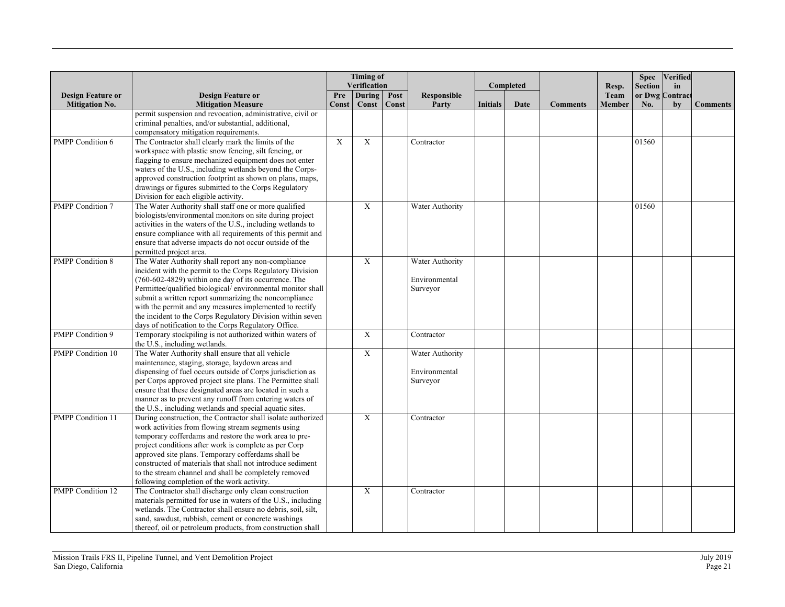|                          |                                                                                                                   |       | <b>Timing of</b> |       |                 |                 |           |                 |               | <b>Spec</b>     | <b>Verified</b> |                 |
|--------------------------|-------------------------------------------------------------------------------------------------------------------|-------|------------------|-------|-----------------|-----------------|-----------|-----------------|---------------|-----------------|-----------------|-----------------|
|                          |                                                                                                                   |       | Verification     |       |                 |                 | Completed |                 | Resp.         | Section         | in              |                 |
| <b>Design Feature or</b> | <b>Design Feature or</b>                                                                                          | Pre   | During           | Post  | Responsible     |                 |           |                 | Team          | or Dwg Contract |                 |                 |
| <b>Mitigation No.</b>    | <b>Mitigation Measure</b>                                                                                         | Const | Const            | Const | Party           | <b>Initials</b> | Date      | <b>Comments</b> | <b>Member</b> | No.             | bv              | <b>Comments</b> |
|                          | permit suspension and revocation, administrative, civil or<br>criminal penalties, and/or substantial, additional, |       |                  |       |                 |                 |           |                 |               |                 |                 |                 |
|                          | compensatory mitigation requirements.                                                                             |       |                  |       |                 |                 |           |                 |               |                 |                 |                 |
| <b>PMPP</b> Condition 6  | The Contractor shall clearly mark the limits of the                                                               | X     | X                |       |                 |                 |           |                 |               | 01560           |                 |                 |
|                          | workspace with plastic snow fencing, silt fencing, or                                                             |       |                  |       | Contractor      |                 |           |                 |               |                 |                 |                 |
|                          | flagging to ensure mechanized equipment does not enter                                                            |       |                  |       |                 |                 |           |                 |               |                 |                 |                 |
|                          | waters of the U.S., including wetlands beyond the Corps-                                                          |       |                  |       |                 |                 |           |                 |               |                 |                 |                 |
|                          | approved construction footprint as shown on plans, maps,                                                          |       |                  |       |                 |                 |           |                 |               |                 |                 |                 |
|                          | drawings or figures submitted to the Corps Regulatory                                                             |       |                  |       |                 |                 |           |                 |               |                 |                 |                 |
|                          | Division for each eligible activity.                                                                              |       |                  |       |                 |                 |           |                 |               |                 |                 |                 |
| <b>PMPP</b> Condition 7  | The Water Authority shall staff one or more qualified                                                             |       | X                |       | Water Authority |                 |           |                 |               | 01560           |                 |                 |
|                          | biologists/environmental monitors on site during project                                                          |       |                  |       |                 |                 |           |                 |               |                 |                 |                 |
|                          | activities in the waters of the U.S., including wetlands to                                                       |       |                  |       |                 |                 |           |                 |               |                 |                 |                 |
|                          | ensure compliance with all requirements of this permit and                                                        |       |                  |       |                 |                 |           |                 |               |                 |                 |                 |
|                          | ensure that adverse impacts do not occur outside of the                                                           |       |                  |       |                 |                 |           |                 |               |                 |                 |                 |
|                          | permitted project area.                                                                                           |       |                  |       |                 |                 |           |                 |               |                 |                 |                 |
| <b>PMPP</b> Condition 8  | The Water Authority shall report any non-compliance                                                               |       | X                |       | Water Authority |                 |           |                 |               |                 |                 |                 |
|                          | incident with the permit to the Corps Regulatory Division                                                         |       |                  |       |                 |                 |           |                 |               |                 |                 |                 |
|                          | (760-602-4829) within one day of its occurrence. The                                                              |       |                  |       | Environmental   |                 |           |                 |               |                 |                 |                 |
|                          | Permittee/qualified biological/ environmental monitor shall                                                       |       |                  |       | Surveyor        |                 |           |                 |               |                 |                 |                 |
|                          | submit a written report summarizing the noncompliance                                                             |       |                  |       |                 |                 |           |                 |               |                 |                 |                 |
|                          | with the permit and any measures implemented to rectify                                                           |       |                  |       |                 |                 |           |                 |               |                 |                 |                 |
|                          | the incident to the Corps Regulatory Division within seven                                                        |       |                  |       |                 |                 |           |                 |               |                 |                 |                 |
|                          | days of notification to the Corps Regulatory Office.                                                              |       |                  |       |                 |                 |           |                 |               |                 |                 |                 |
| <b>PMPP Condition 9</b>  | Temporary stockpiling is not authorized within waters of                                                          |       | X                |       | Contractor      |                 |           |                 |               |                 |                 |                 |
|                          | the U.S., including wetlands.                                                                                     |       |                  |       |                 |                 |           |                 |               |                 |                 |                 |
| <b>PMPP Condition 10</b> | The Water Authority shall ensure that all vehicle                                                                 |       | X                |       | Water Authority |                 |           |                 |               |                 |                 |                 |
|                          | maintenance, staging, storage, laydown areas and<br>dispensing of fuel occurs outside of Corps jurisdiction as    |       |                  |       |                 |                 |           |                 |               |                 |                 |                 |
|                          | per Corps approved project site plans. The Permittee shall                                                        |       |                  |       | Environmental   |                 |           |                 |               |                 |                 |                 |
|                          | ensure that these designated areas are located in such a                                                          |       |                  |       | Surveyor        |                 |           |                 |               |                 |                 |                 |
|                          | manner as to prevent any runoff from entering waters of                                                           |       |                  |       |                 |                 |           |                 |               |                 |                 |                 |
|                          | the U.S., including wetlands and special aquatic sites.                                                           |       |                  |       |                 |                 |           |                 |               |                 |                 |                 |
| PMPP Condition 11        | During construction, the Contractor shall isolate authorized                                                      |       | X                |       | Contractor      |                 |           |                 |               |                 |                 |                 |
|                          | work activities from flowing stream segments using                                                                |       |                  |       |                 |                 |           |                 |               |                 |                 |                 |
|                          | temporary cofferdams and restore the work area to pre-                                                            |       |                  |       |                 |                 |           |                 |               |                 |                 |                 |
|                          | project conditions after work is complete as per Corp                                                             |       |                  |       |                 |                 |           |                 |               |                 |                 |                 |
|                          | approved site plans. Temporary cofferdams shall be                                                                |       |                  |       |                 |                 |           |                 |               |                 |                 |                 |
|                          | constructed of materials that shall not introduce sediment                                                        |       |                  |       |                 |                 |           |                 |               |                 |                 |                 |
|                          | to the stream channel and shall be completely removed                                                             |       |                  |       |                 |                 |           |                 |               |                 |                 |                 |
|                          | following completion of the work activity.                                                                        |       |                  |       |                 |                 |           |                 |               |                 |                 |                 |
| <b>PMPP Condition 12</b> | The Contractor shall discharge only clean construction                                                            |       | X                |       | Contractor      |                 |           |                 |               |                 |                 |                 |
|                          | materials permitted for use in waters of the U.S., including                                                      |       |                  |       |                 |                 |           |                 |               |                 |                 |                 |
|                          | wetlands. The Contractor shall ensure no debris, soil, silt,                                                      |       |                  |       |                 |                 |           |                 |               |                 |                 |                 |
|                          | sand, sawdust, rubbish, cement or concrete washings                                                               |       |                  |       |                 |                 |           |                 |               |                 |                 |                 |
|                          | thereof, oil or petroleum products, from construction shall                                                       |       |                  |       |                 |                 |           |                 |               |                 |                 |                 |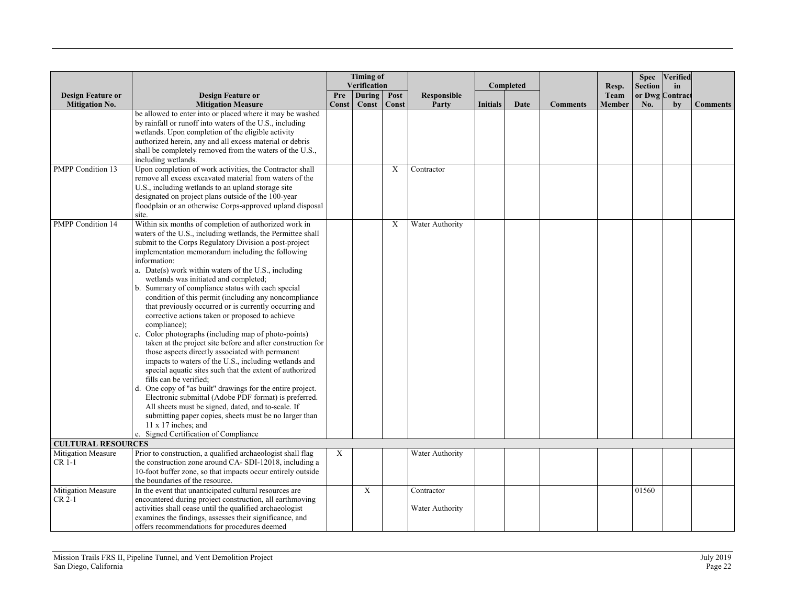|                               |                                                                                                                                                                                                                                                                                                                                                                                                                                                                                                                                                                                                                                                                                                                                                                                                                                                                                                                                                                                                                                                                                                                                                                                                                                         |              | <b>Timing of</b><br>Verification |                           |                                      |                 | Completed |                 |               | <b>Spec</b><br><b>Section</b> | Verified<br>in  |                 |
|-------------------------------|-----------------------------------------------------------------------------------------------------------------------------------------------------------------------------------------------------------------------------------------------------------------------------------------------------------------------------------------------------------------------------------------------------------------------------------------------------------------------------------------------------------------------------------------------------------------------------------------------------------------------------------------------------------------------------------------------------------------------------------------------------------------------------------------------------------------------------------------------------------------------------------------------------------------------------------------------------------------------------------------------------------------------------------------------------------------------------------------------------------------------------------------------------------------------------------------------------------------------------------------|--------------|----------------------------------|---------------------------|--------------------------------------|-----------------|-----------|-----------------|---------------|-------------------------------|-----------------|-----------------|
| <b>Design Feature or</b>      | <b>Design Feature or</b>                                                                                                                                                                                                                                                                                                                                                                                                                                                                                                                                                                                                                                                                                                                                                                                                                                                                                                                                                                                                                                                                                                                                                                                                                | Pre          | <b>During</b>                    | Post                      | <b>Responsible</b>                   |                 |           |                 | Resp.<br>Team | or Dwg C                      | <b>Contract</b> |                 |
| <b>Mitigation No.</b>         | <b>Mitigation Measure</b>                                                                                                                                                                                                                                                                                                                                                                                                                                                                                                                                                                                                                                                                                                                                                                                                                                                                                                                                                                                                                                                                                                                                                                                                               | <b>Const</b> | Const                            | Const                     | Party                                | <b>Initials</b> | Date      | <b>Comments</b> | <b>Member</b> | No.                           | by              | <b>Comments</b> |
|                               | be allowed to enter into or placed where it may be washed<br>by rainfall or runoff into waters of the U.S., including<br>wetlands. Upon completion of the eligible activity<br>authorized herein, any and all excess material or debris<br>shall be completely removed from the waters of the U.S.,<br>including wetlands.                                                                                                                                                                                                                                                                                                                                                                                                                                                                                                                                                                                                                                                                                                                                                                                                                                                                                                              |              |                                  |                           |                                      |                 |           |                 |               |                               |                 |                 |
| <b>PMPP</b> Condition 13      | Upon completion of work activities, the Contractor shall<br>remove all excess excavated material from waters of the<br>U.S., including wetlands to an upland storage site<br>designated on project plans outside of the 100-year<br>floodplain or an otherwise Corps-approved upland disposal<br>site.                                                                                                                                                                                                                                                                                                                                                                                                                                                                                                                                                                                                                                                                                                                                                                                                                                                                                                                                  |              |                                  | $\boldsymbol{\mathrm{X}}$ | Contractor                           |                 |           |                 |               |                               |                 |                 |
| <b>PMPP</b> Condition 14      | Within six months of completion of authorized work in<br>waters of the U.S., including wetlands, the Permittee shall<br>submit to the Corps Regulatory Division a post-project<br>implementation memorandum including the following<br>information:<br>a. Date(s) work within waters of the U.S., including<br>wetlands was initiated and completed;<br>b. Summary of compliance status with each special<br>condition of this permit (including any noncompliance<br>that previously occurred or is currently occurring and<br>corrective actions taken or proposed to achieve<br>compliance);<br>c. Color photographs (including map of photo-points)<br>taken at the project site before and after construction for<br>those aspects directly associated with permanent<br>impacts to waters of the U.S., including wetlands and<br>special aquatic sites such that the extent of authorized<br>fills can be verified:<br>d. One copy of "as built" drawings for the entire project.<br>Electronic submittal (Adobe PDF format) is preferred.<br>All sheets must be signed, dated, and to-scale. If<br>submitting paper copies, sheets must be no larger than<br>$11 \times 17$ inches; and<br>e. Signed Certification of Compliance |              |                                  | Х                         | Water Authority                      |                 |           |                 |               |                               |                 |                 |
| <b>CULTURAL RESOURCES</b>     |                                                                                                                                                                                                                                                                                                                                                                                                                                                                                                                                                                                                                                                                                                                                                                                                                                                                                                                                                                                                                                                                                                                                                                                                                                         |              |                                  |                           |                                      |                 |           |                 |               |                               |                 |                 |
| Mitigation Measure<br>CR 1-1  | Prior to construction, a qualified archaeologist shall flag<br>the construction zone around CA- SDI-12018, including a<br>10-foot buffer zone, so that impacts occur entirely outside<br>the boundaries of the resource.                                                                                                                                                                                                                                                                                                                                                                                                                                                                                                                                                                                                                                                                                                                                                                                                                                                                                                                                                                                                                | X            |                                  |                           | Water Authority                      |                 |           |                 |               |                               |                 |                 |
| Mitigation Measure<br>$CR2-1$ | In the event that unanticipated cultural resources are<br>encountered during project construction, all earthmoving<br>activities shall cease until the qualified archaeologist<br>examines the findings, assesses their significance, and<br>offers recommendations for procedures deemed                                                                                                                                                                                                                                                                                                                                                                                                                                                                                                                                                                                                                                                                                                                                                                                                                                                                                                                                               |              | $\boldsymbol{\mathrm{X}}$        |                           | Contractor<br><b>Water Authority</b> |                 |           |                 |               | 01560                         |                 |                 |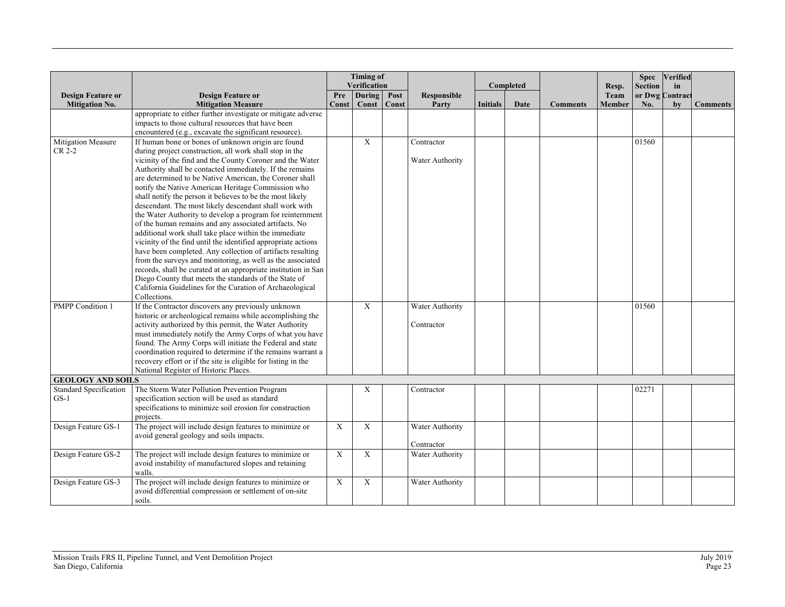|                                         |                                                                                                                                                                                                                                                                                                                                                                                                                                                                                                                                                                                                                                                                                                                                                                                                                                                                                                                                                                                                                                                                   |             | <b>Timing of</b>       |       |                               |                 |           |                 |               | <b>Spec</b>                       | <b>Verified</b> |                 |
|-----------------------------------------|-------------------------------------------------------------------------------------------------------------------------------------------------------------------------------------------------------------------------------------------------------------------------------------------------------------------------------------------------------------------------------------------------------------------------------------------------------------------------------------------------------------------------------------------------------------------------------------------------------------------------------------------------------------------------------------------------------------------------------------------------------------------------------------------------------------------------------------------------------------------------------------------------------------------------------------------------------------------------------------------------------------------------------------------------------------------|-------------|------------------------|-------|-------------------------------|-----------------|-----------|-----------------|---------------|-----------------------------------|-----------------|-----------------|
| <b>Design Feature or</b>                | <b>Design Feature or</b>                                                                                                                                                                                                                                                                                                                                                                                                                                                                                                                                                                                                                                                                                                                                                                                                                                                                                                                                                                                                                                          | Pre         | Verification<br>During | Post  | Responsible                   |                 | Completed |                 | Resp.<br>Team | <b>Section</b><br>or Dwg Contract | in              |                 |
| <b>Mitigation No.</b>                   | <b>Mitigation Measure</b>                                                                                                                                                                                                                                                                                                                                                                                                                                                                                                                                                                                                                                                                                                                                                                                                                                                                                                                                                                                                                                         | Const       | Const                  | Const | Party                         | <b>Initials</b> | Date      | <b>Comments</b> | Member        | No.                               | by              | <b>Comments</b> |
|                                         | appropriate to either further investigate or mitigate adverse<br>impacts to those cultural resources that have been<br>encountered (e.g., excavate the significant resource).                                                                                                                                                                                                                                                                                                                                                                                                                                                                                                                                                                                                                                                                                                                                                                                                                                                                                     |             |                        |       |                               |                 |           |                 |               |                                   |                 |                 |
| Mitigation Measure<br>$CR$ 2-2          | If human bone or bones of unknown origin are found<br>during project construction, all work shall stop in the<br>vicinity of the find and the County Coroner and the Water<br>Authority shall be contacted immediately. If the remains<br>are determined to be Native American, the Coroner shall<br>notify the Native American Heritage Commission who<br>shall notify the person it believes to be the most likely<br>descendant. The most likely descendant shall work with<br>the Water Authority to develop a program for reinternment<br>of the human remains and any associated artifacts. No<br>additional work shall take place within the immediate<br>vicinity of the find until the identified appropriate actions<br>have been completed. Any collection of artifacts resulting<br>from the surveys and monitoring, as well as the associated<br>records, shall be curated at an appropriate institution in San<br>Diego County that meets the standards of the State of<br>California Guidelines for the Curation of Archaeological<br>Collections. |             | X                      |       | Contractor<br>Water Authority |                 |           |                 |               | 01560                             |                 |                 |
| <b>PMPP</b> Condition 1                 | If the Contractor discovers any previously unknown<br>historic or archeological remains while accomplishing the<br>activity authorized by this permit, the Water Authority<br>must immediately notify the Army Corps of what you have<br>found. The Army Corps will initiate the Federal and state<br>coordination required to determine if the remains warrant a<br>recovery effort or if the site is eligible for listing in the<br>National Register of Historic Places.                                                                                                                                                                                                                                                                                                                                                                                                                                                                                                                                                                                       |             | X                      |       | Water Authority<br>Contractor |                 |           |                 |               | 01560                             |                 |                 |
| <b>GEOLOGY AND SOILS</b>                |                                                                                                                                                                                                                                                                                                                                                                                                                                                                                                                                                                                                                                                                                                                                                                                                                                                                                                                                                                                                                                                                   |             |                        |       |                               |                 |           |                 |               |                                   |                 |                 |
| <b>Standard Specification</b><br>$GS-1$ | The Storm Water Pollution Prevention Program<br>specification section will be used as standard<br>specifications to minimize soil erosion for construction<br>projects.                                                                                                                                                                                                                                                                                                                                                                                                                                                                                                                                                                                                                                                                                                                                                                                                                                                                                           |             | X                      |       | Contractor                    |                 |           |                 |               | 02271                             |                 |                 |
| Design Feature GS-1                     | The project will include design features to minimize or<br>avoid general geology and soils impacts.                                                                                                                                                                                                                                                                                                                                                                                                                                                                                                                                                                                                                                                                                                                                                                                                                                                                                                                                                               | X           | X                      |       | Water Authority<br>Contractor |                 |           |                 |               |                                   |                 |                 |
| Design Feature GS-2                     | The project will include design features to minimize or<br>avoid instability of manufactured slopes and retaining<br>walls.                                                                                                                                                                                                                                                                                                                                                                                                                                                                                                                                                                                                                                                                                                                                                                                                                                                                                                                                       | $\mathbf X$ | $\mathbf X$            |       | Water Authority               |                 |           |                 |               |                                   |                 |                 |
| Design Feature GS-3                     | The project will include design features to minimize or<br>avoid differential compression or settlement of on-site<br>soils.                                                                                                                                                                                                                                                                                                                                                                                                                                                                                                                                                                                                                                                                                                                                                                                                                                                                                                                                      | X           | X                      |       | Water Authority               |                 |           |                 |               |                                   |                 |                 |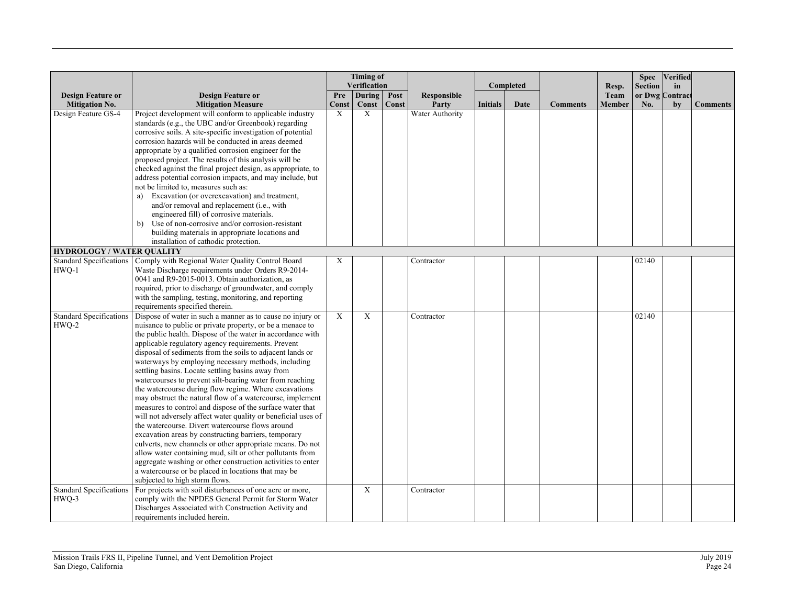|                                                   |                                                                            |              | <b>Timing of</b>      |               |                             |                 |           |                 |                | <b>Spec</b> | <b>Verified</b>       |                 |
|---------------------------------------------------|----------------------------------------------------------------------------|--------------|-----------------------|---------------|-----------------------------|-----------------|-----------|-----------------|----------------|-------------|-----------------------|-----------------|
|                                                   |                                                                            |              | Verification          |               |                             |                 | Completed |                 | Resp.          | Section     | in                    |                 |
| <b>Design Feature or</b><br><b>Mitigation No.</b> | <b>Design Feature or</b><br><b>Mitigation Measure</b>                      | Pre<br>Const | During                | Post<br>Const | <b>Responsible</b><br>Party | <b>Initials</b> | Date      | <b>Comments</b> | Team<br>Member | No.         | or Dwg Contract<br>by | <b>Comments</b> |
| Design Feature GS-4                               | Project development will conform to applicable industry                    | X            | Const<br>$\mathbf{X}$ |               | Water Authority             |                 |           |                 |                |             |                       |                 |
|                                                   | standards (e.g., the UBC and/or Greenbook) regarding                       |              |                       |               |                             |                 |           |                 |                |             |                       |                 |
|                                                   | corrosive soils. A site-specific investigation of potential                |              |                       |               |                             |                 |           |                 |                |             |                       |                 |
|                                                   | corrosion hazards will be conducted in areas deemed                        |              |                       |               |                             |                 |           |                 |                |             |                       |                 |
|                                                   | appropriate by a qualified corrosion engineer for the                      |              |                       |               |                             |                 |           |                 |                |             |                       |                 |
|                                                   | proposed project. The results of this analysis will be                     |              |                       |               |                             |                 |           |                 |                |             |                       |                 |
|                                                   | checked against the final project design, as appropriate, to               |              |                       |               |                             |                 |           |                 |                |             |                       |                 |
|                                                   | address potential corrosion impacts, and may include, but                  |              |                       |               |                             |                 |           |                 |                |             |                       |                 |
|                                                   | not be limited to, measures such as:                                       |              |                       |               |                             |                 |           |                 |                |             |                       |                 |
|                                                   | Excavation (or overexcavation) and treatment,<br>a)                        |              |                       |               |                             |                 |           |                 |                |             |                       |                 |
|                                                   | and/or removal and replacement (i.e., with                                 |              |                       |               |                             |                 |           |                 |                |             |                       |                 |
|                                                   | engineered fill) of corrosive materials.                                   |              |                       |               |                             |                 |           |                 |                |             |                       |                 |
|                                                   | b)<br>Use of non-corrosive and/or corrosion-resistant                      |              |                       |               |                             |                 |           |                 |                |             |                       |                 |
|                                                   | building materials in appropriate locations and                            |              |                       |               |                             |                 |           |                 |                |             |                       |                 |
|                                                   | installation of cathodic protection.                                       |              |                       |               |                             |                 |           |                 |                |             |                       |                 |
| <b>HYDROLOGY / WATER QUALITY</b>                  |                                                                            |              |                       |               |                             |                 |           |                 |                |             |                       |                 |
|                                                   | Standard Specifications   Comply with Regional Water Quality Control Board | X            |                       |               | Contractor                  |                 |           |                 |                | 02140       |                       |                 |
| HWQ-1                                             | Waste Discharge requirements under Orders R9-2014-                         |              |                       |               |                             |                 |           |                 |                |             |                       |                 |
|                                                   | 0041 and R9-2015-0013. Obtain authorization, as                            |              |                       |               |                             |                 |           |                 |                |             |                       |                 |
|                                                   | required, prior to discharge of groundwater, and comply                    |              |                       |               |                             |                 |           |                 |                |             |                       |                 |
|                                                   | with the sampling, testing, monitoring, and reporting                      |              |                       |               |                             |                 |           |                 |                |             |                       |                 |
|                                                   | requirements specified therein.                                            |              |                       |               |                             |                 |           |                 |                |             |                       |                 |
| <b>Standard Specifications</b>                    | Dispose of water in such a manner as to cause no injury or                 | X            | X                     |               | Contractor                  |                 |           |                 |                | 02140       |                       |                 |
| HWQ-2                                             | nuisance to public or private property, or be a menace to                  |              |                       |               |                             |                 |           |                 |                |             |                       |                 |
|                                                   | the public health. Dispose of the water in accordance with                 |              |                       |               |                             |                 |           |                 |                |             |                       |                 |
|                                                   | applicable regulatory agency requirements. Prevent                         |              |                       |               |                             |                 |           |                 |                |             |                       |                 |
|                                                   | disposal of sediments from the soils to adjacent lands or                  |              |                       |               |                             |                 |           |                 |                |             |                       |                 |
|                                                   | waterways by employing necessary methods, including                        |              |                       |               |                             |                 |           |                 |                |             |                       |                 |
|                                                   | settling basins. Locate settling basins away from                          |              |                       |               |                             |                 |           |                 |                |             |                       |                 |
|                                                   | watercourses to prevent silt-bearing water from reaching                   |              |                       |               |                             |                 |           |                 |                |             |                       |                 |
|                                                   | the watercourse during flow regime. Where excavations                      |              |                       |               |                             |                 |           |                 |                |             |                       |                 |
|                                                   | may obstruct the natural flow of a watercourse, implement                  |              |                       |               |                             |                 |           |                 |                |             |                       |                 |
|                                                   | measures to control and dispose of the surface water that                  |              |                       |               |                             |                 |           |                 |                |             |                       |                 |
|                                                   | will not adversely affect water quality or beneficial uses of              |              |                       |               |                             |                 |           |                 |                |             |                       |                 |
|                                                   | the watercourse. Divert watercourse flows around                           |              |                       |               |                             |                 |           |                 |                |             |                       |                 |
|                                                   | excavation areas by constructing barriers, temporary                       |              |                       |               |                             |                 |           |                 |                |             |                       |                 |
|                                                   | culverts, new channels or other appropriate means. Do not                  |              |                       |               |                             |                 |           |                 |                |             |                       |                 |
|                                                   | allow water containing mud, silt or other pollutants from                  |              |                       |               |                             |                 |           |                 |                |             |                       |                 |
|                                                   | aggregate washing or other construction activities to enter                |              |                       |               |                             |                 |           |                 |                |             |                       |                 |
|                                                   | a watercourse or be placed in locations that may be                        |              |                       |               |                             |                 |           |                 |                |             |                       |                 |
|                                                   | subjected to high storm flows.                                             |              |                       |               |                             |                 |           |                 |                |             |                       |                 |
| <b>Standard Specifications</b>                    | For projects with soil disturbances of one acre or more,                   |              | X                     |               | Contractor                  |                 |           |                 |                |             |                       |                 |
| HWQ-3                                             | comply with the NPDES General Permit for Storm Water                       |              |                       |               |                             |                 |           |                 |                |             |                       |                 |
|                                                   | Discharges Associated with Construction Activity and                       |              |                       |               |                             |                 |           |                 |                |             |                       |                 |
|                                                   | requirements included herein.                                              |              |                       |               |                             |                 |           |                 |                |             |                       |                 |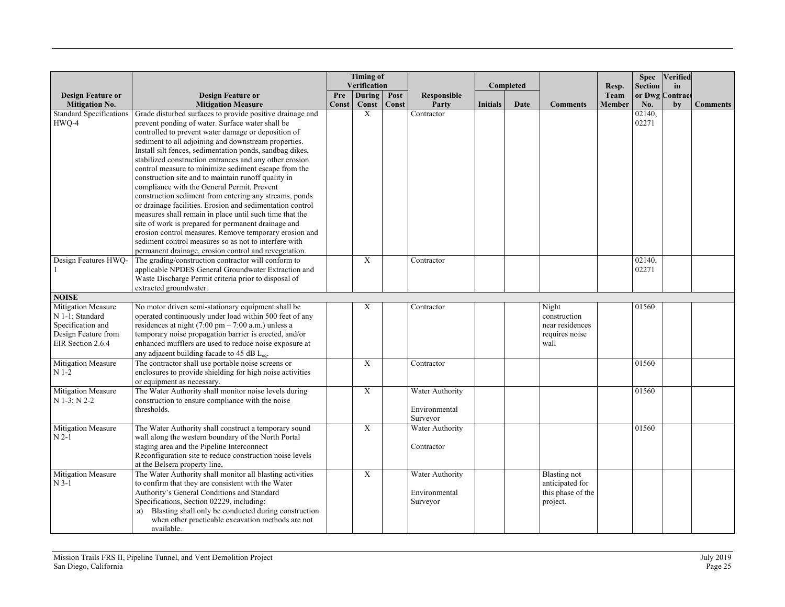|                                                                                                        |                                                                                                                                                                                                                                                                                                                                                                                                                                                                                                                                                                                                                                                                                                                                                                                                                                                                               |              | <b>Timing of</b>    |               |                                              |                 |                  |                                                                         |                       | <b>Spec</b>     | <b>Verified</b> |                 |
|--------------------------------------------------------------------------------------------------------|-------------------------------------------------------------------------------------------------------------------------------------------------------------------------------------------------------------------------------------------------------------------------------------------------------------------------------------------------------------------------------------------------------------------------------------------------------------------------------------------------------------------------------------------------------------------------------------------------------------------------------------------------------------------------------------------------------------------------------------------------------------------------------------------------------------------------------------------------------------------------------|--------------|---------------------|---------------|----------------------------------------------|-----------------|------------------|-------------------------------------------------------------------------|-----------------------|-----------------|-----------------|-----------------|
|                                                                                                        |                                                                                                                                                                                                                                                                                                                                                                                                                                                                                                                                                                                                                                                                                                                                                                                                                                                                               |              | <b>Verification</b> |               |                                              |                 | <b>Completed</b> |                                                                         | Resp.                 | Section         | in              |                 |
| <b>Design Feature or</b><br><b>Mitigation No.</b>                                                      | <b>Design Feature or</b><br><b>Mitigation Measure</b>                                                                                                                                                                                                                                                                                                                                                                                                                                                                                                                                                                                                                                                                                                                                                                                                                         | Pre<br>Const | During<br>Const     | Post<br>Const | <b>Responsible</b><br>Party                  | <b>Initials</b> | Date             | <b>Comments</b>                                                         | Team<br><b>Member</b> | or Dwg<br>No.   | 'ontract<br>bv  | <b>Comments</b> |
| <b>Standard Specifications</b><br>HWQ-4                                                                | Grade disturbed surfaces to provide positive drainage and<br>prevent ponding of water. Surface water shall be<br>controlled to prevent water damage or deposition of<br>sediment to all adjoining and downstream properties.<br>Install silt fences, sedimentation ponds, sandbag dikes,<br>stabilized construction entrances and any other erosion<br>control measure to minimize sediment escape from the<br>construction site and to maintain runoff quality in<br>compliance with the General Permit. Prevent<br>construction sediment from entering any streams, ponds<br>or drainage facilities. Erosion and sedimentation control<br>measures shall remain in place until such time that the<br>site of work is prepared for permanent drainage and<br>erosion control measures. Remove temporary erosion and<br>sediment control measures so as not to interfere with |              | $\mathbf{X}$        |               | Contractor                                   |                 |                  |                                                                         |                       | 02140.<br>02271 |                 |                 |
| Design Features HWQ-                                                                                   | permanent drainage, erosion control and revegetation.<br>The grading/construction contractor will conform to<br>applicable NPDES General Groundwater Extraction and<br>Waste Discharge Permit criteria prior to disposal of<br>extracted groundwater.                                                                                                                                                                                                                                                                                                                                                                                                                                                                                                                                                                                                                         |              | X                   |               | Contractor                                   |                 |                  |                                                                         |                       | 02140.<br>02271 |                 |                 |
| <b>NOISE</b>                                                                                           |                                                                                                                                                                                                                                                                                                                                                                                                                                                                                                                                                                                                                                                                                                                                                                                                                                                                               |              |                     |               |                                              |                 |                  |                                                                         |                       |                 |                 |                 |
| Mitigation Measure<br>N 1-1: Standard<br>Specification and<br>Design Feature from<br>EIR Section 2.6.4 | No motor driven semi-stationary equipment shall be<br>operated continuously under load within 500 feet of any<br>residences at night $(7.00 \text{ pm} - 7.00 \text{ a.m.})$ unless a<br>temporary noise propagation barrier is erected, and/or<br>enhanced mufflers are used to reduce noise exposure at<br>any adjacent building facade to 45 dB L <sub>eq</sub> .                                                                                                                                                                                                                                                                                                                                                                                                                                                                                                          |              | X                   |               | Contractor                                   |                 |                  | Night<br>construction<br>near residences<br>requires noise<br>wall      |                       | 01560           |                 |                 |
| Mitigation Measure<br>$N1-2$                                                                           | The contractor shall use portable noise screens or<br>enclosures to provide shielding for high noise activities<br>or equipment as necessary.                                                                                                                                                                                                                                                                                                                                                                                                                                                                                                                                                                                                                                                                                                                                 |              | X                   |               | Contractor                                   |                 |                  |                                                                         |                       | 01560           |                 |                 |
| Mitigation Measure<br>N 1-3; N 2-2                                                                     | The Water Authority shall monitor noise levels during<br>construction to ensure compliance with the noise<br>thresholds.                                                                                                                                                                                                                                                                                                                                                                                                                                                                                                                                                                                                                                                                                                                                                      |              | X                   |               | Water Authority<br>Environmental<br>Surveyor |                 |                  |                                                                         |                       | 01560           |                 |                 |
| Mitigation Measure<br>$N$ 2-1                                                                          | The Water Authority shall construct a temporary sound<br>wall along the western boundary of the North Portal<br>staging area and the Pipeline Interconnect<br>Reconfiguration site to reduce construction noise levels<br>at the Belsera property line.                                                                                                                                                                                                                                                                                                                                                                                                                                                                                                                                                                                                                       |              | X                   |               | Water Authority<br>Contractor                |                 |                  |                                                                         |                       | 01560           |                 |                 |
| Mitigation Measure<br>$N$ 3-1                                                                          | The Water Authority shall monitor all blasting activities<br>to confirm that they are consistent with the Water<br>Authority's General Conditions and Standard<br>Specifications, Section 02229, including:<br>a) Blasting shall only be conducted during construction<br>when other practicable excavation methods are not<br>available.                                                                                                                                                                                                                                                                                                                                                                                                                                                                                                                                     |              | X                   |               | Water Authority<br>Environmental<br>Surveyor |                 |                  | <b>Blasting not</b><br>anticipated for<br>this phase of the<br>project. |                       |                 |                 |                 |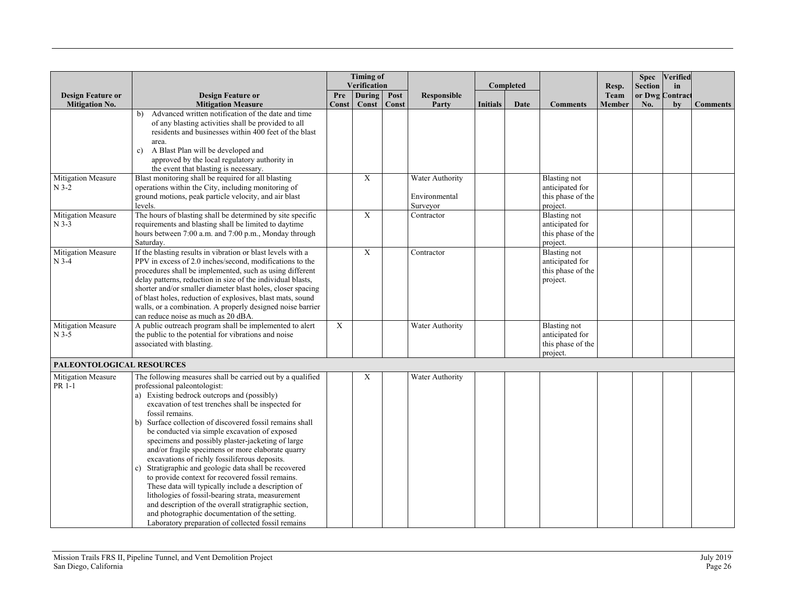|                                                   |                                                                                                                                                                                                                                                                                                                                                                                                                                                                                                                                                                                                                                                                                                                                                                                                                                                                                                     |              | <b>Timing of</b><br>Verification |               |                                              |                 |           |                                                                         |                       | <b>Spec</b>    | <b>Verified</b>         |                 |
|---------------------------------------------------|-----------------------------------------------------------------------------------------------------------------------------------------------------------------------------------------------------------------------------------------------------------------------------------------------------------------------------------------------------------------------------------------------------------------------------------------------------------------------------------------------------------------------------------------------------------------------------------------------------------------------------------------------------------------------------------------------------------------------------------------------------------------------------------------------------------------------------------------------------------------------------------------------------|--------------|----------------------------------|---------------|----------------------------------------------|-----------------|-----------|-------------------------------------------------------------------------|-----------------------|----------------|-------------------------|-----------------|
|                                                   |                                                                                                                                                                                                                                                                                                                                                                                                                                                                                                                                                                                                                                                                                                                                                                                                                                                                                                     |              | During                           |               |                                              |                 | Completed |                                                                         | Resp.                 | <b>Section</b> | in                      |                 |
| <b>Design Feature or</b><br><b>Mitigation No.</b> | <b>Design Feature or</b><br><b>Mitigation Measure</b>                                                                                                                                                                                                                                                                                                                                                                                                                                                                                                                                                                                                                                                                                                                                                                                                                                               | Pre<br>Const | Const                            | Post<br>Const | <b>Responsible</b><br>Party                  | <b>Initials</b> | Date      | <b>Comments</b>                                                         | Team<br><b>Member</b> | No.            | or Dwg Contract<br>$bv$ | <b>Comments</b> |
|                                                   | Advanced written notification of the date and time<br>b)<br>of any blasting activities shall be provided to all<br>residents and businesses within 400 feet of the blast<br>area.<br>A Blast Plan will be developed and<br>$\mathbf{c}$ )<br>approved by the local regulatory authority in                                                                                                                                                                                                                                                                                                                                                                                                                                                                                                                                                                                                          |              |                                  |               |                                              |                 |           |                                                                         |                       |                |                         |                 |
|                                                   | the event that blasting is necessary.                                                                                                                                                                                                                                                                                                                                                                                                                                                                                                                                                                                                                                                                                                                                                                                                                                                               |              |                                  |               |                                              |                 |           |                                                                         |                       |                |                         |                 |
| Mitigation Measure<br>$N$ 3-2                     | Blast monitoring shall be required for all blasting<br>operations within the City, including monitoring of<br>ground motions, peak particle velocity, and air blast<br>levels.                                                                                                                                                                                                                                                                                                                                                                                                                                                                                                                                                                                                                                                                                                                      |              | $\mathbf X$                      |               | Water Authority<br>Environmental<br>Surveyor |                 |           | <b>Blasting not</b><br>anticipated for<br>this phase of the<br>project. |                       |                |                         |                 |
| Mitigation Measure<br>$N$ 3-3                     | The hours of blasting shall be determined by site specific<br>requirements and blasting shall be limited to daytime<br>hours between 7:00 a.m. and 7:00 p.m., Monday through<br>Saturday.                                                                                                                                                                                                                                                                                                                                                                                                                                                                                                                                                                                                                                                                                                           |              | $\mathbf X$                      |               | Contractor                                   |                 |           | <b>Blasting not</b><br>anticipated for<br>this phase of the<br>project. |                       |                |                         |                 |
| Mitigation Measure<br>$N$ 3-4                     | If the blasting results in vibration or blast levels with a<br>PPV in excess of 2.0 inches/second, modifications to the<br>procedures shall be implemented, such as using different<br>delay patterns, reduction in size of the individual blasts,<br>shorter and/or smaller diameter blast holes, closer spacing<br>of blast holes, reduction of explosives, blast mats, sound<br>walls, or a combination. A properly designed noise barrier<br>can reduce noise as much as 20 dBA.                                                                                                                                                                                                                                                                                                                                                                                                                |              | $\boldsymbol{\mathrm{X}}$        |               | Contractor                                   |                 |           | Blasting not<br>anticipated for<br>this phase of the<br>project.        |                       |                |                         |                 |
| Mitigation Measure<br>$N$ 3-5                     | A public outreach program shall be implemented to alert<br>the public to the potential for vibrations and noise<br>associated with blasting.                                                                                                                                                                                                                                                                                                                                                                                                                                                                                                                                                                                                                                                                                                                                                        | $\mathbf X$  |                                  |               | Water Authority                              |                 |           | <b>Blasting not</b><br>anticipated for<br>this phase of the<br>project. |                       |                |                         |                 |
| PALEONTOLOGICAL RESOURCES                         |                                                                                                                                                                                                                                                                                                                                                                                                                                                                                                                                                                                                                                                                                                                                                                                                                                                                                                     |              |                                  |               |                                              |                 |           |                                                                         |                       |                |                         |                 |
| Mitigation Measure<br>PR 1-1                      | The following measures shall be carried out by a qualified<br>professional paleontologist:<br>a) Existing bedrock outcrops and (possibly)<br>excavation of test trenches shall be inspected for<br>fossil remains.<br>Surface collection of discovered fossil remains shall<br>$\mathbf{b}$<br>be conducted via simple excavation of exposed<br>specimens and possibly plaster-jacketing of large<br>and/or fragile specimens or more elaborate quarry<br>excavations of richly fossiliferous deposits.<br>Stratigraphic and geologic data shall be recovered<br>c)<br>to provide context for recovered fossil remains.<br>These data will typically include a description of<br>lithologies of fossil-bearing strata, measurement<br>and description of the overall stratigraphic section,<br>and photographic documentation of the setting.<br>Laboratory preparation of collected fossil remains |              | X                                |               | Water Authority                              |                 |           |                                                                         |                       |                |                         |                 |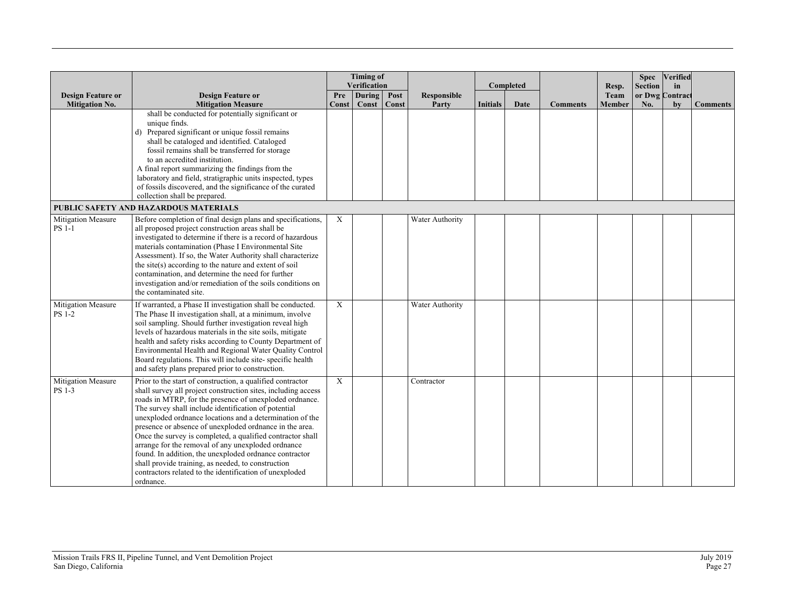|                                     |                                                                                                                                                                                                                                                                                                                                                                                                                                                                                                                                                                                                                                                                                   | <b>Timing of</b>          |                                      |       |                    | Completed       |      |                 |               | <b>Spec</b>                | <b>Verified</b> |                 |
|-------------------------------------|-----------------------------------------------------------------------------------------------------------------------------------------------------------------------------------------------------------------------------------------------------------------------------------------------------------------------------------------------------------------------------------------------------------------------------------------------------------------------------------------------------------------------------------------------------------------------------------------------------------------------------------------------------------------------------------|---------------------------|--------------------------------------|-------|--------------------|-----------------|------|-----------------|---------------|----------------------------|-----------------|-----------------|
| <b>Design Feature or</b>            | <b>Design Feature or</b>                                                                                                                                                                                                                                                                                                                                                                                                                                                                                                                                                                                                                                                          | Pre                       | <b>Verification</b><br><b>During</b> | Post  | <b>Responsible</b> |                 |      |                 | Resp.<br>Team | <b>Section</b><br>or Dwg C | in<br>ontract   |                 |
| <b>Mitigation No.</b>               | <b>Mitigation Measure</b>                                                                                                                                                                                                                                                                                                                                                                                                                                                                                                                                                                                                                                                         | Const                     | Const                                | Const | Party              | <b>Initials</b> | Date | <b>Comments</b> | Member        | No.                        | by              | <b>Comments</b> |
|                                     | shall be conducted for potentially significant or<br>unique finds.<br>Prepared significant or unique fossil remains<br>d)<br>shall be cataloged and identified. Cataloged<br>fossil remains shall be transferred for storage<br>to an accredited institution.<br>A final report summarizing the findings from the<br>laboratory and field, stratigraphic units inspected, types<br>of fossils discovered, and the significance of the curated<br>collection shall be prepared.                                                                                                                                                                                                    |                           |                                      |       |                    |                 |      |                 |               |                            |                 |                 |
|                                     | PUBLIC SAFETY AND HAZARDOUS MATERIALS                                                                                                                                                                                                                                                                                                                                                                                                                                                                                                                                                                                                                                             |                           |                                      |       |                    |                 |      |                 |               |                            |                 |                 |
| Mitigation Measure<br><b>PS 1-1</b> | Before completion of final design plans and specifications,<br>all proposed project construction areas shall be<br>investigated to determine if there is a record of hazardous<br>materials contamination (Phase I Environmental Site<br>Assessment). If so, the Water Authority shall characterize<br>the site(s) according to the nature and extent of soil<br>contamination, and determine the need for further<br>investigation and/or remediation of the soils conditions on<br>the contaminated site.                                                                                                                                                                       | X                         |                                      |       | Water Authority    |                 |      |                 |               |                            |                 |                 |
| Mitigation Measure<br>PS 1-2        | If warranted, a Phase II investigation shall be conducted.<br>The Phase II investigation shall, at a minimum, involve<br>soil sampling. Should further investigation reveal high<br>levels of hazardous materials in the site soils, mitigate<br>health and safety risks according to County Department of<br>Environmental Health and Regional Water Quality Control<br>Board regulations. This will include site-specific health<br>and safety plans prepared prior to construction.                                                                                                                                                                                            | X                         |                                      |       | Water Authority    |                 |      |                 |               |                            |                 |                 |
| Mitigation Measure<br>PS 1-3        | Prior to the start of construction, a qualified contractor<br>shall survey all project construction sites, including access<br>roads in MTRP, for the presence of unexploded ordnance.<br>The survey shall include identification of potential<br>unexploded ordnance locations and a determination of the<br>presence or absence of unexploded ordnance in the area.<br>Once the survey is completed, a qualified contractor shall<br>arrange for the removal of any unexploded ordnance<br>found. In addition, the unexploded ordnance contractor<br>shall provide training, as needed, to construction<br>contractors related to the identification of unexploded<br>ordnance. | $\boldsymbol{\mathrm{X}}$ |                                      |       | Contractor         |                 |      |                 |               |                            |                 |                 |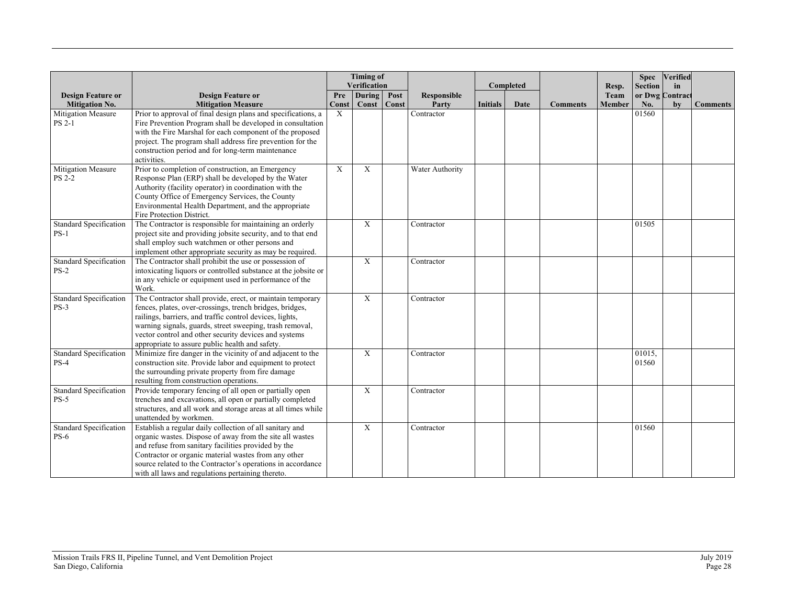|                                         |                                                                                                                          | <b>Timing of</b><br>Verification |                           |              | Completed          |                 |      | Resp.           | <b>Spec</b><br><b>Section</b> | <b>Verified</b> |    |                 |
|-----------------------------------------|--------------------------------------------------------------------------------------------------------------------------|----------------------------------|---------------------------|--------------|--------------------|-----------------|------|-----------------|-------------------------------|-----------------|----|-----------------|
| <b>Design Feature or</b>                | <b>Design Feature or</b>                                                                                                 | Pre                              | <b>During</b>             | Post         | <b>Responsible</b> |                 |      |                 | Team                          | or Dwg Contract | in |                 |
| <b>Mitigation No.</b>                   | <b>Mitigation Measure</b>                                                                                                | Const                            | Const                     | <b>Const</b> | Party              | <b>Initials</b> | Date | <b>Comments</b> | <b>Member</b>                 | No.             | by | <b>Comments</b> |
| Mitigation Measure                      | Prior to approval of final design plans and specifications, a                                                            | X                                |                           |              | Contractor         |                 |      |                 |                               | 01560           |    |                 |
| <b>PS 2-1</b>                           | Fire Prevention Program shall be developed in consultation                                                               |                                  |                           |              |                    |                 |      |                 |                               |                 |    |                 |
|                                         | with the Fire Marshal for each component of the proposed                                                                 |                                  |                           |              |                    |                 |      |                 |                               |                 |    |                 |
|                                         | project. The program shall address fire prevention for the                                                               |                                  |                           |              |                    |                 |      |                 |                               |                 |    |                 |
|                                         | construction period and for long-term maintenance<br>activities.                                                         |                                  |                           |              |                    |                 |      |                 |                               |                 |    |                 |
| Mitigation Measure                      | Prior to completion of construction, an Emergency                                                                        | X                                | $\mathbf{X}$              |              | Water Authority    |                 |      |                 |                               |                 |    |                 |
| <b>PS 2-2</b>                           | Response Plan (ERP) shall be developed by the Water                                                                      |                                  |                           |              |                    |                 |      |                 |                               |                 |    |                 |
|                                         | Authority (facility operator) in coordination with the                                                                   |                                  |                           |              |                    |                 |      |                 |                               |                 |    |                 |
|                                         | County Office of Emergency Services, the County                                                                          |                                  |                           |              |                    |                 |      |                 |                               |                 |    |                 |
|                                         | Environmental Health Department, and the appropriate                                                                     |                                  |                           |              |                    |                 |      |                 |                               |                 |    |                 |
|                                         | Fire Protection District.                                                                                                |                                  |                           |              |                    |                 |      |                 |                               |                 |    |                 |
| <b>Standard Specification</b>           | The Contractor is responsible for maintaining an orderly                                                                 |                                  | $\mathbf{X}$              |              | Contractor         |                 |      |                 |                               | 01505           |    |                 |
| $PS-1$                                  | project site and providing jobsite security, and to that end                                                             |                                  |                           |              |                    |                 |      |                 |                               |                 |    |                 |
|                                         | shall employ such watchmen or other persons and                                                                          |                                  |                           |              |                    |                 |      |                 |                               |                 |    |                 |
|                                         | implement other appropriate security as may be required.                                                                 |                                  |                           |              |                    |                 |      |                 |                               |                 |    |                 |
| <b>Standard Specification</b><br>$PS-2$ | The Contractor shall prohibit the use or possession of                                                                   |                                  | $\boldsymbol{\mathrm{X}}$ |              | Contractor         |                 |      |                 |                               |                 |    |                 |
|                                         | intoxicating liquors or controlled substance at the jobsite or<br>in any vehicle or equipment used in performance of the |                                  |                           |              |                    |                 |      |                 |                               |                 |    |                 |
|                                         | Work.                                                                                                                    |                                  |                           |              |                    |                 |      |                 |                               |                 |    |                 |
| <b>Standard Specification</b>           | The Contractor shall provide, erect, or maintain temporary                                                               |                                  | $\mathbf{X}$              |              | Contractor         |                 |      |                 |                               |                 |    |                 |
| $PS-3$                                  | fences, plates, over-crossings, trench bridges, bridges,                                                                 |                                  |                           |              |                    |                 |      |                 |                               |                 |    |                 |
|                                         | railings, barriers, and traffic control devices, lights,                                                                 |                                  |                           |              |                    |                 |      |                 |                               |                 |    |                 |
|                                         | warning signals, guards, street sweeping, trash removal,                                                                 |                                  |                           |              |                    |                 |      |                 |                               |                 |    |                 |
|                                         | vector control and other security devices and systems                                                                    |                                  |                           |              |                    |                 |      |                 |                               |                 |    |                 |
| <b>Standard Specification</b>           | appropriate to assure public health and safety.<br>Minimize fire danger in the vicinity of and adjacent to the           |                                  | $\mathbf{X}$              |              | Contractor         |                 |      |                 |                               | 01015,          |    |                 |
| $PS-4$                                  | construction site. Provide labor and equipment to protect                                                                |                                  |                           |              |                    |                 |      |                 |                               | 01560           |    |                 |
|                                         | the surrounding private property from fire damage                                                                        |                                  |                           |              |                    |                 |      |                 |                               |                 |    |                 |
|                                         | resulting from construction operations.                                                                                  |                                  |                           |              |                    |                 |      |                 |                               |                 |    |                 |
| <b>Standard Specification</b>           | Provide temporary fencing of all open or partially open                                                                  |                                  | $\mathbf{X}$              |              | Contractor         |                 |      |                 |                               |                 |    |                 |
| $PS-5$                                  | trenches and excavations, all open or partially completed                                                                |                                  |                           |              |                    |                 |      |                 |                               |                 |    |                 |
|                                         | structures, and all work and storage areas at all times while                                                            |                                  |                           |              |                    |                 |      |                 |                               |                 |    |                 |
|                                         | unattended by workmen.                                                                                                   |                                  |                           |              |                    |                 |      |                 |                               |                 |    |                 |
| <b>Standard Specification</b>           | Establish a regular daily collection of all sanitary and                                                                 |                                  | $\mathbf{X}$              |              | Contractor         |                 |      |                 |                               | 01560           |    |                 |
| $PS-6$                                  | organic wastes. Dispose of away from the site all wastes                                                                 |                                  |                           |              |                    |                 |      |                 |                               |                 |    |                 |
|                                         | and refuse from sanitary facilities provided by the                                                                      |                                  |                           |              |                    |                 |      |                 |                               |                 |    |                 |
|                                         | Contractor or organic material wastes from any other                                                                     |                                  |                           |              |                    |                 |      |                 |                               |                 |    |                 |
|                                         | source related to the Contractor's operations in accordance<br>with all laws and regulations pertaining thereto.         |                                  |                           |              |                    |                 |      |                 |                               |                 |    |                 |
|                                         |                                                                                                                          |                                  |                           |              |                    |                 |      |                 |                               |                 |    |                 |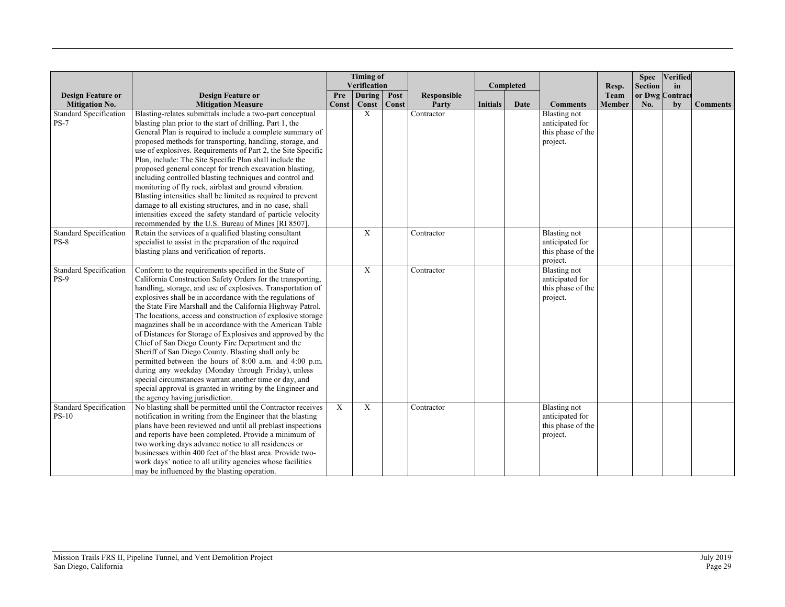|                                                   |                                                                                                                                                                                                                                                                                                                                                                                                                                                                                                                                                                                                                                                                                                                                                                                                                                                                                                | <b>Timing of</b> |                        |               |                      |                 |           |                                                                         |                | <b>Spec</b>     | <b>Verified</b> |                 |
|---------------------------------------------------|------------------------------------------------------------------------------------------------------------------------------------------------------------------------------------------------------------------------------------------------------------------------------------------------------------------------------------------------------------------------------------------------------------------------------------------------------------------------------------------------------------------------------------------------------------------------------------------------------------------------------------------------------------------------------------------------------------------------------------------------------------------------------------------------------------------------------------------------------------------------------------------------|------------------|------------------------|---------------|----------------------|-----------------|-----------|-------------------------------------------------------------------------|----------------|-----------------|-----------------|-----------------|
|                                                   |                                                                                                                                                                                                                                                                                                                                                                                                                                                                                                                                                                                                                                                                                                                                                                                                                                                                                                |                  | Verification           |               |                      |                 | Completed |                                                                         | Resp.          | <b>Section</b>  | in              |                 |
| <b>Design Feature or</b><br><b>Mitigation No.</b> | <b>Design Feature or</b><br><b>Mitigation Measure</b>                                                                                                                                                                                                                                                                                                                                                                                                                                                                                                                                                                                                                                                                                                                                                                                                                                          | Pre<br>Const     | <b>During</b><br>Const | Post<br>Const | Responsible<br>Party | <b>Initials</b> | Date      | <b>Comments</b>                                                         | Team<br>Member | or Dwg C<br>No. | 'ontract<br>by  | <b>Comments</b> |
| <b>Standard Specification</b><br>$PS-7$           | Blasting-relates submittals include a two-part conceptual<br>blasting plan prior to the start of drilling. Part 1, the<br>General Plan is required to include a complete summary of<br>proposed methods for transporting, handling, storage, and<br>use of explosives. Requirements of Part 2, the Site Specific<br>Plan, include: The Site Specific Plan shall include the<br>proposed general concept for trench excavation blasting,<br>including controlled blasting techniques and control and<br>monitoring of fly rock, airblast and ground vibration.<br>Blasting intensities shall be limited as required to prevent<br>damage to all existing structures, and in no case, shall                                                                                                                                                                                                      |                  | X                      |               | Contractor           |                 |           | <b>Blasting</b> not<br>anticipated for<br>this phase of the<br>project. |                |                 |                 |                 |
|                                                   | intensities exceed the safety standard of particle velocity<br>recommended by the U.S. Bureau of Mines [RI 8507]                                                                                                                                                                                                                                                                                                                                                                                                                                                                                                                                                                                                                                                                                                                                                                               |                  |                        |               |                      |                 |           |                                                                         |                |                 |                 |                 |
| <b>Standard Specification</b><br>$PS-8$           | Retain the services of a qualified blasting consultant<br>specialist to assist in the preparation of the required<br>blasting plans and verification of reports.                                                                                                                                                                                                                                                                                                                                                                                                                                                                                                                                                                                                                                                                                                                               |                  | X                      |               | Contractor           |                 |           | <b>Blasting not</b><br>anticipated for<br>this phase of the<br>project. |                |                 |                 |                 |
| <b>Standard Specification</b><br>$PS-9$           | Conform to the requirements specified in the State of<br>California Construction Safety Orders for the transporting,<br>handling, storage, and use of explosives. Transportation of<br>explosives shall be in accordance with the regulations of<br>the State Fire Marshall and the California Highway Patrol.<br>The locations, access and construction of explosive storage<br>magazines shall be in accordance with the American Table<br>of Distances for Storage of Explosives and approved by the<br>Chief of San Diego County Fire Department and the<br>Sheriff of San Diego County. Blasting shall only be<br>permitted between the hours of 8:00 a.m. and 4:00 p.m.<br>during any weekday (Monday through Friday), unless<br>special circumstances warrant another time or day, and<br>special approval is granted in writing by the Engineer and<br>the agency having jurisdiction. |                  | X                      |               | Contractor           |                 |           | <b>Blasting not</b><br>anticipated for<br>this phase of the<br>project. |                |                 |                 |                 |
| <b>Standard Specification</b><br>$PS-10$          | No blasting shall be permitted until the Contractor receives<br>notification in writing from the Engineer that the blasting<br>plans have been reviewed and until all preblast inspections<br>and reports have been completed. Provide a minimum of<br>two working days advance notice to all residences or<br>businesses within 400 feet of the blast area. Provide two-<br>work days' notice to all utility agencies whose facilities<br>may be influenced by the blasting operation.                                                                                                                                                                                                                                                                                                                                                                                                        | X                | X                      |               | Contractor           |                 |           | <b>Blasting not</b><br>anticipated for<br>this phase of the<br>project. |                |                 |                 |                 |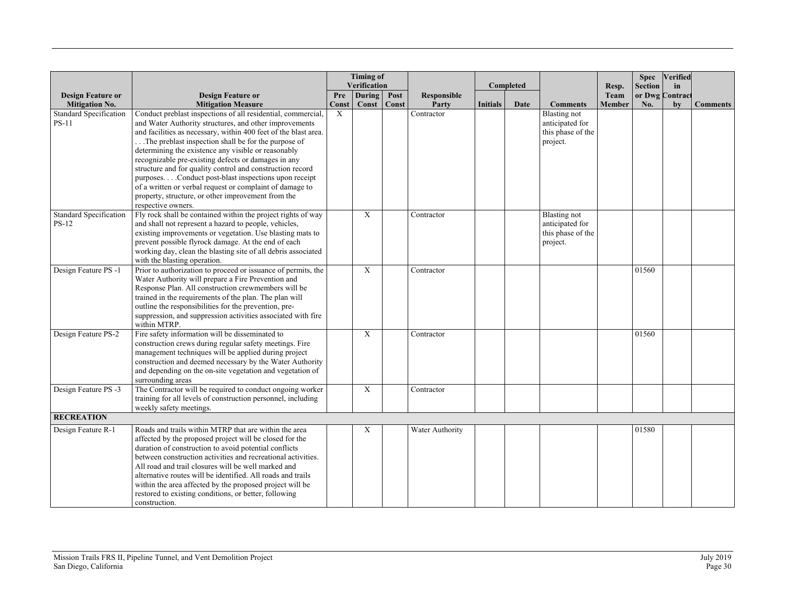|                                               |                                                                                                                                                                                                                                                                                                                                                                                                                                                                                                                                                 | <b>Timing of</b><br>Verification |                           |       | Completed          |                 |      | Resp.                                                                   | <b>Spec</b><br><b>Section</b> | Verified<br>in  |    |                 |
|-----------------------------------------------|-------------------------------------------------------------------------------------------------------------------------------------------------------------------------------------------------------------------------------------------------------------------------------------------------------------------------------------------------------------------------------------------------------------------------------------------------------------------------------------------------------------------------------------------------|----------------------------------|---------------------------|-------|--------------------|-----------------|------|-------------------------------------------------------------------------|-------------------------------|-----------------|----|-----------------|
| <b>Design Feature or</b>                      | <b>Design Feature or</b>                                                                                                                                                                                                                                                                                                                                                                                                                                                                                                                        | Pre                              | <b>During</b>             | Post  | <b>Responsible</b> |                 |      |                                                                         | Team                          | or Dwg Contract |    |                 |
| <b>Mitigation No.</b>                         | <b>Mitigation Measure</b>                                                                                                                                                                                                                                                                                                                                                                                                                                                                                                                       | Const                            | Const                     | Const | Party              | <b>Initials</b> | Date | <b>Comments</b>                                                         | <b>Member</b>                 | No.             | by | <b>Comments</b> |
| <b>Standard Specification</b><br><b>PS-11</b> | Conduct preblast inspections of all residential, commercial,<br>and Water Authority structures, and other improvements<br>and facilities as necessary, within 400 feet of the blast area.<br>The preblast inspection shall be for the purpose of<br>determining the existence any visible or reasonably<br>recognizable pre-existing defects or damages in any<br>structure and for quality control and construction record<br>purposes Conduct post-blast inspections upon receipt<br>of a written or verbal request or complaint of damage to | X                                |                           |       | Contractor         |                 |      | <b>Blasting</b> not<br>anticipated for<br>this phase of the<br>project. |                               |                 |    |                 |
|                                               | property, structure, or other improvement from the<br>respective owners.                                                                                                                                                                                                                                                                                                                                                                                                                                                                        |                                  |                           |       |                    |                 |      |                                                                         |                               |                 |    |                 |
| <b>Standard Specification</b><br><b>PS-12</b> | Fly rock shall be contained within the project rights of way<br>and shall not represent a hazard to people, vehicles,<br>existing improvements or vegetation. Use blasting mats to<br>prevent possible flyrock damage. At the end of each<br>working day, clean the blasting site of all debris associated<br>with the blasting operation.                                                                                                                                                                                                      |                                  | $\boldsymbol{\mathrm{X}}$ |       | Contractor         |                 |      | <b>Blasting not</b><br>anticipated for<br>this phase of the<br>project. |                               |                 |    |                 |
| Design Feature PS -1                          | Prior to authorization to proceed or issuance of permits, the<br>Water Authority will prepare a Fire Prevention and<br>Response Plan. All construction crewmembers will be<br>trained in the requirements of the plan. The plan will<br>outline the responsibilities for the prevention, pre-<br>suppression, and suppression activities associated with fire<br>within MTRP.                                                                                                                                                                   |                                  | $\mathbf X$               |       | Contractor         |                 |      |                                                                         |                               | 01560           |    |                 |
| Design Feature PS-2                           | Fire safety information will be disseminated to<br>construction crews during regular safety meetings. Fire<br>management techniques will be applied during project<br>construction and deemed necessary by the Water Authority<br>and depending on the on-site vegetation and vegetation of<br>surrounding areas                                                                                                                                                                                                                                |                                  | $\boldsymbol{\mathrm{X}}$ |       | Contractor         |                 |      |                                                                         |                               | 01560           |    |                 |
| Design Feature PS -3                          | The Contractor will be required to conduct ongoing worker<br>training for all levels of construction personnel, including<br>weekly safety meetings.                                                                                                                                                                                                                                                                                                                                                                                            |                                  | $\boldsymbol{\mathrm{X}}$ |       | Contractor         |                 |      |                                                                         |                               |                 |    |                 |
| <b>RECREATION</b>                             |                                                                                                                                                                                                                                                                                                                                                                                                                                                                                                                                                 |                                  |                           |       |                    |                 |      |                                                                         |                               |                 |    |                 |
| Design Feature R-1                            | Roads and trails within MTRP that are within the area<br>affected by the proposed project will be closed for the<br>duration of construction to avoid potential conflicts<br>between construction activities and recreational activities.<br>All road and trail closures will be well marked and<br>alternative routes will be identified. All roads and trails<br>within the area affected by the proposed project will be<br>restored to existing conditions, or better, following<br>construction.                                           |                                  | X                         |       | Water Authority    |                 |      |                                                                         |                               | 01580           |    |                 |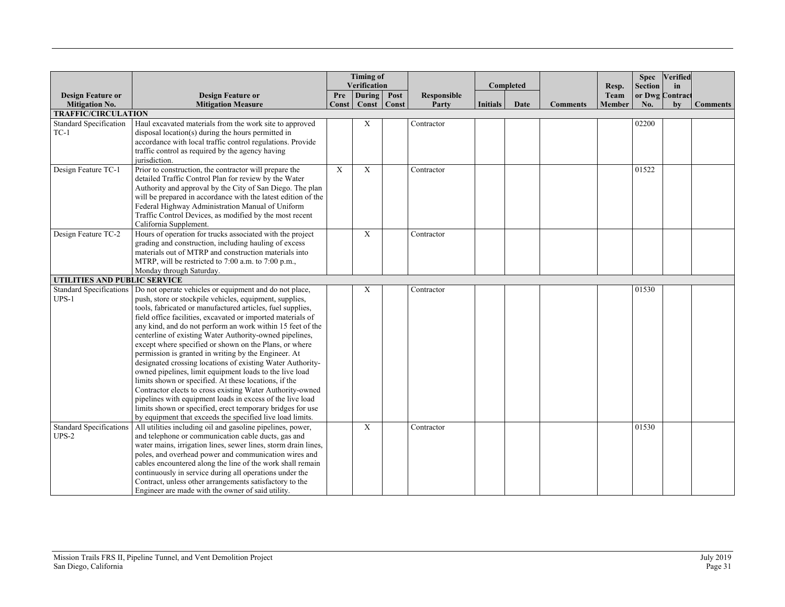|                                           |                                                                                                                                                                                                                                                                                                                                                                                                                                                                                                                                                                                                                                                                                                                                                                                                                                                                                                                                                            | <b>Timing of</b> |                           |              | Completed          |                 |      |                 | <b>Verified</b><br><b>Spec</b> |                                   |    |                 |
|-------------------------------------------|------------------------------------------------------------------------------------------------------------------------------------------------------------------------------------------------------------------------------------------------------------------------------------------------------------------------------------------------------------------------------------------------------------------------------------------------------------------------------------------------------------------------------------------------------------------------------------------------------------------------------------------------------------------------------------------------------------------------------------------------------------------------------------------------------------------------------------------------------------------------------------------------------------------------------------------------------------|------------------|---------------------------|--------------|--------------------|-----------------|------|-----------------|--------------------------------|-----------------------------------|----|-----------------|
| <b>Design Feature or</b>                  | <b>Design Feature or</b>                                                                                                                                                                                                                                                                                                                                                                                                                                                                                                                                                                                                                                                                                                                                                                                                                                                                                                                                   | Pre              | Verification<br>During    | Post         | <b>Responsible</b> |                 |      |                 | Resp.<br>Team                  | <b>Section</b><br>or Dwg Contract | in |                 |
| <b>Mitigation No.</b>                     | <b>Mitigation Measure</b>                                                                                                                                                                                                                                                                                                                                                                                                                                                                                                                                                                                                                                                                                                                                                                                                                                                                                                                                  | Const            | Const                     | <b>Const</b> | Party              | <b>Initials</b> | Date | <b>Comments</b> | Member                         | No.                               | by | <b>Comments</b> |
| <b>TRAFFIC/CIRCULATION</b>                |                                                                                                                                                                                                                                                                                                                                                                                                                                                                                                                                                                                                                                                                                                                                                                                                                                                                                                                                                            |                  |                           |              |                    |                 |      |                 |                                |                                   |    |                 |
| <b>Standard Specification</b><br>$TC-1$   | Haul excavated materials from the work site to approved<br>$disposal location(s) during the hours permitted in$<br>accordance with local traffic control regulations. Provide<br>traffic control as required by the agency having<br>jurisdiction.                                                                                                                                                                                                                                                                                                                                                                                                                                                                                                                                                                                                                                                                                                         |                  | X                         |              | Contractor         |                 |      |                 |                                | 02200                             |    |                 |
| Design Feature TC-1                       | Prior to construction, the contractor will prepare the<br>detailed Traffic Control Plan for review by the Water<br>Authority and approval by the City of San Diego. The plan<br>will be prepared in accordance with the latest edition of the<br>Federal Highway Administration Manual of Uniform<br>Traffic Control Devices, as modified by the most recent<br>California Supplement.                                                                                                                                                                                                                                                                                                                                                                                                                                                                                                                                                                     | X                | $\boldsymbol{\mathrm{X}}$ |              | Contractor         |                 |      |                 |                                | 01522                             |    |                 |
| Design Feature TC-2                       | Hours of operation for trucks associated with the project<br>grading and construction, including hauling of excess<br>materials out of MTRP and construction materials into<br>MTRP, will be restricted to 7:00 a.m. to 7:00 p.m.,<br>Monday through Saturday.                                                                                                                                                                                                                                                                                                                                                                                                                                                                                                                                                                                                                                                                                             |                  | $\mathbf{X}$              |              | Contractor         |                 |      |                 |                                |                                   |    |                 |
| UTILITIES AND PUBLIC SERVICE              |                                                                                                                                                                                                                                                                                                                                                                                                                                                                                                                                                                                                                                                                                                                                                                                                                                                                                                                                                            |                  |                           |              |                    |                 |      |                 |                                |                                   |    |                 |
| $UPS-1$                                   | Standard Specifications   Do not operate vehicles or equipment and do not place,<br>push, store or stockpile vehicles, equipment, supplies,<br>tools, fabricated or manufactured articles, fuel supplies,<br>field office facilities, excavated or imported materials of<br>any kind, and do not perform an work within 15 feet of the<br>centerline of existing Water Authority-owned pipelines,<br>except where specified or shown on the Plans, or where<br>permission is granted in writing by the Engineer. At<br>designated crossing locations of existing Water Authority-<br>owned pipelines, limit equipment loads to the live load<br>limits shown or specified. At these locations, if the<br>Contractor elects to cross existing Water Authority-owned<br>pipelines with equipment loads in excess of the live load<br>limits shown or specified, erect temporary bridges for use<br>by equipment that exceeds the specified live load limits. |                  | $\boldsymbol{\mathrm{X}}$ |              | Contractor         |                 |      |                 |                                | 01530                             |    |                 |
| <b>Standard Specifications</b><br>$UPS-2$ | All utilities including oil and gasoline pipelines, power,<br>and telephone or communication cable ducts, gas and<br>water mains, irrigation lines, sewer lines, storm drain lines,<br>poles, and overhead power and communication wires and<br>cables encountered along the line of the work shall remain<br>continuously in service during all operations under the<br>Contract, unless other arrangements satisfactory to the<br>Engineer are made with the owner of said utility.                                                                                                                                                                                                                                                                                                                                                                                                                                                                      |                  | $\overline{X}$            |              | Contractor         |                 |      |                 |                                | 01530                             |    |                 |